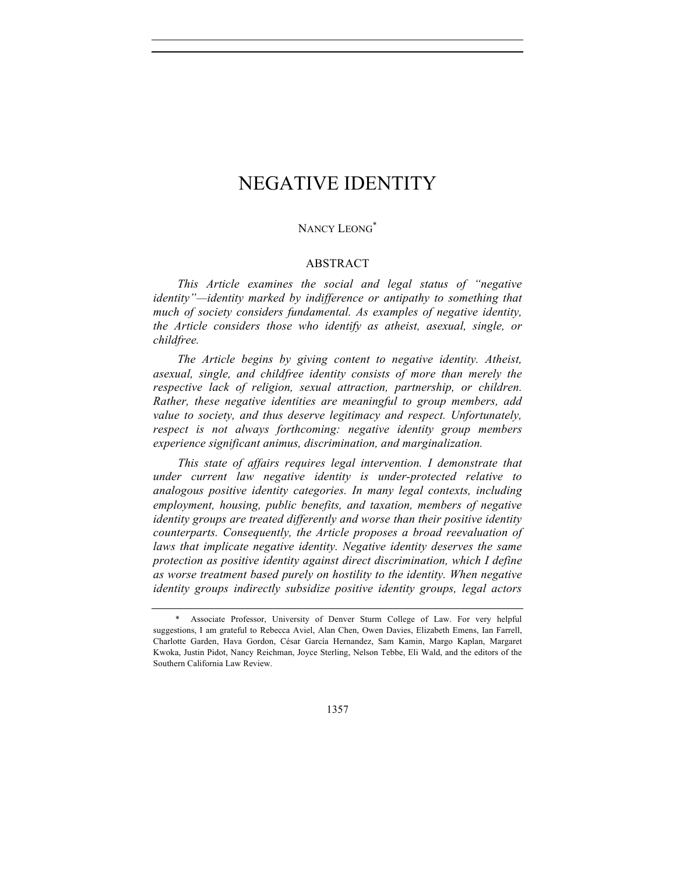## NANCY LEONG<sup>\*</sup>

# ABSTRACT

*This Article examines the social and legal status of "negative identity"—identity marked by indifference or antipathy to something that much of society considers fundamental. As examples of negative identity, the Article considers those who identify as atheist, asexual, single, or childfree.*

*The Article begins by giving content to negative identity. Atheist, asexual, single, and childfree identity consists of more than merely the respective lack of religion, sexual attraction, partnership, or children. Rather, these negative identities are meaningful to group members, add value to society, and thus deserve legitimacy and respect. Unfortunately, respect is not always forthcoming: negative identity group members experience significant animus, discrimination, and marginalization.*

*This state of affairs requires legal intervention. I demonstrate that under current law negative identity is under-protected relative to analogous positive identity categories. In many legal contexts, including employment, housing, public benefits, and taxation, members of negative identity groups are treated differently and worse than their positive identity counterparts. Consequently, the Article proposes a broad reevaluation of*  laws that implicate negative identity. Negative identity deserves the same *protection as positive identity against direct discrimination, which I define as worse treatment based purely on hostility to the identity. When negative identity groups indirectly subsidize positive identity groups, legal actors* 

Associate Professor, University of Denver Sturm College of Law. For very helpful suggestions, I am grateful to Rebecca Aviel, Alan Chen, Owen Davies, Elizabeth Emens, Ian Farrell, Charlotte Garden, Hava Gordon, César García Hernandez, Sam Kamin, Margo Kaplan, Margaret Kwoka, Justin Pidot, Nancy Reichman, Joyce Sterling, Nelson Tebbe, Eli Wald, and the editors of the Southern California Law Review.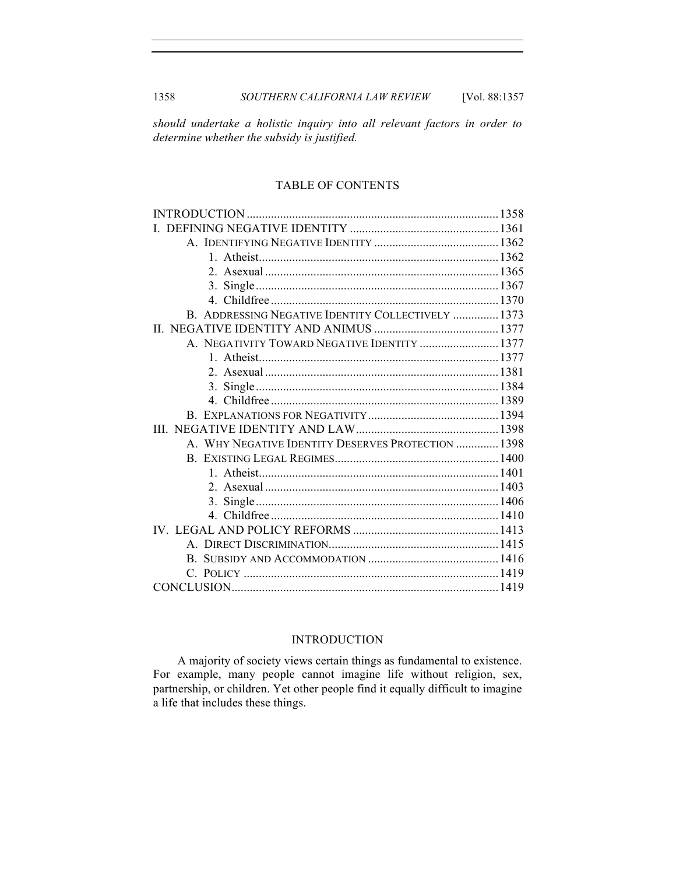1358 *SOUTHERN CALIFORNIA LAW REVIEW* [Vol. 88:1357

*should undertake a holistic inquiry into all relevant factors in order to determine whether the subsidy is justified.*

# TABLE OF CONTENTS

| B. ADDRESSING NEGATIVE IDENTITY COLLECTIVELY  1373 |  |
|----------------------------------------------------|--|
|                                                    |  |
| A. NEGATIVITY TOWARD NEGATIVE IDENTITY  1377       |  |
|                                                    |  |
|                                                    |  |
|                                                    |  |
|                                                    |  |
|                                                    |  |
|                                                    |  |
| A. WHY NEGATIVE IDENTITY DESERVES PROTECTION  1398 |  |
|                                                    |  |
|                                                    |  |
|                                                    |  |
|                                                    |  |
|                                                    |  |
|                                                    |  |
|                                                    |  |
|                                                    |  |
|                                                    |  |
|                                                    |  |

# INTRODUCTION

A majority of society views certain things as fundamental to existence. For example, many people cannot imagine life without religion, sex, partnership, or children. Yet other people find it equally difficult to imagine a life that includes these things.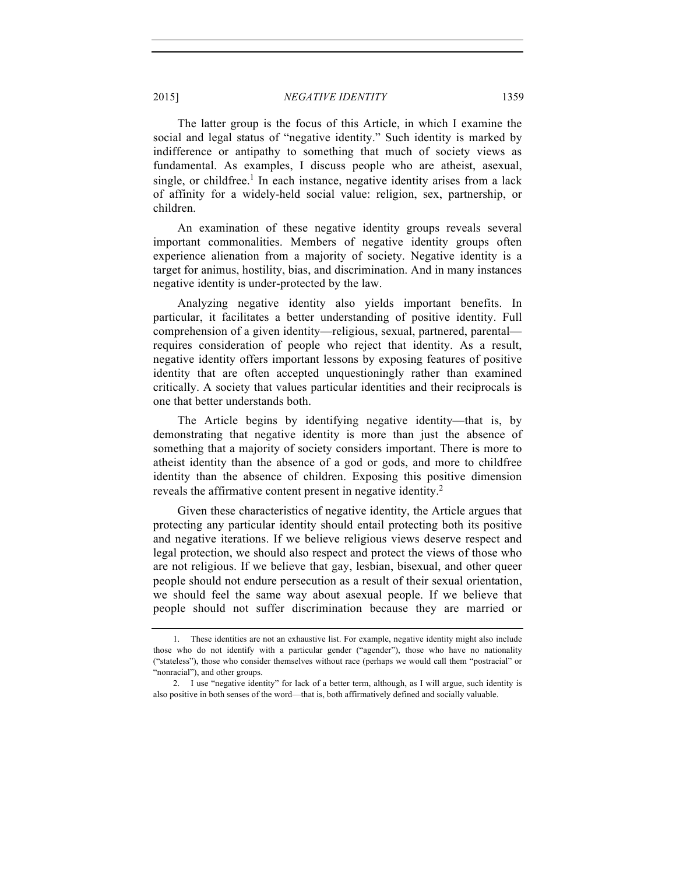The latter group is the focus of this Article, in which I examine the social and legal status of "negative identity." Such identity is marked by indifference or antipathy to something that much of society views as fundamental. As examples, I discuss people who are atheist, asexual, single, or childfree.<sup>1</sup> In each instance, negative identity arises from a lack of affinity for a widely-held social value: religion, sex, partnership, or children.

An examination of these negative identity groups reveals several important commonalities. Members of negative identity groups often experience alienation from a majority of society. Negative identity is a target for animus, hostility, bias, and discrimination. And in many instances negative identity is under-protected by the law.

Analyzing negative identity also yields important benefits. In particular, it facilitates a better understanding of positive identity. Full comprehension of a given identity—religious, sexual, partnered, parental requires consideration of people who reject that identity. As a result, negative identity offers important lessons by exposing features of positive identity that are often accepted unquestioningly rather than examined critically. A society that values particular identities and their reciprocals is one that better understands both.

The Article begins by identifying negative identity—that is, by demonstrating that negative identity is more than just the absence of something that a majority of society considers important. There is more to atheist identity than the absence of a god or gods, and more to childfree identity than the absence of children. Exposing this positive dimension reveals the affirmative content present in negative identity.<sup>2</sup>

Given these characteristics of negative identity, the Article argues that protecting any particular identity should entail protecting both its positive and negative iterations. If we believe religious views deserve respect and legal protection, we should also respect and protect the views of those who are not religious. If we believe that gay, lesbian, bisexual, and other queer people should not endure persecution as a result of their sexual orientation, we should feel the same way about asexual people. If we believe that people should not suffer discrimination because they are married or

<sup>1.</sup> These identities are not an exhaustive list. For example, negative identity might also include those who do not identify with a particular gender ("agender"), those who have no nationality ("stateless"), those who consider themselves without race (perhaps we would call them "postracial" or "nonracial"), and other groups.

<sup>2.</sup> I use "negative identity" for lack of a better term, although, as I will argue, such identity is also positive in both senses of the word—that is, both affirmatively defined and socially valuable.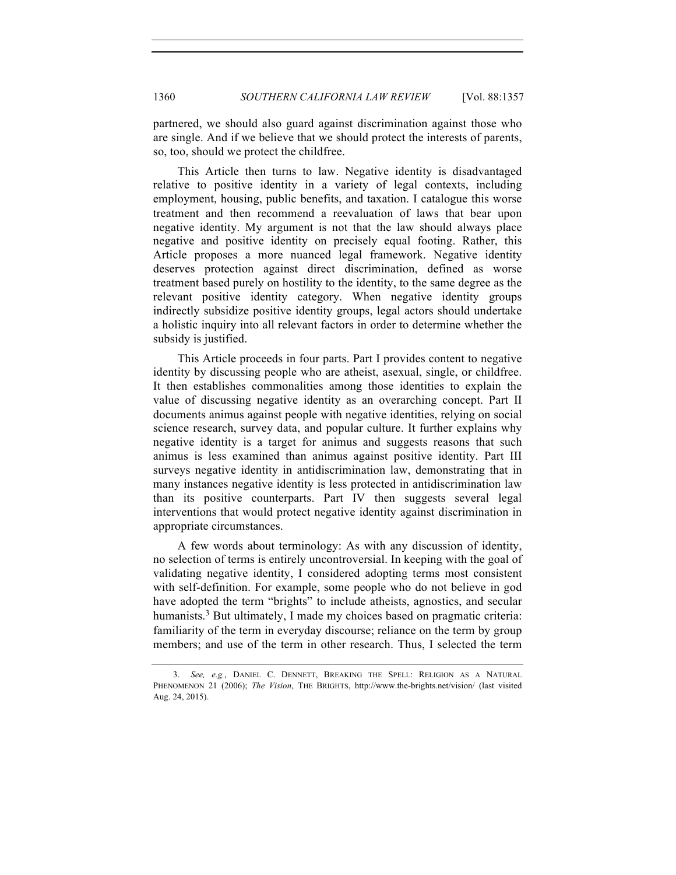partnered, we should also guard against discrimination against those who are single. And if we believe that we should protect the interests of parents, so, too, should we protect the childfree.

This Article then turns to law. Negative identity is disadvantaged relative to positive identity in a variety of legal contexts, including employment, housing, public benefits, and taxation. I catalogue this worse treatment and then recommend a reevaluation of laws that bear upon negative identity. My argument is not that the law should always place negative and positive identity on precisely equal footing. Rather, this Article proposes a more nuanced legal framework. Negative identity deserves protection against direct discrimination, defined as worse treatment based purely on hostility to the identity, to the same degree as the relevant positive identity category. When negative identity groups indirectly subsidize positive identity groups, legal actors should undertake a holistic inquiry into all relevant factors in order to determine whether the subsidy is justified.

This Article proceeds in four parts. Part I provides content to negative identity by discussing people who are atheist, asexual, single, or childfree. It then establishes commonalities among those identities to explain the value of discussing negative identity as an overarching concept. Part II documents animus against people with negative identities, relying on social science research, survey data, and popular culture. It further explains why negative identity is a target for animus and suggests reasons that such animus is less examined than animus against positive identity. Part III surveys negative identity in antidiscrimination law, demonstrating that in many instances negative identity is less protected in antidiscrimination law than its positive counterparts. Part IV then suggests several legal interventions that would protect negative identity against discrimination in appropriate circumstances.

A few words about terminology: As with any discussion of identity, no selection of terms is entirely uncontroversial. In keeping with the goal of validating negative identity, I considered adopting terms most consistent with self-definition. For example, some people who do not believe in god have adopted the term "brights" to include atheists, agnostics, and secular humanists.<sup>3</sup> But ultimately, I made my choices based on pragmatic criteria: familiarity of the term in everyday discourse; reliance on the term by group members; and use of the term in other research. Thus, I selected the term

<sup>3.</sup> *See, e.g.*, DANIEL C. DENNETT, BREAKING THE SPELL: RELIGION AS A NATURAL PHENOMENON 21 (2006); *The Vision*, THE BRIGHTS, http://www.the-brights.net/vision/ (last visited Aug. 24, 2015).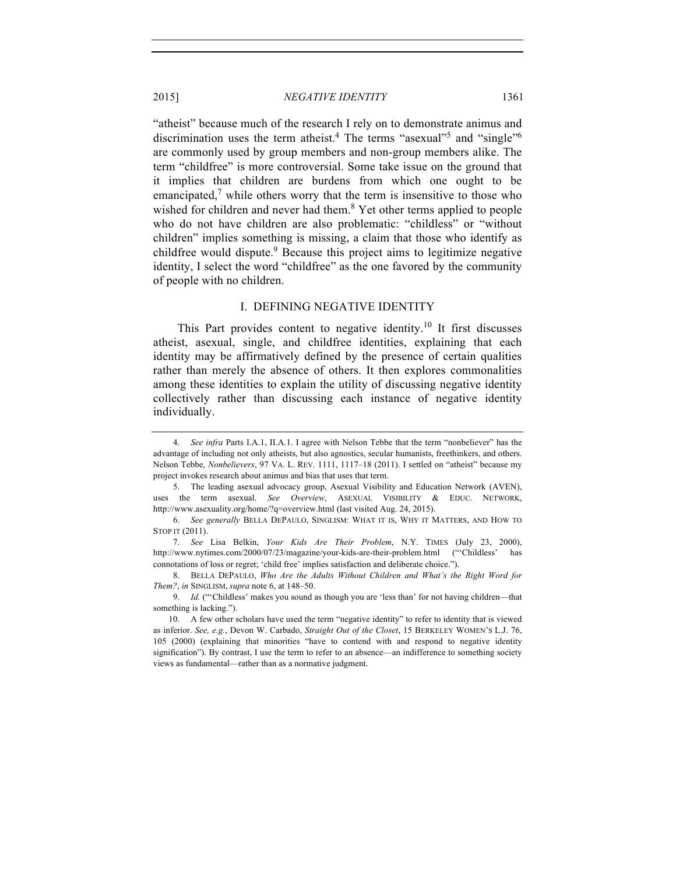"atheist" because much of the research I rely on to demonstrate animus and discrimination uses the term atheist.<sup>4</sup> The terms "asexual"<sup>5</sup> and "single"<sup>6</sup> are commonly used by group members and non-group members alike. The term "childfree" is more controversial. Some take issue on the ground that it implies that children are burdens from which one ought to be emancipated, $\alpha$  while others worry that the term is insensitive to those who wished for children and never had them.<sup>8</sup> Yet other terms applied to people who do not have children are also problematic: "childless" or "without children" implies something is missing, a claim that those who identify as childfree would dispute.<sup>9</sup> Because this project aims to legitimize negative identity, I select the word "childfree" as the one favored by the community

#### I. DEFINING NEGATIVE IDENTITY

This Part provides content to negative identity.<sup>10</sup> It first discusses atheist, asexual, single, and childfree identities, explaining that each identity may be affirmatively defined by the presence of certain qualities rather than merely the absence of others. It then explores commonalities among these identities to explain the utility of discussing negative identity collectively rather than discussing each instance of negative identity individually.

of people with no children.

<sup>4.</sup> *See infra* Parts I.A.1, II.A.1. I agree with Nelson Tebbe that the term "nonbeliever" has the advantage of including not only atheists, but also agnostics, secular humanists, freethinkers, and others. Nelson Tebbe, *Nonbelievers*, 97 VA. L. REV. 1111, 1117–18 (2011). I settled on "atheist" because my project invokes research about animus and bias that uses that term.

<sup>5.</sup> The leading asexual advocacy group, Asexual Visibility and Education Network (AVEN), uses the term asexual. *See Overview*, ASEXUAL VISIBILITY & EDUC. NETWORK, http://www.asexuality.org/home/?q=overview.html (last visited Aug. 24, 2015).

<sup>6.</sup> *See generally* BELLA DEPAULO, SINGLISM: WHAT IT IS, WHY IT MATTERS, AND HOW TO STOP IT (2011).

<sup>7.</sup> *See* Lisa Belkin, *Your Kids Are Their Problem*, N.Y. TIMES (July 23, 2000), http://www.nytimes.com/2000/07/23/magazine/your-kids-are-their-problem.html ("'Childless' has connotations of loss or regret; 'child free' implies satisfaction and deliberate choice.").

<sup>8.</sup> BELLA DEPAULO, *Who Are the Adults Without Children and What's the Right Word for Them?*, *in* SINGLISM, *supra* note 6, at 148–50.

<sup>9.</sup> *Id.* ("'Childless' makes you sound as though you are 'less than' for not having children—that something is lacking.").

<sup>10.</sup> A few other scholars have used the term "negative identity" to refer to identity that is viewed as inferior. *See, e.g.*, Devon W. Carbado, *Straight Out of the Closet*, 15 BERKELEY WOMEN'S L.J. 76, 105 (2000) (explaining that minorities "have to contend with and respond to negative identity signification"). By contrast, I use the term to refer to an absence—an indifference to something society views as fundamental—rather than as a normative judgment.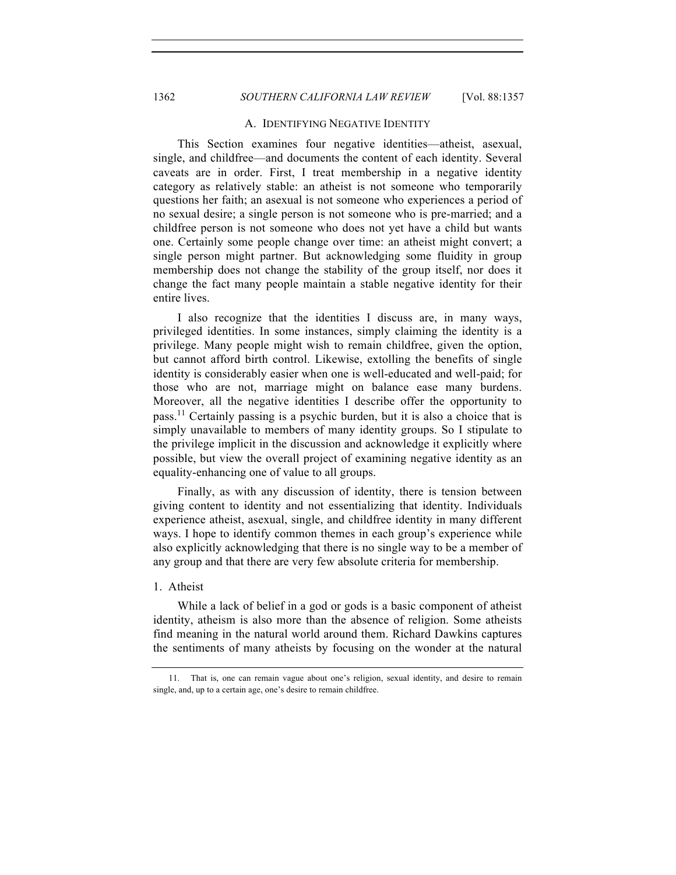#### A. IDENTIFYING NEGATIVE IDENTITY

This Section examines four negative identities—atheist, asexual, single, and childfree—and documents the content of each identity. Several caveats are in order. First, I treat membership in a negative identity category as relatively stable: an atheist is not someone who temporarily questions her faith; an asexual is not someone who experiences a period of no sexual desire; a single person is not someone who is pre-married; and a childfree person is not someone who does not yet have a child but wants one. Certainly some people change over time: an atheist might convert; a single person might partner. But acknowledging some fluidity in group membership does not change the stability of the group itself, nor does it change the fact many people maintain a stable negative identity for their entire lives.

I also recognize that the identities I discuss are, in many ways, privileged identities. In some instances, simply claiming the identity is a privilege. Many people might wish to remain childfree, given the option, but cannot afford birth control. Likewise, extolling the benefits of single identity is considerably easier when one is well-educated and well-paid; for those who are not, marriage might on balance ease many burdens. Moreover, all the negative identities I describe offer the opportunity to pass.11 Certainly passing is a psychic burden, but it is also a choice that is simply unavailable to members of many identity groups. So I stipulate to the privilege implicit in the discussion and acknowledge it explicitly where possible, but view the overall project of examining negative identity as an equality-enhancing one of value to all groups.

Finally, as with any discussion of identity, there is tension between giving content to identity and not essentializing that identity. Individuals experience atheist, asexual, single, and childfree identity in many different ways. I hope to identify common themes in each group's experience while also explicitly acknowledging that there is no single way to be a member of any group and that there are very few absolute criteria for membership.

#### 1. Atheist

While a lack of belief in a god or gods is a basic component of atheist identity, atheism is also more than the absence of religion. Some atheists find meaning in the natural world around them. Richard Dawkins captures the sentiments of many atheists by focusing on the wonder at the natural

<sup>11.</sup> That is, one can remain vague about one's religion, sexual identity, and desire to remain single, and, up to a certain age, one's desire to remain childfree.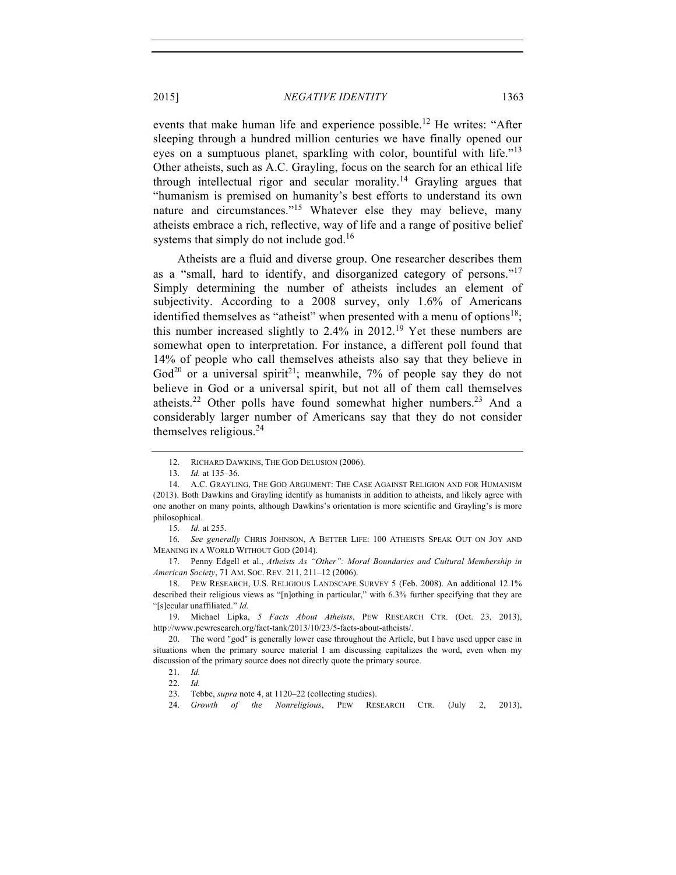events that make human life and experience possible.<sup>12</sup> He writes: "After sleeping through a hundred million centuries we have finally opened our eyes on a sumptuous planet, sparkling with color, bountiful with life."<sup>13</sup> Other atheists, such as A.C. Grayling, focus on the search for an ethical life through intellectual rigor and secular morality.<sup>14</sup> Grayling argues that "humanism is premised on humanity's best efforts to understand its own nature and circumstances."<sup>15</sup> Whatever else they may believe, many atheists embrace a rich, reflective, way of life and a range of positive belief systems that simply do not include god.<sup>16</sup>

Atheists are a fluid and diverse group. One researcher describes them as a "small, hard to identify, and disorganized category of persons."<sup>17</sup> Simply determining the number of atheists includes an element of subjectivity. According to a 2008 survey, only 1.6% of Americans identified themselves as "atheist" when presented with a menu of options<sup>18</sup>; this number increased slightly to  $2.4\%$  in  $2012<sup>19</sup>$  Yet these numbers are somewhat open to interpretation. For instance, a different poll found that 14% of people who call themselves atheists also say that they believe in God<sup>20</sup> or a universal spirit<sup>21</sup>; meanwhile, 7% of people say they do not believe in God or a universal spirit, but not all of them call themselves atheists.<sup>22</sup> Other polls have found somewhat higher numbers.<sup>23</sup> And a considerably larger number of Americans say that they do not consider themselves religious.<sup>24</sup>

<sup>12.</sup> RICHARD DAWKINS, THE GOD DELUSION (2006).

<sup>13.</sup> *Id.* at 135–36.

<sup>14.</sup> A.C. GRAYLING, THE GOD ARGUMENT: THE CASE AGAINST RELIGION AND FOR HUMANISM (2013). Both Dawkins and Grayling identify as humanists in addition to atheists, and likely agree with one another on many points, although Dawkins's orientation is more scientific and Grayling's is more philosophical.

<sup>15.</sup> *Id.* at 255.

<sup>16.</sup> *See generally* CHRIS JOHNSON, A BETTER LIFE: 100 ATHEISTS SPEAK OUT ON JOY AND MEANING IN A WORLD WITHOUT GOD (2014).

<sup>17.</sup> Penny Edgell et al., *Atheists As "Other": Moral Boundaries and Cultural Membership in American Society*, 71 AM. SOC. REV. 211, 211–12 (2006).

<sup>18.</sup> PEW RESEARCH, U.S. RELIGIOUS LANDSCAPE SURVEY 5 (Feb. 2008). An additional 12.1% described their religious views as "[n]othing in particular," with 6.3% further specifying that they are "[s]ecular unaffiliated." *Id.*

<sup>19.</sup> Michael Lipka, *5 Facts About Atheists*, PEW RESEARCH CTR. (Oct. 23, 2013), http://www.pewresearch.org/fact-tank/2013/10/23/5-facts-about-atheists/.

 <sup>20.</sup> The word "god" is generally lower case throughout the Article, but I have used upper case in situations when the primary source material I am discussing capitalizes the word, even when my discussion of the primary source does not directly quote the primary source.

<sup>21.</sup> *Id.*

<sup>22.</sup> *Id.*

<sup>23.</sup> Tebbe, *supra* note 4, at 1120–22 (collecting studies).

<sup>24.</sup> *Growth of the Nonreligious*, PEW RESEARCH CTR. (July 2, 2013),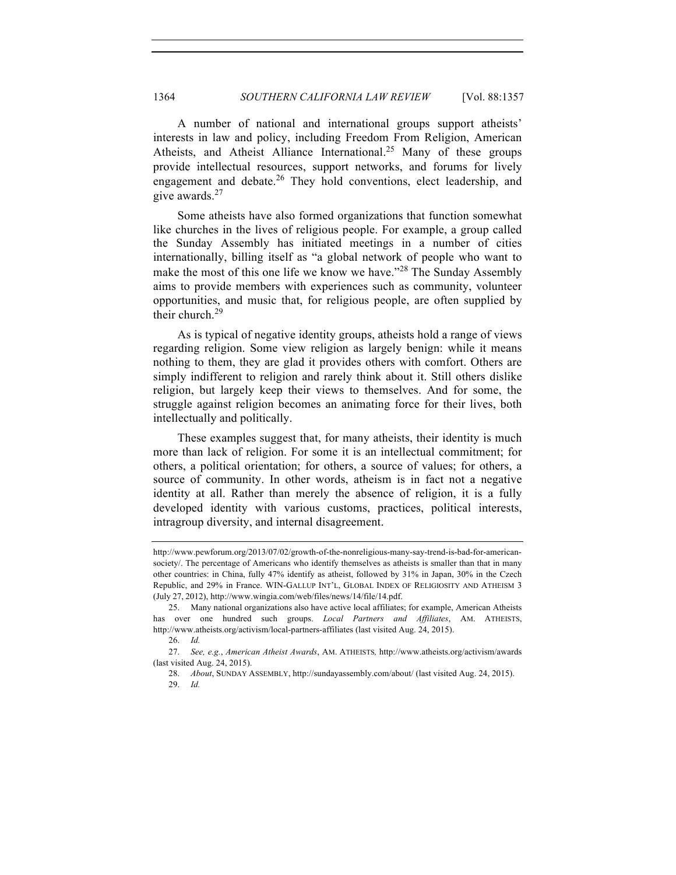A number of national and international groups support atheists' interests in law and policy, including Freedom From Religion, American Atheists, and Atheist Alliance International.<sup>25</sup> Many of these groups provide intellectual resources, support networks, and forums for lively engagement and debate. $^{26}$  They hold conventions, elect leadership, and give awards.<sup>27</sup>

Some atheists have also formed organizations that function somewhat like churches in the lives of religious people. For example, a group called the Sunday Assembly has initiated meetings in a number of cities internationally, billing itself as "a global network of people who want to make the most of this one life we know we have."<sup>28</sup> The Sunday Assembly aims to provide members with experiences such as community, volunteer opportunities, and music that, for religious people, are often supplied by their church.<sup>29</sup>

As is typical of negative identity groups, atheists hold a range of views regarding religion. Some view religion as largely benign: while it means nothing to them, they are glad it provides others with comfort. Others are simply indifferent to religion and rarely think about it. Still others dislike religion, but largely keep their views to themselves. And for some, the struggle against religion becomes an animating force for their lives, both intellectually and politically.

These examples suggest that, for many atheists, their identity is much more than lack of religion. For some it is an intellectual commitment; for others, a political orientation; for others, a source of values; for others, a source of community. In other words, atheism is in fact not a negative identity at all. Rather than merely the absence of religion, it is a fully developed identity with various customs, practices, political interests, intragroup diversity, and internal disagreement.

http://www.pewforum.org/2013/07/02/growth-of-the-nonreligious-many-say-trend-is-bad-for-americansociety/. The percentage of Americans who identify themselves as atheists is smaller than that in many other countries: in China, fully 47% identify as atheist, followed by 31% in Japan, 30% in the Czech Republic, and 29% in France. WIN-GALLUP INT'L, GLOBAL INDEX OF RELIGIOSITY AND ATHEISM 3 (July 27, 2012), http://www.wingia.com/web/files/news/14/file/14.pdf.

<sup>25.</sup> Many national organizations also have active local affiliates; for example, American Atheists has over one hundred such groups. *Local Partners and Affiliates*, AM. ATHEISTS, http://www.atheists.org/activism/local-partners-affiliates (last visited Aug. 24, 2015).

<sup>26.</sup> *Id.*

<sup>27.</sup> *See, e.g.*, *American Atheist Awards*, AM. ATHEISTS*,* http://www.atheists.org/activism/awards (last visited Aug. 24, 2015).

<sup>28.</sup> *About*, SUNDAY ASSEMBLY, http://sundayassembly.com/about/ (last visited Aug. 24, 2015).

<sup>29.</sup> *Id.*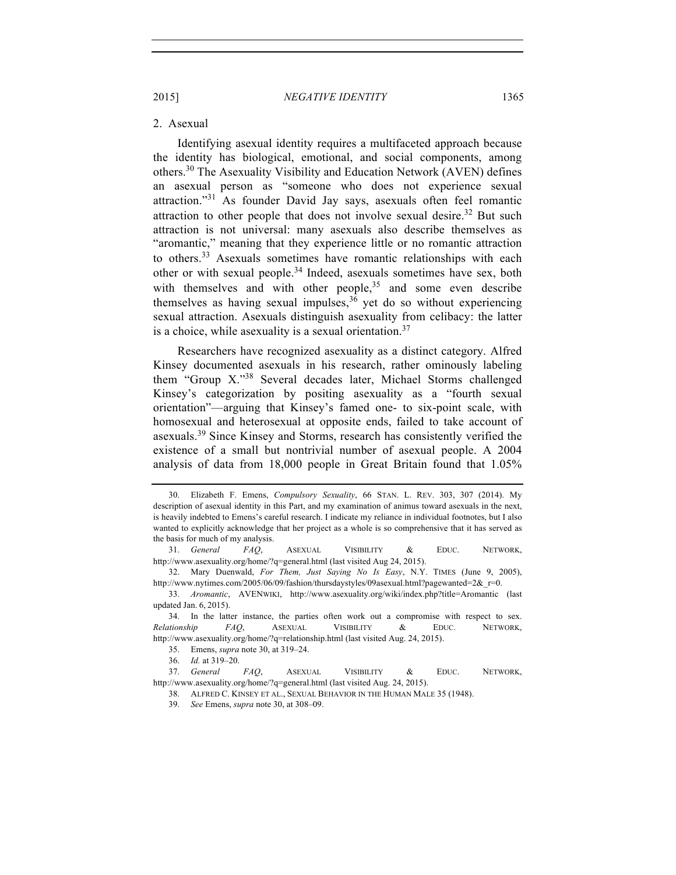#### 2. Asexual

Identifying asexual identity requires a multifaceted approach because the identity has biological, emotional, and social components, among others.30 The Asexuality Visibility and Education Network (AVEN) defines an asexual person as "someone who does not experience sexual attraction."<sup>31</sup> As founder David Jay says, asexuals often feel romantic attraction to other people that does not involve sexual desire.<sup>32</sup> But such attraction is not universal: many asexuals also describe themselves as "aromantic," meaning that they experience little or no romantic attraction to others.<sup>33</sup> Asexuals sometimes have romantic relationships with each other or with sexual people.<sup>34</sup> Indeed, asexuals sometimes have sex, both with themselves and with other people,  $35$  and some even describe themselves as having sexual impulses,  $36$  yet do so without experiencing sexual attraction. Asexuals distinguish asexuality from celibacy: the latter is a choice, while asexuality is a sexual orientation.<sup>37</sup>

Researchers have recognized asexuality as a distinct category. Alfred Kinsey documented asexuals in his research, rather ominously labeling them "Group X."<sup>38</sup> Several decades later, Michael Storms challenged Kinsey's categorization by positing asexuality as a "fourth sexual orientation"—arguing that Kinsey's famed one- to six-point scale, with homosexual and heterosexual at opposite ends, failed to take account of asexuals.<sup>39</sup> Since Kinsey and Storms, research has consistently verified the existence of a small but nontrivial number of asexual people. A 2004 analysis of data from 18,000 people in Great Britain found that 1.05%

<sup>30.</sup> Elizabeth F. Emens, *Compulsory Sexuality*, 66 STAN. L. REV. 303, 307 (2014). My description of asexual identity in this Part, and my examination of animus toward asexuals in the next, is heavily indebted to Emens's careful research. I indicate my reliance in individual footnotes, but I also wanted to explicitly acknowledge that her project as a whole is so comprehensive that it has served as the basis for much of my analysis.

<sup>31.</sup> *General FAQ*, ASEXUAL VISIBILITY & EDUC. NETWORK, http://www.asexuality.org/home/?q=general.html (last visited Aug 24, 2015).

<sup>32.</sup> Mary Duenwald, *For Them, Just Saying No Is Easy*, N.Y. TIMES (June 9, 2005), http://www.nytimes.com/2005/06/09/fashion/thursdaystyles/09asexual.html?pagewanted=2& r=0.

<sup>33.</sup> *Aromantic*, AVENWIKI, http://www.asexuality.org/wiki/index.php?title=Aromantic (last updated Jan. 6, 2015).

<sup>34.</sup> In the latter instance, the parties often work out a compromise with respect to sex. *Relationship FAQ*, ASEXUAL VISIBILITY & EDUC. NETWORK, http://www.asexuality.org/home/?q=relationship.html (last visited Aug. 24, 2015).

<sup>35.</sup> Emens, *supra* note 30, at 319–24.

<sup>36.</sup> *Id.* at 319–20.

<sup>37.</sup> *General FAQ*, ASEXUAL VISIBILITY & EDUC. NETWORK, http://www.asexuality.org/home/?q=general.html (last visited Aug. 24, 2015).

<sup>38.</sup> ALFRED C. KINSEY ET AL., SEXUAL BEHAVIOR IN THE HUMAN MALE 35 (1948).

<sup>39.</sup> *See* Emens, *supra* note 30, at 308–09.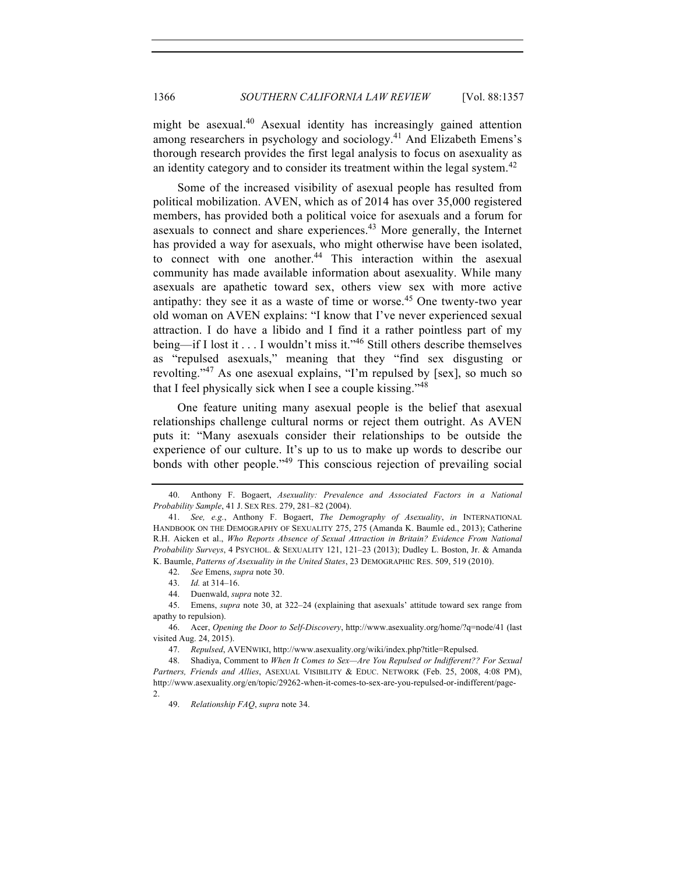might be asexual.<sup>40</sup> Asexual identity has increasingly gained attention among researchers in psychology and sociology.<sup>41</sup> And Elizabeth Emens's thorough research provides the first legal analysis to focus on asexuality as an identity category and to consider its treatment within the legal system.<sup>42</sup>

Some of the increased visibility of asexual people has resulted from political mobilization. AVEN, which as of 2014 has over 35,000 registered members, has provided both a political voice for asexuals and a forum for asexuals to connect and share experiences.<sup>43</sup> More generally, the Internet has provided a way for asexuals, who might otherwise have been isolated, to connect with one another.<sup>44</sup> This interaction within the asexual community has made available information about asexuality. While many asexuals are apathetic toward sex, others view sex with more active antipathy: they see it as a waste of time or worse.<sup>45</sup> One twenty-two year old woman on AVEN explains: "I know that I've never experienced sexual attraction. I do have a libido and I find it a rather pointless part of my being—if I lost it . . . I wouldn't miss it."<sup>46</sup> Still others describe themselves as "repulsed asexuals," meaning that they "find sex disgusting or revolting."<sup>47</sup> As one asexual explains, "I'm repulsed by [sex], so much so that I feel physically sick when I see a couple kissing."<sup>48</sup>

One feature uniting many asexual people is the belief that asexual relationships challenge cultural norms or reject them outright. As AVEN puts it: "Many asexuals consider their relationships to be outside the experience of our culture. It's up to us to make up words to describe our bonds with other people."<sup>49</sup> This conscious rejection of prevailing social

<sup>40.</sup> Anthony F. Bogaert, *Asexuality: Prevalence and Associated Factors in a National Probability Sample*, 41 J. SEX RES. 279, 281–82 (2004).

<sup>41.</sup> *See, e.g.*, Anthony F. Bogaert, *The Demography of Asexuality*, *in* INTERNATIONAL HANDBOOK ON THE DEMOGRAPHY OF SEXUALITY 275, 275 (Amanda K. Baumle ed., 2013); Catherine R.H. Aicken et al., *Who Reports Absence of Sexual Attraction in Britain? Evidence From National Probability Surveys*, 4 PSYCHOL. & SEXUALITY 121, 121–23 (2013); Dudley L. Boston, Jr. & Amanda K. Baumle, *Patterns of Asexuality in the United States*, 23 DEMOGRAPHIC RES. 509, 519 (2010).

<sup>42.</sup> *See* Emens, *supra* note 30.

<sup>43.</sup> *Id.* at 314–16.

<sup>44.</sup> Duenwald, *supra* note 32.

<sup>45.</sup> Emens, *supra* note 30, at 322–24 (explaining that asexuals' attitude toward sex range from apathy to repulsion).

<sup>46.</sup> Acer, *Opening the Door to Self-Discovery*, http://www.asexuality.org/home/?q=node/41 (last visited Aug. 24, 2015).

<sup>47.</sup> *Repulsed*, AVENWIKI, http://www.asexuality.org/wiki/index.php?title=Repulsed.

<sup>48.</sup> Shadiya, Comment to *When It Comes to Sex—Are You Repulsed or Indifferent?? For Sexual Partners, Friends and Allies*, ASEXUAL VISIBILITY & EDUC. NETWORK (Feb. 25, 2008, 4:08 PM), http://www.asexuality.org/en/topic/29262-when-it-comes-to-sex-are-you-repulsed-or-indifferent/page-2.

<sup>49.</sup> *Relationship FAQ*, *supra* note 34.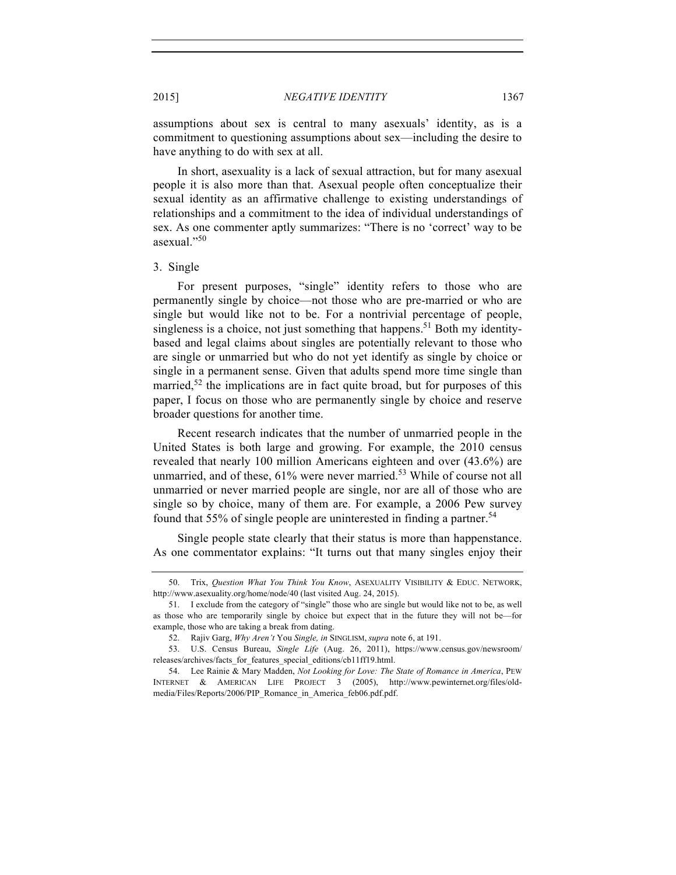assumptions about sex is central to many asexuals' identity, as is a commitment to questioning assumptions about sex—including the desire to have anything to do with sex at all.

In short, asexuality is a lack of sexual attraction, but for many asexual people it is also more than that. Asexual people often conceptualize their sexual identity as an affirmative challenge to existing understandings of relationships and a commitment to the idea of individual understandings of sex. As one commenter aptly summarizes: "There is no 'correct' way to be asexual."<sup>50</sup>

# 3. Single

For present purposes, "single" identity refers to those who are permanently single by choice—not those who are pre-married or who are single but would like not to be. For a nontrivial percentage of people, singleness is a choice, not just something that happens.<sup>51</sup> Both my identitybased and legal claims about singles are potentially relevant to those who are single or unmarried but who do not yet identify as single by choice or single in a permanent sense. Given that adults spend more time single than married,<sup>52</sup> the implications are in fact quite broad, but for purposes of this paper, I focus on those who are permanently single by choice and reserve broader questions for another time.

Recent research indicates that the number of unmarried people in the United States is both large and growing. For example, the 2010 census revealed that nearly 100 million Americans eighteen and over (43.6%) are unmarried, and of these, 61% were never married.<sup>53</sup> While of course not all unmarried or never married people are single, nor are all of those who are single so by choice, many of them are. For example, a 2006 Pew survey found that 55% of single people are uninterested in finding a partner.<sup>54</sup>

Single people state clearly that their status is more than happenstance. As one commentator explains: "It turns out that many singles enjoy their

<sup>50.</sup> Trix, *Question What You Think You Know*, ASEXUALITY VISIBILITY & EDUC. NETWORK, http://www.asexuality.org/home/node/40 (last visited Aug. 24, 2015).

<sup>51.</sup> I exclude from the category of "single" those who are single but would like not to be, as well as those who are temporarily single by choice but expect that in the future they will not be—for example, those who are taking a break from dating.

<sup>52.</sup> Rajiv Garg, *Why Aren't* You *Single, in* SINGLISM, *supra* note 6, at 191.

<sup>53.</sup> U.S. Census Bureau, *Single Life* (Aug. 26, 2011), https://www.census.gov/newsroom/ releases/archives/facts\_for\_features\_special\_editions/cb11ff19.html.

<sup>54.</sup> Lee Rainie & Mary Madden, *Not Looking for Love: The State of Romance in America*, PEW INTERNET & AMERICAN LIFE PROJECT 3 (2005), http://www.pewinternet.org/files/oldmedia/Files/Reports/2006/PIP\_Romance\_in\_America\_feb06.pdf.pdf.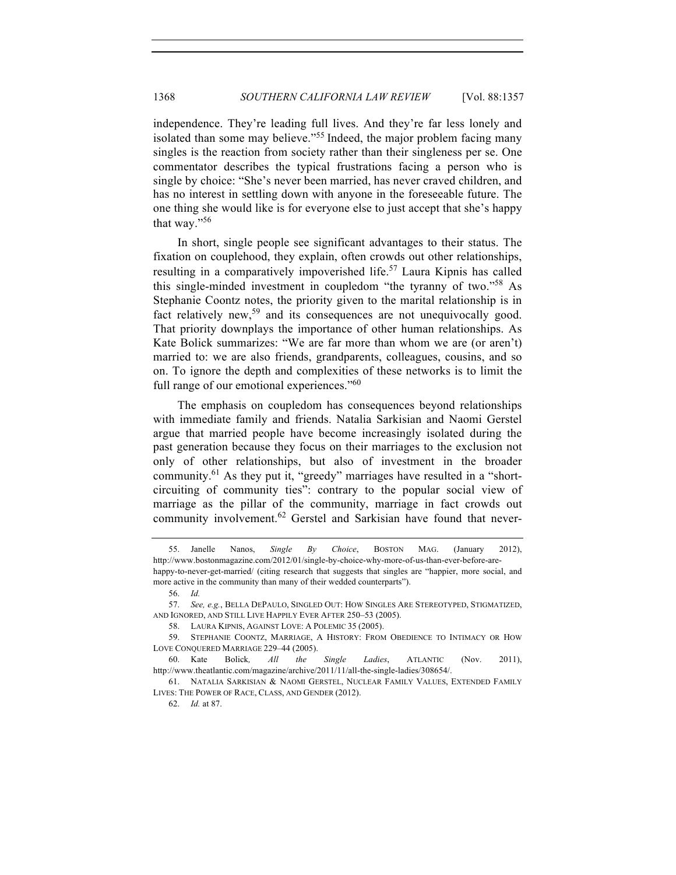independence. They're leading full lives. And they're far less lonely and isolated than some may believe."<sup>55</sup> Indeed, the major problem facing many singles is the reaction from society rather than their singleness per se. One commentator describes the typical frustrations facing a person who is single by choice: "She's never been married, has never craved children, and has no interest in settling down with anyone in the foreseeable future. The one thing she would like is for everyone else to just accept that she's happy that way."<sup>56</sup>

In short, single people see significant advantages to their status. The fixation on couplehood, they explain, often crowds out other relationships, resulting in a comparatively impoverished life.<sup>57</sup> Laura Kipnis has called this single-minded investment in coupledom "the tyranny of two."<sup>58</sup> As Stephanie Coontz notes, the priority given to the marital relationship is in fact relatively new,<sup>59</sup> and its consequences are not unequivocally good. That priority downplays the importance of other human relationships. As Kate Bolick summarizes: "We are far more than whom we are (or aren't) married to: we are also friends, grandparents, colleagues, cousins, and so on. To ignore the depth and complexities of these networks is to limit the full range of our emotional experiences."<sup>60</sup>

The emphasis on coupledom has consequences beyond relationships with immediate family and friends. Natalia Sarkisian and Naomi Gerstel argue that married people have become increasingly isolated during the past generation because they focus on their marriages to the exclusion not only of other relationships, but also of investment in the broader community.61 As they put it, "greedy" marriages have resulted in a "shortcircuiting of community ties": contrary to the popular social view of marriage as the pillar of the community, marriage in fact crowds out community involvement.<sup>62</sup> Gerstel and Sarkisian have found that never-

56. *Id.*

61. NATALIA SARKISIAN & NAOMI GERSTEL, NUCLEAR FAMILY VALUES, EXTENDED FAMILY LIVES: THE POWER OF RACE, CLASS, AND GENDER (2012).

<sup>55.</sup> Janelle Nanos, *Single By Choice*, BOSTON MAG. (January 2012), http://www.bostonmagazine.com/2012/01/single-by-choice-why-more-of-us-than-ever-before-arehappy-to-never-get-married/ (citing research that suggests that singles are "happier, more social, and more active in the community than many of their wedded counterparts").

<sup>57.</sup> *See, e.g.*, BELLA DEPAULO, SINGLED OUT: HOW SINGLES ARE STEREOTYPED, STIGMATIZED, AND IGNORED, AND STILL LIVE HAPPILY EVER AFTER 250–53 (2005).

<sup>58.</sup> LAURA KIPNIS, AGAINST LOVE: A POLEMIC 35 (2005).

<sup>59.</sup> STEPHANIE COONTZ, MARRIAGE, A HISTORY: FROM OBEDIENCE TO INTIMACY OR HOW LOVE CONQUERED MARRIAGE 229–44 (2005).

<sup>60.</sup> Kate Bolick*, All the Single Ladies*, ATLANTIC (Nov. 2011), http://www.theatlantic.com/magazine/archive/2011/11/all-the-single-ladies/308654/.

<sup>62.</sup> *Id.* at 87.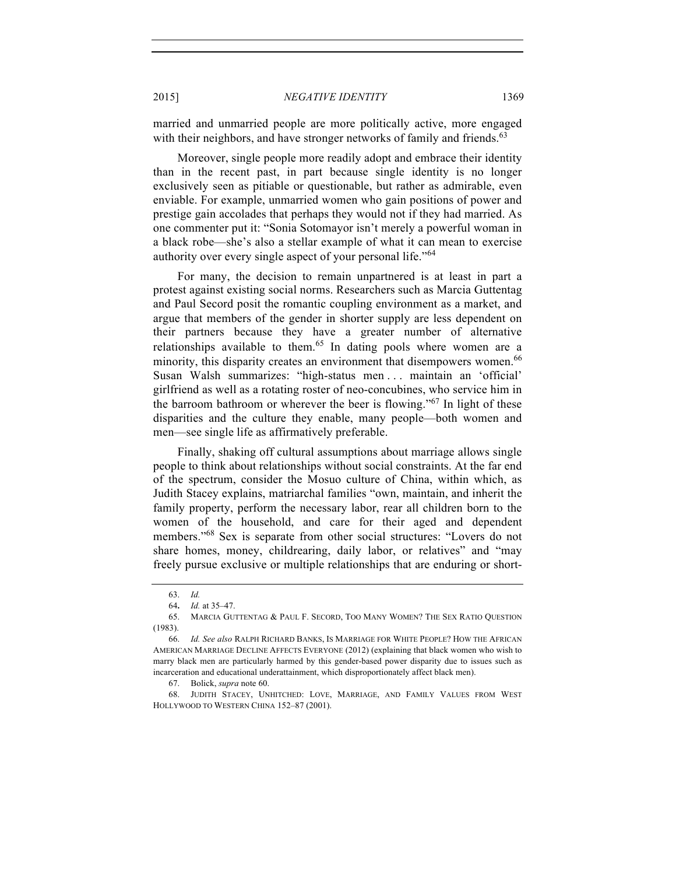married and unmarried people are more politically active, more engaged with their neighbors, and have stronger networks of family and friends.<sup>63</sup>

Moreover, single people more readily adopt and embrace their identity than in the recent past, in part because single identity is no longer exclusively seen as pitiable or questionable, but rather as admirable, even enviable. For example, unmarried women who gain positions of power and prestige gain accolades that perhaps they would not if they had married. As one commenter put it: "Sonia Sotomayor isn't merely a powerful woman in a black robe—she's also a stellar example of what it can mean to exercise authority over every single aspect of your personal life."<sup>64</sup>

For many, the decision to remain unpartnered is at least in part a protest against existing social norms. Researchers such as Marcia Guttentag and Paul Secord posit the romantic coupling environment as a market, and argue that members of the gender in shorter supply are less dependent on their partners because they have a greater number of alternative relationships available to them.<sup>65</sup> In dating pools where women are a minority, this disparity creates an environment that disempowers women.<sup>66</sup> Susan Walsh summarizes: "high-status men . . . maintain an 'official' girlfriend as well as a rotating roster of neo-concubines, who service him in the barroom bathroom or wherever the beer is flowing."<sup>67</sup> In light of these disparities and the culture they enable, many people—both women and men—see single life as affirmatively preferable.

Finally, shaking off cultural assumptions about marriage allows single people to think about relationships without social constraints. At the far end of the spectrum, consider the Mosuo culture of China, within which, as Judith Stacey explains, matriarchal families "own, maintain, and inherit the family property, perform the necessary labor, rear all children born to the women of the household, and care for their aged and dependent members."<sup>68</sup> Sex is separate from other social structures: "Lovers do not share homes, money, childrearing, daily labor, or relatives" and "may freely pursue exclusive or multiple relationships that are enduring or short-

<sup>63.</sup> *Id.*

<sup>64</sup>**.** *Id.* at 35–47.

<sup>65.</sup> MARCIA GUTTENTAG & PAUL F. SECORD, TOO MANY WOMEN? THE SEX RATIO QUESTION (1983).

<sup>66.</sup> *Id. See also* RALPH RICHARD BANKS, IS MARRIAGE FOR WHITE PEOPLE? HOW THE AFRICAN AMERICAN MARRIAGE DECLINE AFFECTS EVERYONE (2012) (explaining that black women who wish to marry black men are particularly harmed by this gender-based power disparity due to issues such as incarceration and educational underattainment, which disproportionately affect black men).

<sup>67.</sup> Bolick, *supra* note 60.

<sup>68.</sup> JUDITH STACEY, UNHITCHED: LOVE, MARRIAGE, AND FAMILY VALUES FROM WEST HOLLYWOOD TO WESTERN CHINA 152–87 (2001).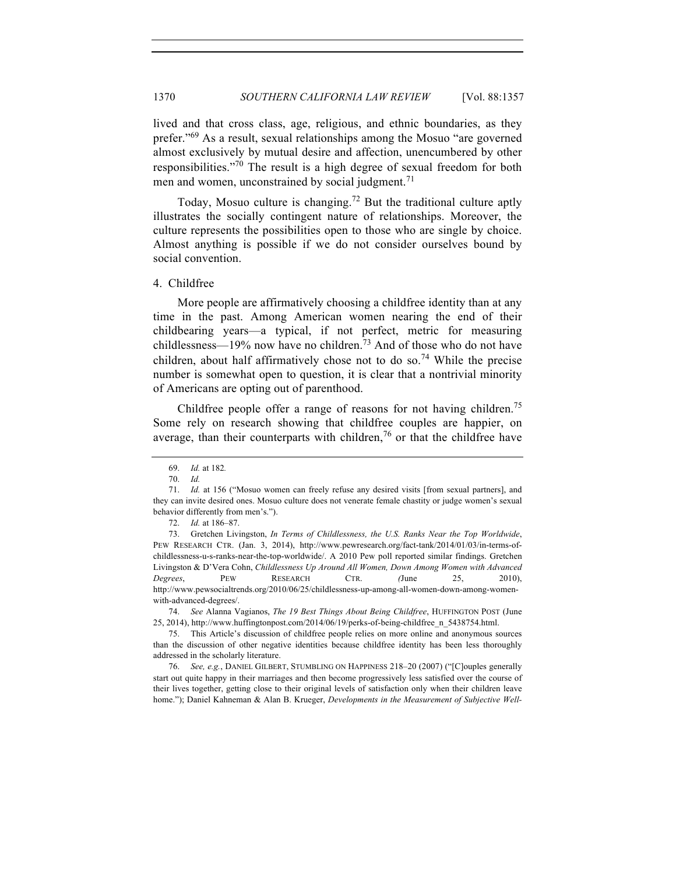lived and that cross class, age, religious, and ethnic boundaries, as they prefer."<sup>69</sup> As a result, sexual relationships among the Mosuo "are governed" almost exclusively by mutual desire and affection, unencumbered by other responsibilities."<sup>70</sup> The result is a high degree of sexual freedom for both men and women, unconstrained by social judgment.<sup>71</sup>

Today, Mosuo culture is changing.<sup>72</sup> But the traditional culture aptly illustrates the socially contingent nature of relationships. Moreover, the culture represents the possibilities open to those who are single by choice. Almost anything is possible if we do not consider ourselves bound by social convention.

4. Childfree

More people are affirmatively choosing a childfree identity than at any time in the past. Among American women nearing the end of their childbearing years—a typical, if not perfect, metric for measuring childlessness—19% now have no children.<sup>73</sup> And of those who do not have children, about half affirmatively chose not to do so.<sup>74</sup> While the precise number is somewhat open to question, it is clear that a nontrivial minority of Americans are opting out of parenthood.

Childfree people offer a range of reasons for not having children.<sup>75</sup> Some rely on research showing that childfree couples are happier, on average, than their counterparts with children,  $\frac{76}{6}$  or that the childfree have

<sup>69.</sup> *Id.* at 182*.*

<sup>70.</sup> *Id.*

<sup>71.</sup> *Id.* at 156 ("Mosuo women can freely refuse any desired visits [from sexual partners], and they can invite desired ones. Mosuo culture does not venerate female chastity or judge women's sexual behavior differently from men's.").

<sup>72.</sup> *Id.* at 186–87.

<sup>73.</sup> Gretchen Livingston, *In Terms of Childlessness, the U.S. Ranks Near the Top Worldwide*, PEW RESEARCH CTR. (Jan. 3, 2014), http://www.pewresearch.org/fact-tank/2014/01/03/in-terms-ofchildlessness-u-s-ranks-near-the-top-worldwide/. A 2010 Pew poll reported similar findings. Gretchen Livingston & D'Vera Cohn, *Childlessness Up Around All Women, Down Among Women with Advanced Degrees*, PEW RESEARCH CTR. *(*June 25, 2010), http://www.pewsocialtrends.org/2010/06/25/childlessness-up-among-all-women-down-among-womenwith-advanced-degrees/.

<sup>74.</sup> *See* Alanna Vagianos, *The 19 Best Things About Being Childfree*, HUFFINGTON POST (June 25, 2014), http://www.huffingtonpost.com/2014/06/19/perks-of-being-childfree\_n\_5438754.html.

<sup>75.</sup> This Article's discussion of childfree people relies on more online and anonymous sources than the discussion of other negative identities because childfree identity has been less thoroughly addressed in the scholarly literature.

<sup>76.</sup> *See, e.g.*, DANIEL GILBERT, STUMBLING ON HAPPINESS 218–20 (2007) ("[C]ouples generally start out quite happy in their marriages and then become progressively less satisfied over the course of their lives together, getting close to their original levels of satisfaction only when their children leave home."); Daniel Kahneman & Alan B. Krueger, *Developments in the Measurement of Subjective Well-*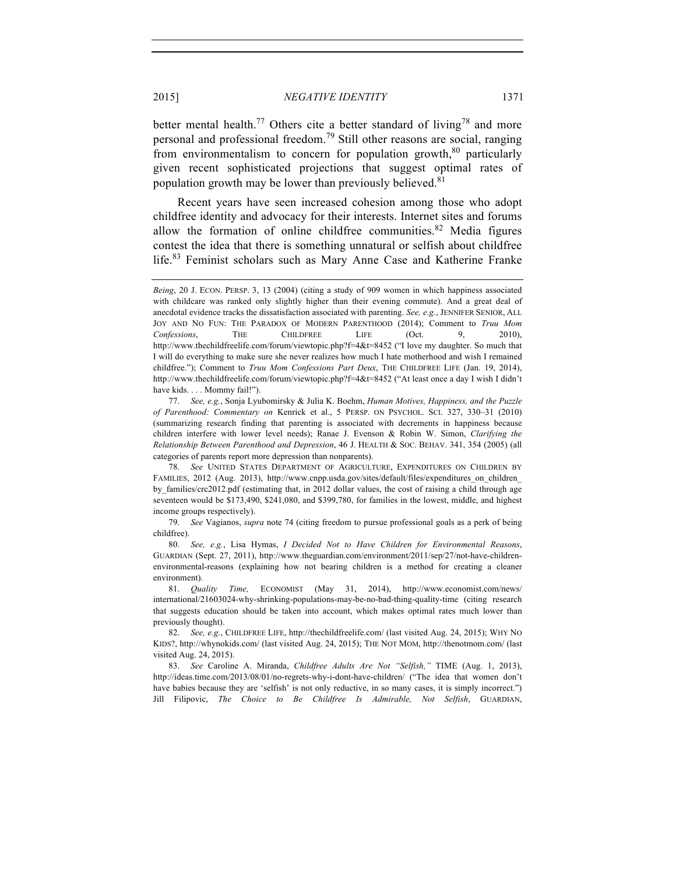better mental health.<sup>77</sup> Others cite a better standard of living<sup>78</sup> and more personal and professional freedom.<sup>79</sup> Still other reasons are social, ranging from environmentalism to concern for population growth, $80$  particularly given recent sophisticated projections that suggest optimal rates of population growth may be lower than previously believed.<sup>81</sup>

Recent years have seen increased cohesion among those who adopt childfree identity and advocacy for their interests. Internet sites and forums allow the formation of online childfree communities.<sup>82</sup> Media figures contest the idea that there is something unnatural or selfish about childfree life.<sup>83</sup> Feminist scholars such as Mary Anne Case and Katherine Franke

*Being*, 20 J. ECON. PERSP. 3, 13 (2004) (citing a study of 909 women in which happiness associated with childcare was ranked only slightly higher than their evening commute). And a great deal of anecdotal evidence tracks the dissatisfaction associated with parenting. *See, e.g.*, JENNIFER SENIOR, ALL JOY AND NO FUN: THE PARADOX OF MODERN PARENTHOOD (2014); Comment to *Truu Mom Confessions*, THE CHILDFREE LIFE (Oct. 9, 2010), http://www.thechildfreelife.com/forum/viewtopic.php?f=4&t=8452 ("I love my daughter. So much that I will do everything to make sure she never realizes how much I hate motherhood and wish I remained childfree."); Comment to *Truu Mom Confessions Part Deux*, THE CHILDFREE LIFE (Jan. 19, 2014), http://www.thechildfreelife.com/forum/viewtopic.php?f=4&t=8452 ("At least once a day I wish I didn't have kids. . . . Mommy fail!").

<sup>77.</sup> *See, e.g.*, Sonja Lyubomirsky & Julia K. Boehm, *Human Motives, Happiness, and the Puzzle of Parenthood: Commentary on* Kenrick et al., 5 PERSP. ON PSYCHOL. SCI. 327, 330–31 (2010) (summarizing research finding that parenting is associated with decrements in happiness because children interfere with lower level needs); Ranae J. Evenson & Robin W. Simon, *Clarifying the Relationship Between Parenthood and Depression*, 46 J. HEALTH & SOC. BEHAV. 341, 354 (2005) (all categories of parents report more depression than nonparents).

<sup>78.</sup> *See* UNITED STATES DEPARTMENT OF AGRICULTURE, EXPENDITURES ON CHILDREN BY FAMILIES, 2012 (Aug. 2013), http://www.cnpp.usda.gov/sites/default/files/expenditures\_on\_children\_ by\_families/crc2012.pdf (estimating that, in 2012 dollar values, the cost of raising a child through age seventeen would be \$173,490, \$241,080, and \$399,780, for families in the lowest, middle, and highest income groups respectively).

<sup>79.</sup> *See* Vagianos, *supra* note 74 (citing freedom to pursue professional goals as a perk of being childfree).

<sup>80.</sup> *See, e.g.*, Lisa Hymas, *I Decided Not to Have Children for Environmental Reasons*, GUARDIAN (Sept. 27, 2011), http://www.theguardian.com/environment/2011/sep/27/not-have-childrenenvironmental-reasons (explaining how not bearing children is a method for creating a cleaner environment).

<sup>81.</sup> *Quality Time,* ECONOMIST (May 31, 2014), http://www.economist.com/news/ international/21603024-why-shrinking-populations-may-be-no-bad-thing-quality-time (citing research that suggests education should be taken into account, which makes optimal rates much lower than previously thought).

<sup>82.</sup> *See, e.g.*, CHILDFREE LIFE, http://thechildfreelife.com/ (last visited Aug. 24, 2015); WHY NO KIDS?, http://whynokids.com/ (last visited Aug. 24, 2015); THE NOT MOM, http://thenotmom.com/ (last visited Aug. 24, 2015).

<sup>83.</sup> *See* Caroline A. Miranda, *Childfree Adults Are Not "Selfish,"* TIME (Aug. 1, 2013), http://ideas.time.com/2013/08/01/no-regrets-why-i-dont-have-children/ ("The idea that women don't have babies because they are 'selfish' is not only reductive, in so many cases, it is simply incorrect.") Jill Filipovic, *The Choice to Be Childfree Is Admirable, Not Selfish*, GUARDIAN,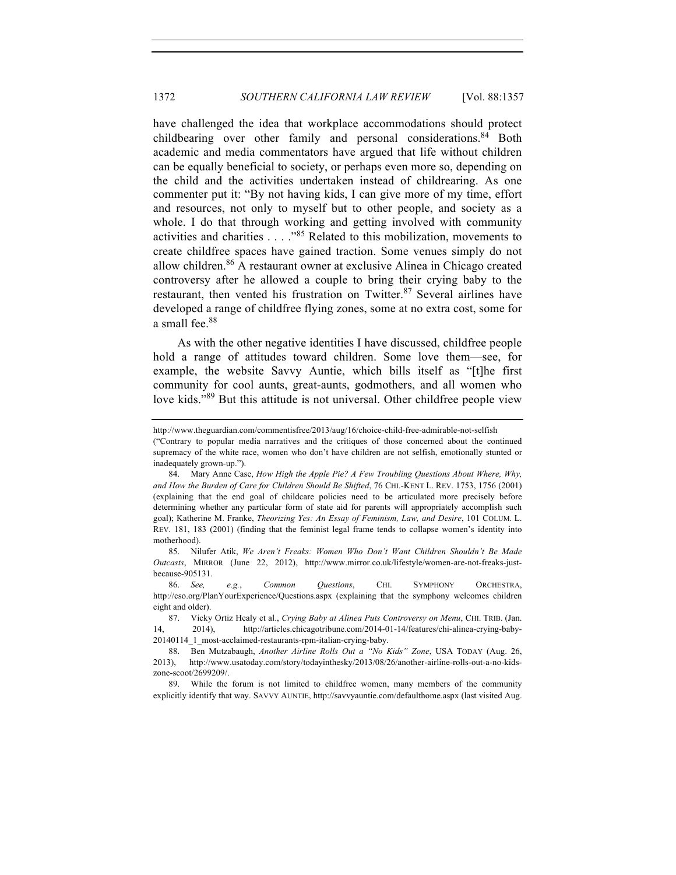have challenged the idea that workplace accommodations should protect childbearing over other family and personal considerations.<sup>84</sup> Both academic and media commentators have argued that life without children can be equally beneficial to society, or perhaps even more so, depending on the child and the activities undertaken instead of childrearing. As one commenter put it: "By not having kids, I can give more of my time, effort and resources, not only to myself but to other people, and society as a whole. I do that through working and getting involved with community activities and charities . . . ."<sup>85</sup> Related to this mobilization, movements to create childfree spaces have gained traction. Some venues simply do not allow children.<sup>86</sup> A restaurant owner at exclusive Alinea in Chicago created controversy after he allowed a couple to bring their crying baby to the restaurant, then vented his frustration on Twitter.<sup>87</sup> Several airlines have developed a range of childfree flying zones, some at no extra cost, some for a small fee.<sup>88</sup>

As with the other negative identities I have discussed, childfree people hold a range of attitudes toward children. Some love them—see, for example, the website Savvy Auntie, which bills itself as "[t]he first community for cool aunts, great-aunts, godmothers, and all women who love kids."<sup>89</sup> But this attitude is not universal. Other childfree people view

85. Nilufer Atik, *We Aren't Freaks: Women Who Don't Want Children Shouldn't Be Made Outcasts*, MIRROR (June 22, 2012), http://www.mirror.co.uk/lifestyle/women-are-not-freaks-justbecause-905131.

86. *See, e.g.*, *Common Questions*, CHI. SYMPHONY ORCHESTRA, http://cso.org/PlanYourExperience/Questions.aspx (explaining that the symphony welcomes children eight and older).

89. While the forum is not limited to childfree women, many members of the community explicitly identify that way. SAVVY AUNTIE, http://savvyauntie.com/defaulthome.aspx (last visited Aug.

http://www.theguardian.com/commentisfree/2013/aug/16/choice-child-free-admirable-not-selfish

<sup>(&</sup>quot;Contrary to popular media narratives and the critiques of those concerned about the continued supremacy of the white race, women who don't have children are not selfish, emotionally stunted or inadequately grown-up.").

<sup>84.</sup> Mary Anne Case, *How High the Apple Pie? A Few Troubling Questions About Where, Why, and How the Burden of Care for Children Should Be Shifted*, 76 CHI.-KENT L. REV. 1753, 1756 (2001) (explaining that the end goal of childcare policies need to be articulated more precisely before determining whether any particular form of state aid for parents will appropriately accomplish such goal); Katherine M. Franke, *Theorizing Yes: An Essay of Feminism, Law, and Desire*, 101 COLUM. L. REV. 181, 183 (2001) (finding that the feminist legal frame tends to collapse women's identity into motherhood).

<sup>87.</sup> Vicky Ortiz Healy et al., *Crying Baby at Alinea Puts Controversy on Menu*, CHI. TRIB. (Jan. 14, 2014), http://articles.chicagotribune.com/2014-01-14/features/chi-alinea-crying-baby-20140114\_1\_most-acclaimed-restaurants-rpm-italian-crying-baby.

<sup>88.</sup> Ben Mutzabaugh, *Another Airline Rolls Out a "No Kids" Zone*, USA TODAY (Aug. 26, 2013), http://www.usatoday.com/story/todayinthesky/2013/08/26/another-airline-rolls-out-a-no-kidszone-scoot/2699209/.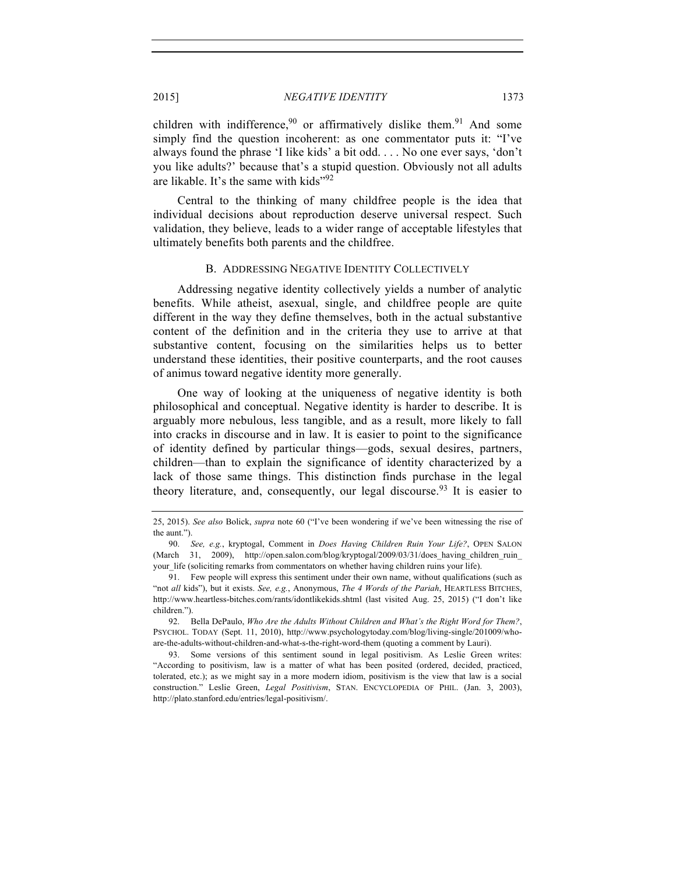children with indifference,  $90$  or affirmatively dislike them.  $91$  And some simply find the question incoherent: as one commentator puts it: "I've always found the phrase 'I like kids' a bit odd. . . . No one ever says, 'don't you like adults?' because that's a stupid question. Obviously not all adults are likable. It's the same with kids"<sup>92</sup>

Central to the thinking of many childfree people is the idea that individual decisions about reproduction deserve universal respect. Such validation, they believe, leads to a wider range of acceptable lifestyles that ultimately benefits both parents and the childfree.

#### B. ADDRESSING NEGATIVE IDENTITY COLLECTIVELY

Addressing negative identity collectively yields a number of analytic benefits. While atheist, asexual, single, and childfree people are quite different in the way they define themselves, both in the actual substantive content of the definition and in the criteria they use to arrive at that substantive content, focusing on the similarities helps us to better understand these identities, their positive counterparts, and the root causes of animus toward negative identity more generally.

One way of looking at the uniqueness of negative identity is both philosophical and conceptual. Negative identity is harder to describe. It is arguably more nebulous, less tangible, and as a result, more likely to fall into cracks in discourse and in law. It is easier to point to the significance of identity defined by particular things—gods, sexual desires, partners, children—than to explain the significance of identity characterized by a lack of those same things. This distinction finds purchase in the legal theory literature, and, consequently, our legal discourse.<sup>93</sup> It is easier to

<sup>25, 2015).</sup> *See also* Bolick, *supra* note 60 ("I've been wondering if we've been witnessing the rise of the aunt.").

<sup>90.</sup> *See, e.g.*, kryptogal, Comment in *Does Having Children Ruin Your Life?*, OPEN SALON (March 31, 2009), http://open.salon.com/blog/kryptogal/2009/03/31/does having children ruin your life (soliciting remarks from commentators on whether having children ruins your life).

<sup>91.</sup> Few people will express this sentiment under their own name, without qualifications (such as "not *all* kids"), but it exists. *See, e.g.*, Anonymous, *The 4 Words of the Pariah*, HEARTLESS BITCHES, http://www.heartless-bitches.com/rants/idontlikekids.shtml (last visited Aug. 25, 2015) ("I don't like children.").

<sup>92.</sup> Bella DePaulo, *Who Are the Adults Without Children and What's the Right Word for Them?*, PSYCHOL. TODAY (Sept. 11, 2010), http://www.psychologytoday.com/blog/living-single/201009/whoare-the-adults-without-children-and-what-s-the-right-word-them (quoting a comment by Lauri).

<sup>93.</sup> Some versions of this sentiment sound in legal positivism. As Leslie Green writes: "According to positivism, law is a matter of what has been posited (ordered, decided, practiced, tolerated, etc.); as we might say in a more modern idiom, positivism is the view that law is a social construction." Leslie Green, *Legal Positivism*, STAN. ENCYCLOPEDIA OF PHIL. (Jan. 3, 2003), http://plato.stanford.edu/entries/legal-positivism/.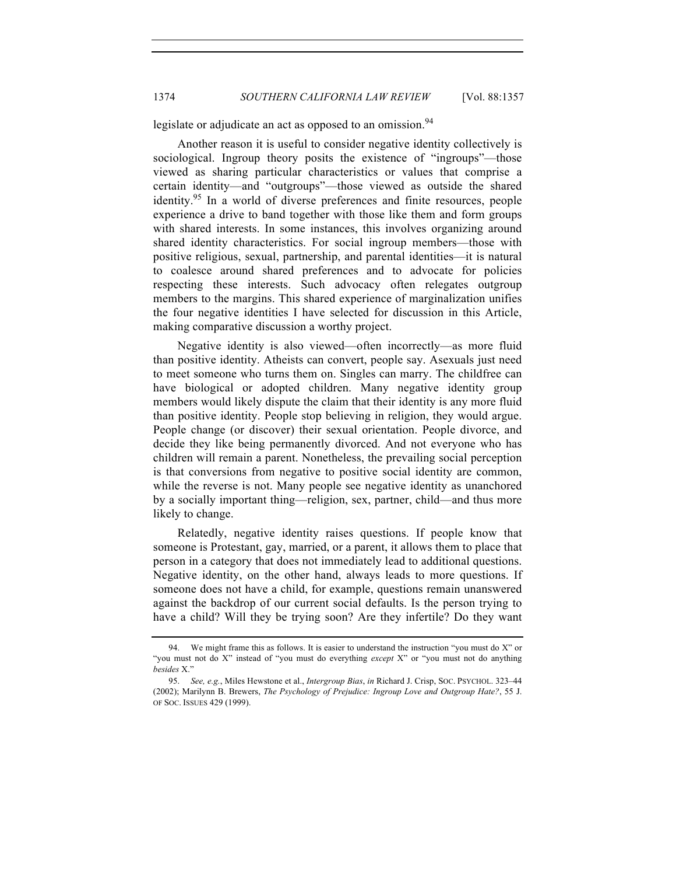legislate or adjudicate an act as opposed to an omission.<sup>94</sup>

Another reason it is useful to consider negative identity collectively is sociological. Ingroup theory posits the existence of "ingroups"—those viewed as sharing particular characteristics or values that comprise a certain identity—and "outgroups"—those viewed as outside the shared identity.<sup>95</sup> In a world of diverse preferences and finite resources, people experience a drive to band together with those like them and form groups with shared interests. In some instances, this involves organizing around shared identity characteristics. For social ingroup members—those with positive religious, sexual, partnership, and parental identities—it is natural to coalesce around shared preferences and to advocate for policies respecting these interests. Such advocacy often relegates outgroup members to the margins. This shared experience of marginalization unifies the four negative identities I have selected for discussion in this Article, making comparative discussion a worthy project.

Negative identity is also viewed—often incorrectly—as more fluid than positive identity. Atheists can convert, people say. Asexuals just need to meet someone who turns them on. Singles can marry. The childfree can have biological or adopted children. Many negative identity group members would likely dispute the claim that their identity is any more fluid than positive identity. People stop believing in religion, they would argue. People change (or discover) their sexual orientation. People divorce, and decide they like being permanently divorced. And not everyone who has children will remain a parent. Nonetheless, the prevailing social perception is that conversions from negative to positive social identity are common, while the reverse is not. Many people see negative identity as unanchored by a socially important thing—religion, sex, partner, child—and thus more likely to change.

Relatedly, negative identity raises questions. If people know that someone is Protestant, gay, married, or a parent, it allows them to place that person in a category that does not immediately lead to additional questions. Negative identity, on the other hand, always leads to more questions. If someone does not have a child, for example, questions remain unanswered against the backdrop of our current social defaults. Is the person trying to have a child? Will they be trying soon? Are they infertile? Do they want

<sup>94.</sup> We might frame this as follows. It is easier to understand the instruction "you must do X" or "you must not do X" instead of "you must do everything *except* X" or "you must not do anything *besides* X."

<sup>95.</sup> *See, e.g.*, Miles Hewstone et al., *Intergroup Bias*, *in* Richard J. Crisp, SOC. PSYCHOL. 323–44 (2002); Marilynn B. Brewers, *The Psychology of Prejudice: Ingroup Love and Outgroup Hate?*, 55 J. OF SOC. ISSUES 429 (1999).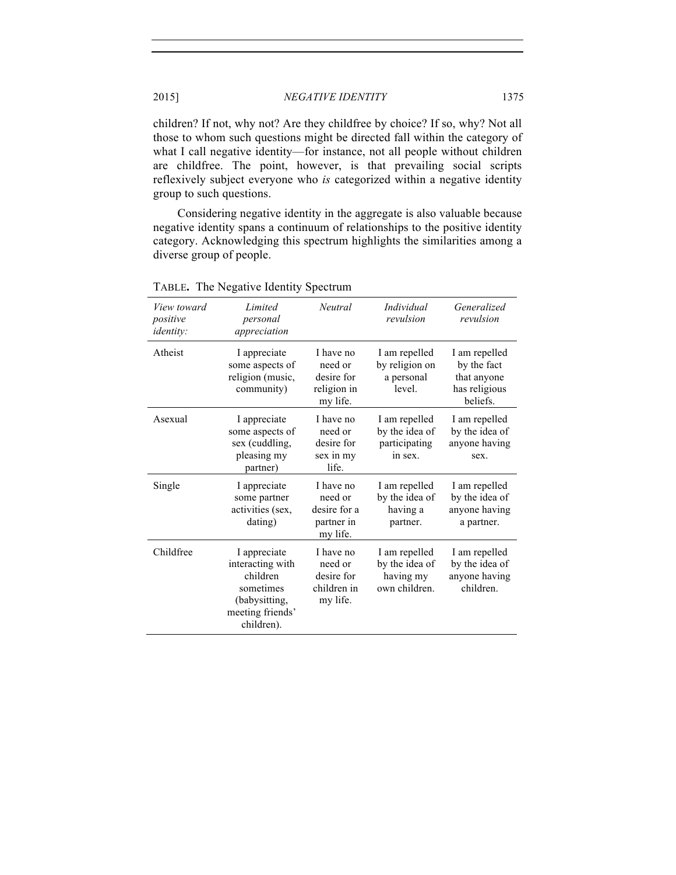children? If not, why not? Are they childfree by choice? If so, why? Not all those to whom such questions might be directed fall within the category of what I call negative identity—for instance, not all people without children are childfree. The point, however, is that prevailing social scripts reflexively subject everyone who *is* categorized within a negative identity group to such questions.

Considering negative identity in the aggregate is also valuable because negative identity spans a continuum of relationships to the positive identity category. Acknowledging this spectrum highlights the similarities among a diverse group of people.

| View toward<br>positive<br><i>identity:</i> | Limited<br>personal<br>appreciation                                                                          | Neutral                                                        | <i>Individual</i><br>revulsion                                | Generalized<br>revulsion                                                 |
|---------------------------------------------|--------------------------------------------------------------------------------------------------------------|----------------------------------------------------------------|---------------------------------------------------------------|--------------------------------------------------------------------------|
| Atheist                                     | I appreciate<br>some aspects of<br>religion (music,<br>community)                                            | I have no<br>need or<br>desire for<br>religion in<br>my life.  | I am repelled<br>by religion on<br>a personal<br>level.       | I am repelled<br>by the fact<br>that anyone<br>has religious<br>beliefs. |
| Asexual                                     | I appreciate<br>some aspects of<br>sex (cuddling,<br>pleasing my<br>partner)                                 | I have no<br>need or<br>desire for<br>sex in my<br>life.       | I am repelled<br>by the idea of<br>participating<br>in sex.   | I am repelled<br>by the idea of<br>anyone having<br>sex.                 |
| Single                                      | I appreciate<br>some partner<br>activities (sex,<br>dating)                                                  | I have no<br>need or<br>desire for a<br>partner in<br>my life. | I am repelled<br>by the idea of<br>having a<br>partner.       | I am repelled<br>by the idea of<br>anyone having<br>a partner.           |
| Childfree                                   | I appreciate<br>interacting with<br>children<br>sometimes<br>(babysitting,<br>meeting friends'<br>children). | I have no<br>need or<br>desire for<br>children in<br>my life.  | I am repelled<br>by the idea of<br>having my<br>own children. | I am repelled<br>by the idea of<br>anyone having<br>children.            |

# TABLE**.** The Negative Identity Spectrum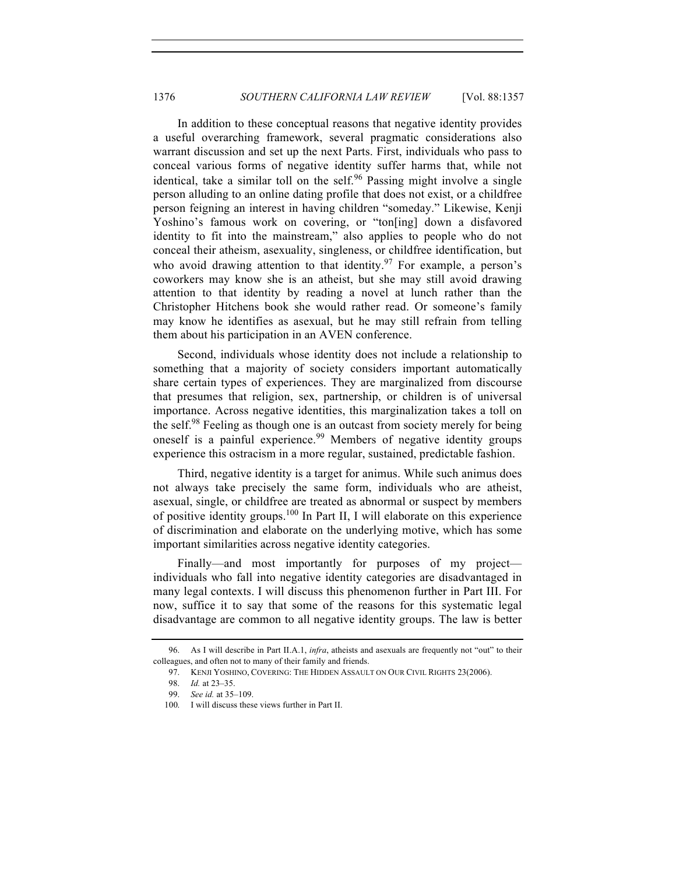In addition to these conceptual reasons that negative identity provides a useful overarching framework, several pragmatic considerations also warrant discussion and set up the next Parts. First, individuals who pass to conceal various forms of negative identity suffer harms that, while not identical, take a similar toll on the self. $96$  Passing might involve a single person alluding to an online dating profile that does not exist, or a childfree person feigning an interest in having children "someday." Likewise, Kenji Yoshino's famous work on covering, or "ton[ing] down a disfavored identity to fit into the mainstream," also applies to people who do not conceal their atheism, asexuality, singleness, or childfree identification, but who avoid drawing attention to that identity.<sup>97</sup> For example, a person's coworkers may know she is an atheist, but she may still avoid drawing attention to that identity by reading a novel at lunch rather than the Christopher Hitchens book she would rather read. Or someone's family may know he identifies as asexual, but he may still refrain from telling them about his participation in an AVEN conference.

Second, individuals whose identity does not include a relationship to something that a majority of society considers important automatically share certain types of experiences. They are marginalized from discourse that presumes that religion, sex, partnership, or children is of universal importance. Across negative identities, this marginalization takes a toll on the self.<sup>98</sup> Feeling as though one is an outcast from society merely for being oneself is a painful experience.<sup>99</sup> Members of negative identity groups experience this ostracism in a more regular, sustained, predictable fashion.

Third, negative identity is a target for animus. While such animus does not always take precisely the same form, individuals who are atheist, asexual, single, or childfree are treated as abnormal or suspect by members of positive identity groups.<sup>100</sup> In Part II, I will elaborate on this experience of discrimination and elaborate on the underlying motive, which has some important similarities across negative identity categories.

Finally—and most importantly for purposes of my project individuals who fall into negative identity categories are disadvantaged in many legal contexts. I will discuss this phenomenon further in Part III. For now, suffice it to say that some of the reasons for this systematic legal disadvantage are common to all negative identity groups. The law is better

<sup>96.</sup> As I will describe in Part II.A.1, *infra*, atheists and asexuals are frequently not "out" to their colleagues, and often not to many of their family and friends.

<sup>97.</sup> KENJI YOSHINO, COVERING: THE HIDDEN ASSAULT ON OUR CIVIL RIGHTS 23(2006).

<sup>98.</sup> *Id.* at 23–35.

<sup>99.</sup> *See id.* at 35–109.

<sup>100.</sup> I will discuss these views further in Part II.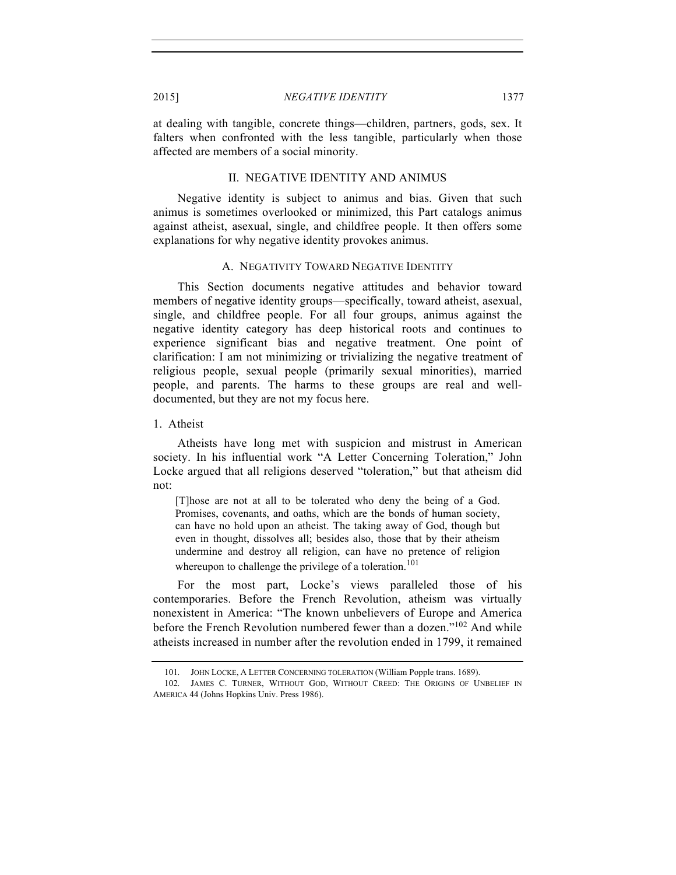at dealing with tangible, concrete things—children, partners, gods, sex. It falters when confronted with the less tangible, particularly when those affected are members of a social minority.

#### II. NEGATIVE IDENTITY AND ANIMUS

Negative identity is subject to animus and bias. Given that such animus is sometimes overlooked or minimized, this Part catalogs animus against atheist, asexual, single, and childfree people. It then offers some explanations for why negative identity provokes animus.

#### A. NEGATIVITY TOWARD NEGATIVE IDENTITY

This Section documents negative attitudes and behavior toward members of negative identity groups—specifically, toward atheist, asexual, single, and childfree people. For all four groups, animus against the negative identity category has deep historical roots and continues to experience significant bias and negative treatment. One point of clarification: I am not minimizing or trivializing the negative treatment of religious people, sexual people (primarily sexual minorities), married people, and parents. The harms to these groups are real and welldocumented, but they are not my focus here.

1. Atheist

Atheists have long met with suspicion and mistrust in American society. In his influential work "A Letter Concerning Toleration," John Locke argued that all religions deserved "toleration," but that atheism did not:

[T]hose are not at all to be tolerated who deny the being of a God. Promises, covenants, and oaths, which are the bonds of human society, can have no hold upon an atheist. The taking away of God, though but even in thought, dissolves all; besides also, those that by their atheism undermine and destroy all religion, can have no pretence of religion whereupon to challenge the privilege of a toleration.<sup>101</sup>

For the most part, Locke's views paralleled those of his contemporaries. Before the French Revolution, atheism was virtually nonexistent in America: "The known unbelievers of Europe and America before the French Revolution numbered fewer than a dozen."<sup>102</sup> And while atheists increased in number after the revolution ended in 1799, it remained

<sup>101.</sup> JOHN LOCKE, A LETTER CONCERNING TOLERATION (William Popple trans. 1689).

<sup>102.</sup> JAMES C. TURNER, WITHOUT GOD, WITHOUT CREED: THE ORIGINS OF UNBELIEF IN AMERICA 44 (Johns Hopkins Univ. Press 1986).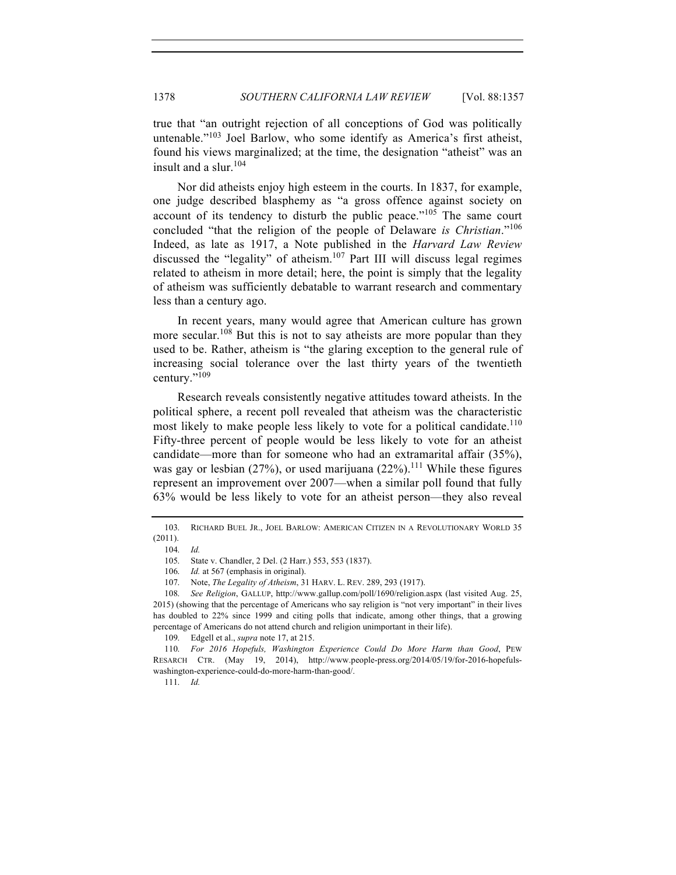true that "an outright rejection of all conceptions of God was politically untenable. $103$  Joel Barlow, who some identify as America's first atheist, found his views marginalized; at the time, the designation "atheist" was an insult and a slur.<sup>104</sup>

Nor did atheists enjoy high esteem in the courts. In 1837, for example, one judge described blasphemy as "a gross offence against society on account of its tendency to disturb the public peace." $105$  The same court concluded "that the religion of the people of Delaware *is Christian*."<sup>106</sup> Indeed, as late as 1917, a Note published in the *Harvard Law Review* discussed the "legality" of atheism.<sup>107</sup> Part III will discuss legal regimes related to atheism in more detail; here, the point is simply that the legality of atheism was sufficiently debatable to warrant research and commentary less than a century ago.

In recent years, many would agree that American culture has grown more secular.<sup>108</sup> But this is not to say atheists are more popular than they used to be. Rather, atheism is "the glaring exception to the general rule of increasing social tolerance over the last thirty years of the twentieth century."<sup>109</sup>

Research reveals consistently negative attitudes toward atheists. In the political sphere, a recent poll revealed that atheism was the characteristic most likely to make people less likely to vote for a political candidate.<sup>110</sup> Fifty-three percent of people would be less likely to vote for an atheist candidate—more than for someone who had an extramarital affair (35%), was gay or lesbian  $(27\%)$ , or used marijuana  $(22\%)$ .<sup>111</sup> While these figures represent an improvement over 2007—when a similar poll found that fully 63% would be less likely to vote for an atheist person—they also reveal

111. *Id.*

<sup>103.</sup> RICHARD BUEL JR., JOEL BARLOW: AMERICAN CITIZEN IN A REVOLUTIONARY WORLD 35 (2011).

<sup>104.</sup> *Id.*

<sup>105.</sup> State v. Chandler, 2 Del. (2 Harr.) 553, 553 (1837).

<sup>106.</sup> *Id.* at 567 (emphasis in original).

<sup>107.</sup> Note, *The Legality of Atheism*, 31 HARV. L. REV. 289, 293 (1917).

<sup>108.</sup> *See Religion*, GALLUP, http://www.gallup.com/poll/1690/religion.aspx (last visited Aug. 25, 2015) (showing that the percentage of Americans who say religion is "not very important" in their lives has doubled to 22% since 1999 and citing polls that indicate, among other things, that a growing percentage of Americans do not attend church and religion unimportant in their life).

<sup>109.</sup> Edgell et al., *supra* note 17, at 215.

<sup>110.</sup> *For 2016 Hopefuls, Washington Experience Could Do More Harm than Good*, PEW RESARCH CTR. (May 19, 2014), http://www.people-press.org/2014/05/19/for-2016-hopefulswashington-experience-could-do-more-harm-than-good/.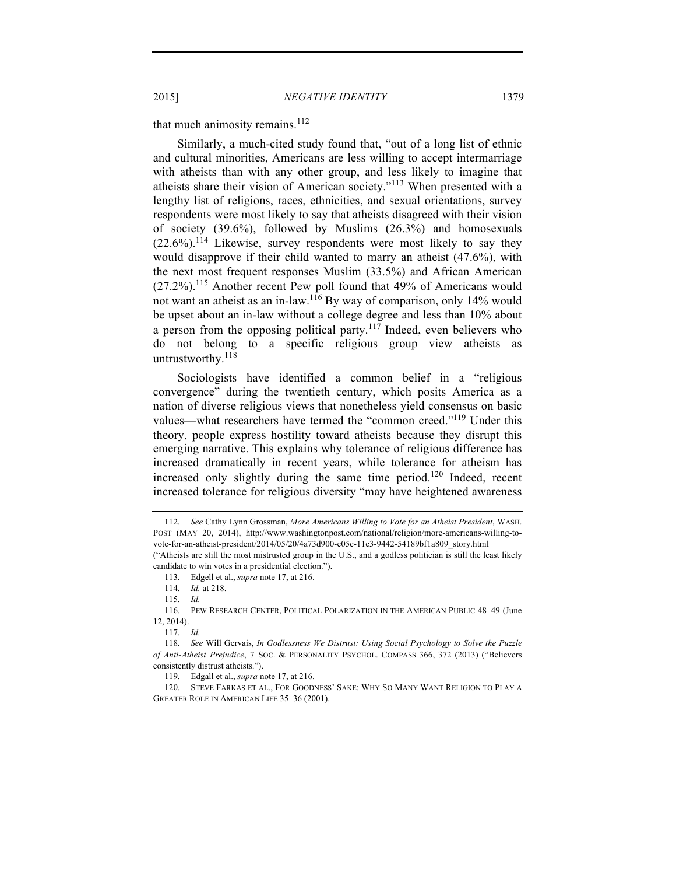that much animosity remains.<sup>112</sup>

Similarly, a much-cited study found that, "out of a long list of ethnic and cultural minorities, Americans are less willing to accept intermarriage with atheists than with any other group, and less likely to imagine that atheists share their vision of American society."<sup>113</sup> When presented with a lengthy list of religions, races, ethnicities, and sexual orientations, survey respondents were most likely to say that atheists disagreed with their vision of society (39.6%), followed by Muslims (26.3%) and homosexuals  $(22.6\%)$ .<sup>114</sup> Likewise, survey respondents were most likely to say they would disapprove if their child wanted to marry an atheist (47.6%), with the next most frequent responses Muslim (33.5%) and African American (27.2%).115 Another recent Pew poll found that 49% of Americans would not want an atheist as an in-law.116 By way of comparison, only 14% would be upset about an in-law without a college degree and less than 10% about a person from the opposing political party. $117$  Indeed, even believers who do not belong to a specific religious group view atheists as untrustworthy. $118$ 

Sociologists have identified a common belief in a "religious convergence" during the twentieth century, which posits America as a nation of diverse religious views that nonetheless yield consensus on basic values—what researchers have termed the "common creed."<sup>119</sup> Under this theory, people express hostility toward atheists because they disrupt this emerging narrative. This explains why tolerance of religious difference has increased dramatically in recent years, while tolerance for atheism has increased only slightly during the same time period.<sup>120</sup> Indeed, recent increased tolerance for religious diversity "may have heightened awareness

<sup>112.</sup> *See* Cathy Lynn Grossman, *More Americans Willing to Vote for an Atheist President*, WASH. POST (MAY 20, 2014), http://www.washingtonpost.com/national/religion/more-americans-willing-tovote-for-an-atheist-president/2014/05/20/4a73d900-e05c-11e3-9442-54189bf1a809\_story.html

<sup>(&</sup>quot;Atheists are still the most mistrusted group in the U.S., and a godless politician is still the least likely candidate to win votes in a presidential election.").

<sup>113.</sup> Edgell et al., *supra* note 17, at 216.

<sup>114.</sup> *Id.* at 218.

<sup>115.</sup> *Id.*

<sup>116.</sup> PEW RESEARCH CENTER, POLITICAL POLARIZATION IN THE AMERICAN PUBLIC 48–49 (June 12, 2014).

 <sup>117.</sup> *Id.*

118. *See* Will Gervais, *In Godlessness We Distrust: Using Social Psychology to Solve the Puzzle of Anti-Atheist Prejudice*, 7 SOC. & PERSONALITY PSYCHOL. COMPASS 366, 372 (2013) ("Believers consistently distrust atheists.").

<sup>119.</sup> Edgall et al., *supra* note 17, at 216.

<sup>120.</sup> STEVE FARKAS ET AL., FOR GOODNESS' SAKE: WHY SO MANY WANT RELIGION TO PLAY A GREATER ROLE IN AMERICAN LIFE 35–36 (2001).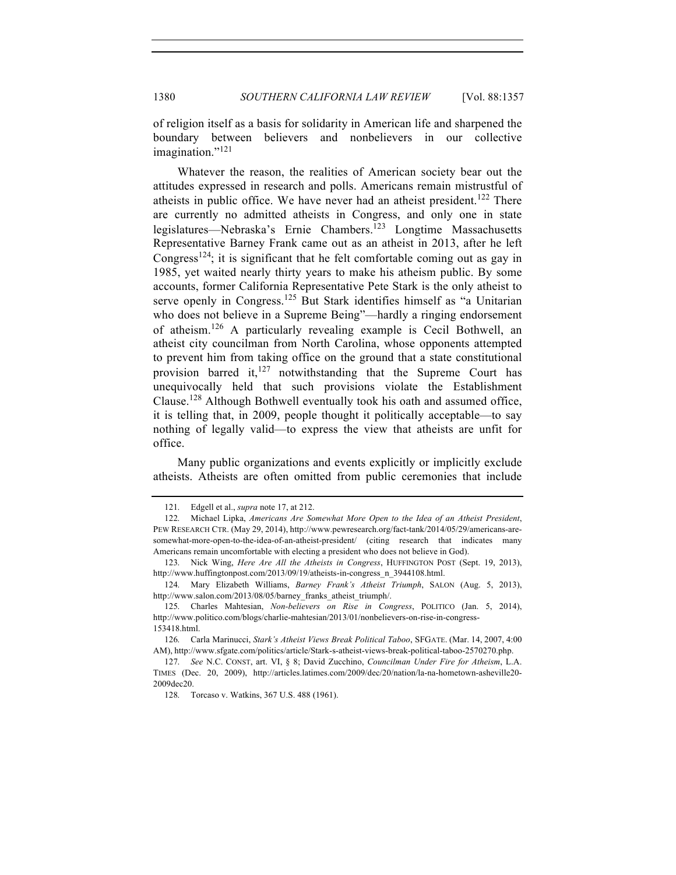of religion itself as a basis for solidarity in American life and sharpened the boundary between believers and nonbelievers in our collective imagination."<sup>121</sup>

Whatever the reason, the realities of American society bear out the attitudes expressed in research and polls. Americans remain mistrustful of atheists in public office. We have never had an atheist president.<sup>122</sup> There are currently no admitted atheists in Congress, and only one in state legislatures—Nebraska's Ernie Chambers.<sup>123</sup> Longtime Massachusetts Representative Barney Frank came out as an atheist in 2013, after he left Congress<sup>124</sup>; it is significant that he felt comfortable coming out as gay in 1985, yet waited nearly thirty years to make his atheism public. By some accounts, former California Representative Pete Stark is the only atheist to serve openly in Congress.<sup>125</sup> But Stark identifies himself as "a Unitarian who does not believe in a Supreme Being"—hardly a ringing endorsement of atheism.<sup>126</sup> A particularly revealing example is Cecil Bothwell, an atheist city councilman from North Carolina, whose opponents attempted to prevent him from taking office on the ground that a state constitutional provision barred it,  $127$  notwithstanding that the Supreme Court has unequivocally held that such provisions violate the Establishment Clause.128 Although Bothwell eventually took his oath and assumed office, it is telling that, in 2009, people thought it politically acceptable—to say nothing of legally valid—to express the view that atheists are unfit for office.

Many public organizations and events explicitly or implicitly exclude atheists. Atheists are often omitted from public ceremonies that include

<sup>121.</sup> Edgell et al., *supra* note 17, at 212.

<sup>122.</sup> Michael Lipka, *Americans Are Somewhat More Open to the Idea of an Atheist President*, PEW RESEARCH CTR. (May 29, 2014), http://www.pewresearch.org/fact-tank/2014/05/29/americans-aresomewhat-more-open-to-the-idea-of-an-atheist-president/ (citing research that indicates many Americans remain uncomfortable with electing a president who does not believe in God).

<sup>123.</sup> Nick Wing, *Here Are All the Atheists in Congress*, HUFFINGTON POST (Sept. 19, 2013), http://www.huffingtonpost.com/2013/09/19/atheists-in-congress\_n\_3944108.html.

<sup>124.</sup> Mary Elizabeth Williams, *Barney Frank's Atheist Triumph*, SALON (Aug. 5, 2013), http://www.salon.com/2013/08/05/barney\_franks\_atheist\_triumph/.

 <sup>125.</sup> Charles Mahtesian, *Non-believers on Rise in Congress*, POLITICO (Jan. 5, 2014), http://www.politico.com/blogs/charlie-mahtesian/2013/01/nonbelievers-on-rise-in-congress-153418.html.

<sup>126.</sup> Carla Marinucci, *Stark's Atheist Views Break Political Taboo*, SFGATE. (Mar. 14, 2007, 4:00 AM), http://www.sfgate.com/politics/article/Stark-s-atheist-views-break-political-taboo-2570270.php.

<sup>127.</sup> *See* N.C. CONST, art. VI, § 8; David Zucchino, *Councilman Under Fire for Atheism*, L.A. TIMES (Dec. 20, 2009), http://articles.latimes.com/2009/dec/20/nation/la-na-hometown-asheville20- 2009dec20.

<sup>128.</sup> Torcaso v. Watkins, 367 U.S. 488 (1961).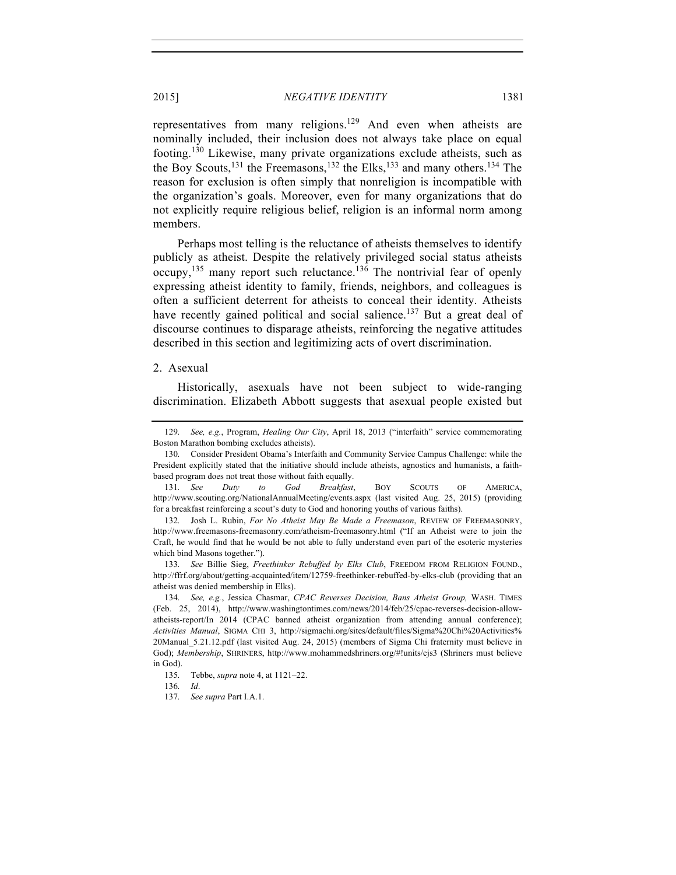representatives from many religions.<sup>129</sup> And even when atheists are nominally included, their inclusion does not always take place on equal footing.<sup>130</sup> Likewise, many private organizations exclude atheists, such as the Boy Scouts,<sup>131</sup> the Freemasons,<sup>132</sup> the Elks,<sup>133</sup> and many others.<sup>134</sup> The reason for exclusion is often simply that nonreligion is incompatible with the organization's goals. Moreover, even for many organizations that do not explicitly require religious belief, religion is an informal norm among members.

Perhaps most telling is the reluctance of atheists themselves to identify publicly as atheist. Despite the relatively privileged social status atheists occupy,  $135$  many report such reluctance.<sup>136</sup> The nontrivial fear of openly expressing atheist identity to family, friends, neighbors, and colleagues is often a sufficient deterrent for atheists to conceal their identity. Atheists have recently gained political and social salience.<sup>137</sup> But a great deal of discourse continues to disparage atheists, reinforcing the negative attitudes described in this section and legitimizing acts of overt discrimination.

#### 2. Asexual

Historically, asexuals have not been subject to wide-ranging discrimination. Elizabeth Abbott suggests that asexual people existed but

<sup>129.</sup> *See, e.g.*, Program, *Healing Our City*, April 18, 2013 ("interfaith" service commemorating Boston Marathon bombing excludes atheists).

<sup>130.</sup> Consider President Obama's Interfaith and Community Service Campus Challenge: while the President explicitly stated that the initiative should include atheists, agnostics and humanists, a faithbased program does not treat those without faith equally.

<sup>131.</sup> *See Duty to God Breakfast*, BOY SCOUTS OF AMERICA, http://www.scouting.org/NationalAnnualMeeting/events.aspx (last visited Aug. 25, 2015) (providing for a breakfast reinforcing a scout's duty to God and honoring youths of various faiths).

<sup>132.</sup> Josh L. Rubin, *For No Atheist May Be Made a Freemason*, REVIEW OF FREEMASONRY, http://www.freemasons-freemasonry.com/atheism-freemasonry.html ("If an Atheist were to join the Craft, he would find that he would be not able to fully understand even part of the esoteric mysteries which bind Masons together.").

<sup>133.</sup> *See* Billie Sieg, *Freethinker Rebuffed by Elks Club*, FREEDOM FROM RELIGION FOUND., http://ffrf.org/about/getting-acquainted/item/12759-freethinker-rebuffed-by-elks-club (providing that an atheist was denied membership in Elks).

<sup>134.</sup> *See, e.g.*, Jessica Chasmar, *CPAC Reverses Decision, Bans Atheist Group,* WASH. TIMES (Feb. 25, 2014), http://www.washingtontimes.com/news/2014/feb/25/cpac-reverses-decision-allowatheists-report/In 2014 (CPAC banned atheist organization from attending annual conference); *Activities Manual*, SIGMA CHI 3, http://sigmachi.org/sites/default/files/Sigma%20Chi%20Activities% 20Manual\_5.21.12.pdf (last visited Aug. 24, 2015) (members of Sigma Chi fraternity must believe in God); *Membership*, SHRINERS, http://www.mohammedshriners.org/#!units/cjs3 (Shriners must believe in God).

<sup>135.</sup> Tebbe, *supra* note 4, at 1121–22.

<sup>136.</sup> *Id*.

<sup>137.</sup> *See supra* Part I.A.1.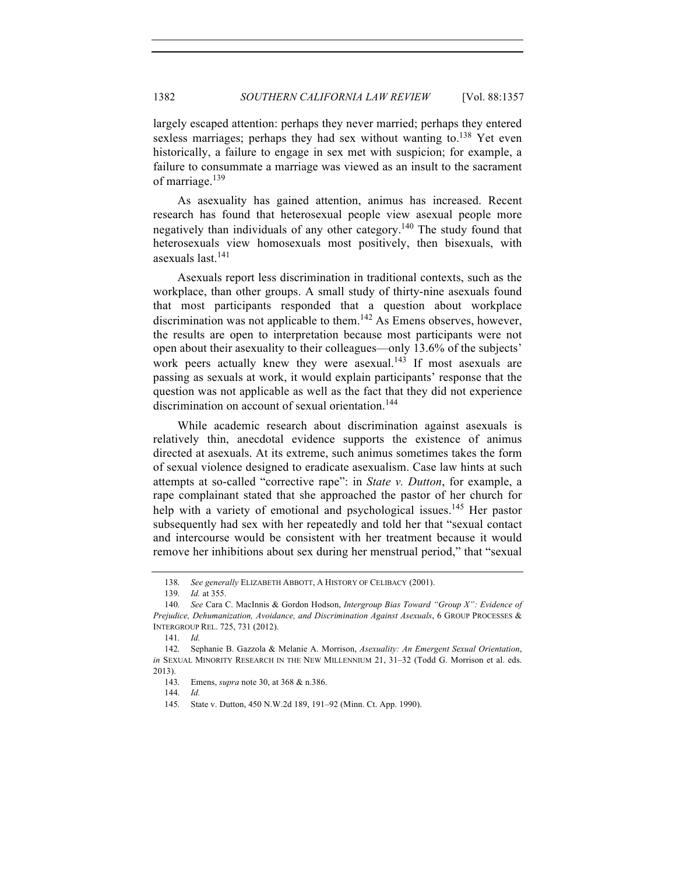largely escaped attention: perhaps they never married; perhaps they entered sexless marriages; perhaps they had sex without wanting to.<sup>138</sup> Yet even historically, a failure to engage in sex met with suspicion; for example, a failure to consummate a marriage was viewed as an insult to the sacrament of marriage.<sup>139</sup>

As asexuality has gained attention, animus has increased. Recent research has found that heterosexual people view asexual people more negatively than individuals of any other category.<sup>140</sup> The study found that heterosexuals view homosexuals most positively, then bisexuals, with asexuals last<sup>141</sup>

Asexuals report less discrimination in traditional contexts, such as the workplace, than other groups. A small study of thirty-nine asexuals found that most participants responded that a question about workplace discrimination was not applicable to them.<sup>142</sup> As Emens observes, however, the results are open to interpretation because most participants were not open about their asexuality to their colleagues—only 13.6% of the subjects' work peers actually knew they were asexual.<sup>143</sup> If most asexuals are passing as sexuals at work, it would explain participants' response that the question was not applicable as well as the fact that they did not experience discrimination on account of sexual orientation.<sup>144</sup>

While academic research about discrimination against asexuals is relatively thin, anecdotal evidence supports the existence of animus directed at asexuals. At its extreme, such animus sometimes takes the form of sexual violence designed to eradicate asexualism. Case law hints at such attempts at so-called "corrective rape": in *State v. Dutton*, for example, a rape complainant stated that she approached the pastor of her church for help with a variety of emotional and psychological issues.<sup>145</sup> Her pastor subsequently had sex with her repeatedly and told her that "sexual contact and intercourse would be consistent with her treatment because it would remove her inhibitions about sex during her menstrual period," that "sexual

<sup>138.</sup> *See generally* ELIZABETH ABBOTT, A HISTORY OF CELIBACY (2001).

<sup>139.</sup> *Id.* at 355.

<sup>140.</sup> *See* Cara C. MacInnis & Gordon Hodson, *Intergroup Bias Toward "Group X": Evidence of Prejudice, Dehumanization, Avoidance, and Discrimination Against Asexuals*, 6 GROUP PROCESSES & INTERGROUP REL. 725, 731 (2012).

<sup>141.</sup> *Id.*

<sup>142.</sup> Sephanie B. Gazzola & Melanie A. Morrison, *Asexuality: An Emergent Sexual Orientation*, *in* SEXUAL MINORITY RESEARCH IN THE NEW MILLENNIUM 21, 31–32 (Todd G. Morrison et al. eds. 2013).

<sup>143.</sup> Emens, *supra* note 30, at 368 & n.386.

<sup>144.</sup> *Id.*

<sup>145.</sup> State v. Dutton, 450 N.W.2d 189, 191–92 (Minn. Ct. App. 1990).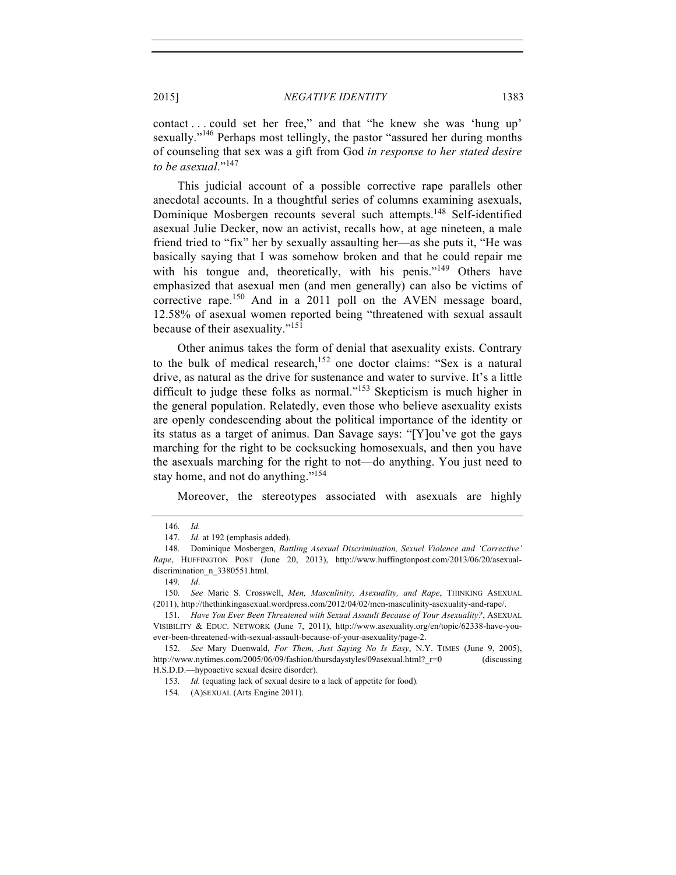contact . . . could set her free," and that "he knew she was 'hung up' sexually."<sup>146</sup> Perhaps most tellingly, the pastor "assured her during months of counseling that sex was a gift from God *in response to her stated desire to be asexual*."<sup>147</sup>

This judicial account of a possible corrective rape parallels other anecdotal accounts. In a thoughtful series of columns examining asexuals, Dominique Mosbergen recounts several such attempts.<sup>148</sup> Self-identified asexual Julie Decker, now an activist, recalls how, at age nineteen, a male friend tried to "fix" her by sexually assaulting her—as she puts it, "He was basically saying that I was somehow broken and that he could repair me with his tongue and, theoretically, with his penis."<sup>149</sup> Others have emphasized that asexual men (and men generally) can also be victims of corrective rape.<sup>150</sup> And in a 2011 poll on the AVEN message board, 12.58% of asexual women reported being "threatened with sexual assault because of their asexuality."<sup>151</sup>

Other animus takes the form of denial that asexuality exists. Contrary to the bulk of medical research,<sup>152</sup> one doctor claims: "Sex is a natural drive, as natural as the drive for sustenance and water to survive. It's a little difficult to judge these folks as normal."<sup>153</sup> Skepticism is much higher in the general population. Relatedly, even those who believe asexuality exists are openly condescending about the political importance of the identity or its status as a target of animus. Dan Savage says: "[Y]ou've got the gays marching for the right to be cocksucking homosexuals, and then you have the asexuals marching for the right to not—do anything. You just need to stay home, and not do anything."<sup>154</sup>

Moreover, the stereotypes associated with asexuals are highly

 <sup>146.</sup> *Id.*

<sup>147.</sup> *Id.* at 192 (emphasis added).

<sup>148.</sup> Dominique Mosbergen, *Battling Asexual Discrimination, Sexuel Violence and 'Corrective' Rape*, HUFFINGTON POST (June 20, 2013), http://www.huffingtonpost.com/2013/06/20/asexualdiscrimination\_n\_3380551.html.

<sup>149.</sup> *Id*.

<sup>150.</sup> *See* Marie S. Crosswell, *Men, Masculinity, Asexuality, and Rape*, THINKING ASEXUAL (2011), http://thethinkingasexual.wordpress.com/2012/04/02/men-masculinity-asexuality-and-rape/.

<sup>151.</sup> *Have You Ever Been Threatened with Sexual Assault Because of Your Asexuality?*, ASEXUAL VISIBILITY & EDUC. NETWORK (June 7, 2011), http://www.asexuality.org/en/topic/62338-have-youever-been-threatened-with-sexual-assault-because-of-your-asexuality/page-2.

<sup>152.</sup> *See* Mary Duenwald, *For Them, Just Saying No Is Easy*, N.Y. TIMES (June 9, 2005), http://www.nytimes.com/2005/06/09/fashion/thursdaystyles/09asexual.html? r=0 (discussing H.S.D.D.—hypoactive sexual desire disorder).

<sup>153.</sup> *Id.* (equating lack of sexual desire to a lack of appetite for food)*.*

<sup>154.</sup> (A)SEXUAL (Arts Engine 2011).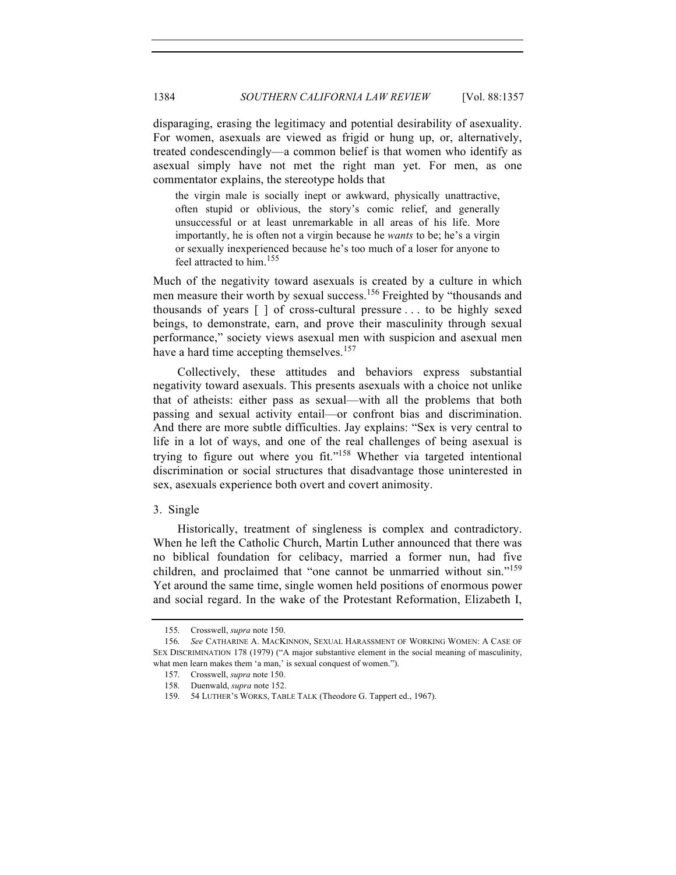disparaging, erasing the legitimacy and potential desirability of asexuality. For women, asexuals are viewed as frigid or hung up, or, alternatively, treated condescendingly—a common belief is that women who identify as asexual simply have not met the right man yet. For men, as one commentator explains, the stereotype holds that

the virgin male is socially inept or awkward, physically unattractive, often stupid or oblivious, the story's comic relief, and generally unsuccessful or at least unremarkable in all areas of his life. More importantly, he is often not a virgin because he *wants* to be; he's a virgin or sexually inexperienced because he's too much of a loser for anyone to feel attracted to him.<sup>155</sup>

Much of the negativity toward asexuals is created by a culture in which men measure their worth by sexual success.<sup>156</sup> Freighted by "thousands and thousands of years [ ] of cross-cultural pressure . . . to be highly sexed beings, to demonstrate, earn, and prove their masculinity through sexual performance," society views asexual men with suspicion and asexual men have a hard time accepting themselves.<sup>157</sup>

Collectively, these attitudes and behaviors express substantial negativity toward asexuals. This presents asexuals with a choice not unlike that of atheists: either pass as sexual—with all the problems that both passing and sexual activity entail—or confront bias and discrimination. And there are more subtle difficulties. Jay explains: "Sex is very central to life in a lot of ways, and one of the real challenges of being asexual is trying to figure out where you fit."<sup>158</sup> Whether via targeted intentional discrimination or social structures that disadvantage those uninterested in sex, asexuals experience both overt and covert animosity.

#### 3. Single

Historically, treatment of singleness is complex and contradictory. When he left the Catholic Church, Martin Luther announced that there was no biblical foundation for celibacy, married a former nun, had five children, and proclaimed that "one cannot be unmarried without sin."<sup>159</sup> Yet around the same time, single women held positions of enormous power and social regard. In the wake of the Protestant Reformation, Elizabeth I,

<sup>155.</sup> Crosswell, *supra* note 150.

<sup>156.</sup> *See* CATHARINE A. MACKINNON, SEXUAL HARASSMENT OF WORKING WOMEN: A CASE OF SEX DISCRIMINATION 178 (1979) ("A major substantive element in the social meaning of masculinity, what men learn makes them 'a man,' is sexual conquest of women.").

<sup>157.</sup> Crosswell, *supra* note 150.

<sup>158.</sup> Duenwald, *supra* note 152.

<sup>159.</sup> 54 LUTHER'S WORKS, TABLE TALK (Theodore G. Tappert ed., 1967).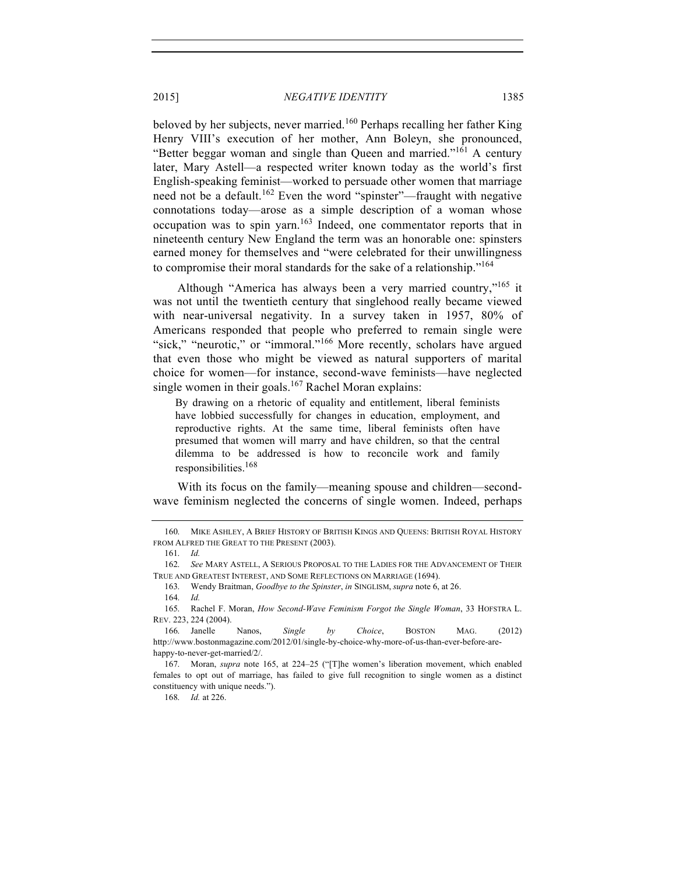beloved by her subjects, never married.<sup>160</sup> Perhaps recalling her father King Henry VIII's execution of her mother, Ann Boleyn, she pronounced, "Better beggar woman and single than Queen and married."<sup>161</sup> A century later, Mary Astell—a respected writer known today as the world's first English-speaking feminist—worked to persuade other women that marriage need not be a default.<sup>162</sup> Even the word "spinster"—fraught with negative connotations today—arose as a simple description of a woman whose occupation was to spin yarn.<sup>163</sup> Indeed, one commentator reports that in nineteenth century New England the term was an honorable one: spinsters earned money for themselves and "were celebrated for their unwillingness to compromise their moral standards for the sake of a relationship."<sup>164</sup>

Although "America has always been a very married country,"<sup>165</sup> it was not until the twentieth century that singlehood really became viewed with near-universal negativity. In a survey taken in 1957, 80% of Americans responded that people who preferred to remain single were "sick," "neurotic," or "immoral."<sup>166</sup> More recently, scholars have argued that even those who might be viewed as natural supporters of marital choice for women—for instance, second-wave feminists—have neglected single women in their goals.<sup>167</sup> Rachel Moran explains:

By drawing on a rhetoric of equality and entitlement, liberal feminists have lobbied successfully for changes in education, employment, and reproductive rights. At the same time, liberal feminists often have presumed that women will marry and have children, so that the central dilemma to be addressed is how to reconcile work and family responsibilities.<sup>168</sup>

With its focus on the family—meaning spouse and children—secondwave feminism neglected the concerns of single women. Indeed, perhaps

168. *Id.* at 226.

<sup>160.</sup> MIKE ASHLEY, A BRIEF HISTORY OF BRITISH KINGS AND QUEENS: BRITISH ROYAL HISTORY FROM ALFRED THE GREAT TO THE PRESENT (2003).

<sup>161.</sup> *Id.*

<sup>162.</sup> *See* MARY ASTELL, A SERIOUS PROPOSAL TO THE LADIES FOR THE ADVANCEMENT OF THEIR TRUE AND GREATEST INTEREST, AND SOME REFLECTIONS ON MARRIAGE (1694).

<sup>163.</sup> Wendy Braitman, *Goodbye to the Spinster*, *in* SINGLISM, *supra* note 6, at 26.

<sup>164.</sup> *Id.*

<sup>165.</sup> Rachel F. Moran, *How Second-Wave Feminism Forgot the Single Woman*, 33 HOFSTRA L. REV. 223, 224 (2004).

<sup>166.</sup> Janelle Nanos, *Single by Choice*, BOSTON MAG. (2012) http://www.bostonmagazine.com/2012/01/single-by-choice-why-more-of-us-than-ever-before-arehappy-to-never-get-married/2/.

<sup>167.</sup> Moran, *supra* note 165, at 224–25 ("[T]he women's liberation movement, which enabled females to opt out of marriage, has failed to give full recognition to single women as a distinct constituency with unique needs.").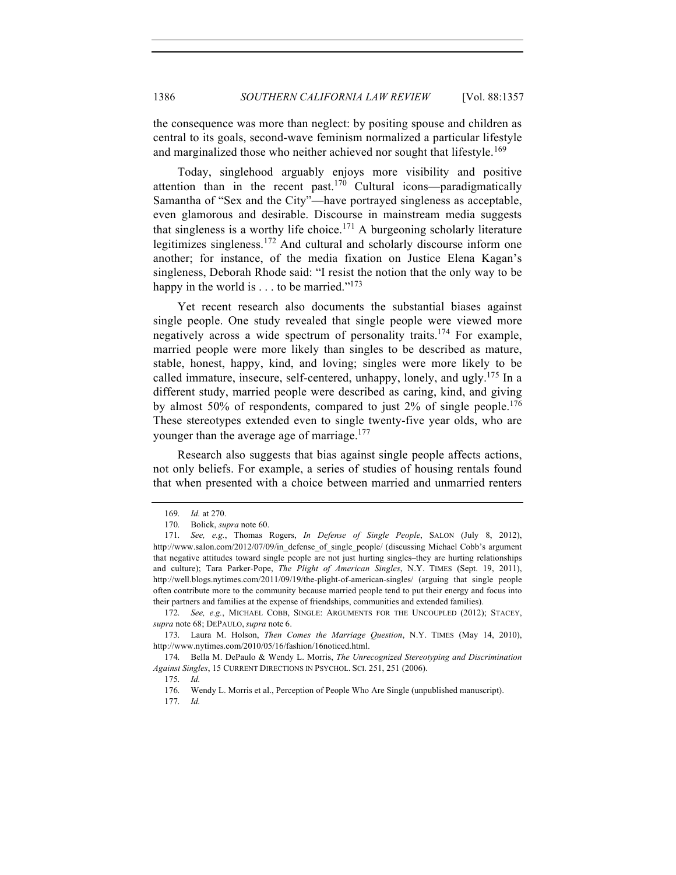the consequence was more than neglect: by positing spouse and children as central to its goals, second-wave feminism normalized a particular lifestyle and marginalized those who neither achieved nor sought that lifestyle.<sup>169</sup>

Today, singlehood arguably enjoys more visibility and positive attention than in the recent past.<sup>170</sup> Cultural icons—paradigmatically Samantha of "Sex and the City"—have portrayed singleness as acceptable, even glamorous and desirable. Discourse in mainstream media suggests that singleness is a worthy life choice.<sup>171</sup> A burgeoning scholarly literature legitimizes singleness.<sup>172</sup> And cultural and scholarly discourse inform one another; for instance, of the media fixation on Justice Elena Kagan's singleness, Deborah Rhode said: "I resist the notion that the only way to be happy in the world is  $\dots$  to be married."<sup>173</sup>

Yet recent research also documents the substantial biases against single people. One study revealed that single people were viewed more negatively across a wide spectrum of personality traits.<sup>174</sup> For example, married people were more likely than singles to be described as mature, stable, honest, happy, kind, and loving; singles were more likely to be called immature, insecure, self-centered, unhappy, lonely, and ugly.<sup>175</sup> In a different study, married people were described as caring, kind, and giving by almost 50% of respondents, compared to just  $2\%$  of single people.<sup>176</sup> These stereotypes extended even to single twenty-five year olds, who are younger than the average age of marriage.<sup>177</sup>

Research also suggests that bias against single people affects actions, not only beliefs. For example, a series of studies of housing rentals found that when presented with a choice between married and unmarried renters

<sup>169.</sup> *Id.* at 270.

<sup>170.</sup> Bolick, *supra* note 60.

<sup>171.</sup> *See, e.g.*, Thomas Rogers, *In Defense of Single People*, SALON (July 8, 2012), http://www.salon.com/2012/07/09/in\_defense\_of\_single\_people/ (discussing Michael Cobb's argument that negative attitudes toward single people are not just hurting singles–they are hurting relationships and culture); Tara Parker-Pope, *The Plight of American Singles*, N.Y. TIMES (Sept. 19, 2011), http://well.blogs.nytimes.com/2011/09/19/the-plight-of-american-singles/ (arguing that single people often contribute more to the community because married people tend to put their energy and focus into their partners and families at the expense of friendships, communities and extended families).

<sup>172.</sup> *See, e.g.*, MICHAEL COBB, SINGLE: ARGUMENTS FOR THE UNCOUPLED (2012); STACEY, *supra* note 68; DEPAULO, *supra* note 6.

<sup>173.</sup> Laura M. Holson, *Then Comes the Marriage Question*, N.Y. TIMES (May 14, 2010), http://www.nytimes.com/2010/05/16/fashion/16noticed.html.

<sup>174.</sup> Bella M. DePaulo & Wendy L. Morris, *The Unrecognized Stereotyping and Discrimination Against Singles*, 15 CURRENT DIRECTIONS IN PSYCHOL. SCI. 251, 251 (2006).

<sup>175.</sup> *Id.*

<sup>176.</sup> Wendy L. Morris et al., Perception of People Who Are Single (unpublished manuscript).

<sup>177.</sup> *Id.*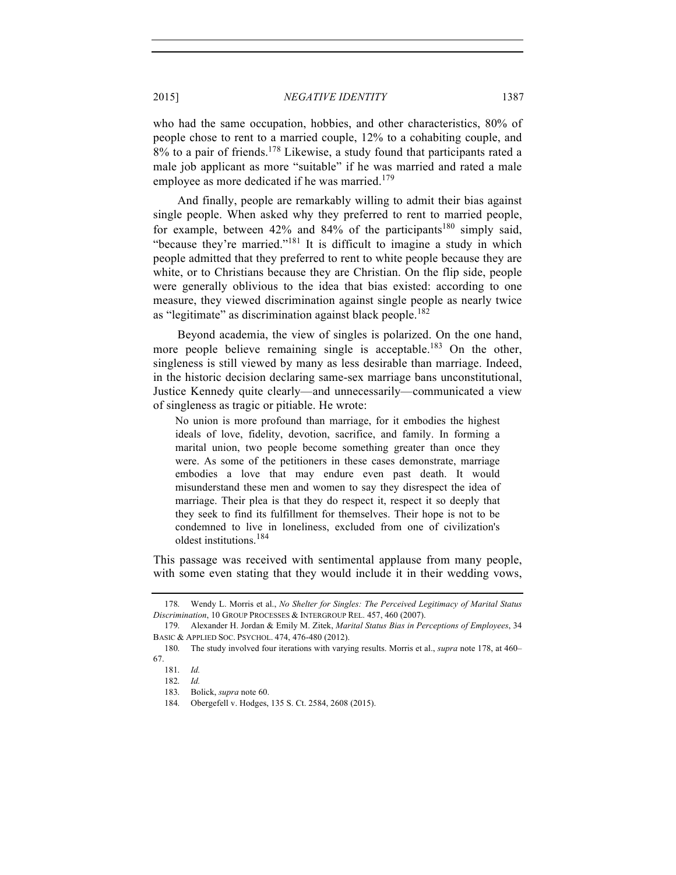who had the same occupation, hobbies, and other characteristics, 80% of people chose to rent to a married couple, 12% to a cohabiting couple, and  $8\%$  to a pair of friends.<sup>178</sup> Likewise, a study found that participants rated a male job applicant as more "suitable" if he was married and rated a male employee as more dedicated if he was married.<sup>179</sup>

And finally, people are remarkably willing to admit their bias against single people. When asked why they preferred to rent to married people, for example, between 42% and 84% of the participants<sup>180</sup> simply said, "because they're married."<sup>181</sup> It is difficult to imagine a study in which people admitted that they preferred to rent to white people because they are white, or to Christians because they are Christian. On the flip side, people were generally oblivious to the idea that bias existed: according to one measure, they viewed discrimination against single people as nearly twice as "legitimate" as discrimination against black people.<sup>182</sup>

Beyond academia, the view of singles is polarized. On the one hand, more people believe remaining single is acceptable.<sup>183</sup> On the other, singleness is still viewed by many as less desirable than marriage. Indeed, in the historic decision declaring same-sex marriage bans unconstitutional, Justice Kennedy quite clearly—and unnecessarily—communicated a view of singleness as tragic or pitiable. He wrote:

No union is more profound than marriage, for it embodies the highest ideals of love, fidelity, devotion, sacrifice, and family. In forming a marital union, two people become something greater than once they were. As some of the petitioners in these cases demonstrate, marriage embodies a love that may endure even past death. It would misunderstand these men and women to say they disrespect the idea of marriage. Their plea is that they do respect it, respect it so deeply that they seek to find its fulfillment for themselves. Their hope is not to be condemned to live in loneliness, excluded from one of civilization's oldest institutions.<sup>184</sup>

This passage was received with sentimental applause from many people, with some even stating that they would include it in their wedding vows,

<sup>178.</sup> Wendy L. Morris et al., *No Shelter for Singles: The Perceived Legitimacy of Marital Status Discrimination*, 10 GROUP PROCESSES & INTERGROUP REL. 457, 460 (2007).

<sup>179.</sup> Alexander H. Jordan & Emily M. Zitek, *Marital Status Bias in Perceptions of Employees*, 34 BASIC & APPLIED SOC. PSYCHOL. 474, 476-480 (2012).

<sup>180.</sup> The study involved four iterations with varying results. Morris et al., *supra* note 178, at 460– 67.

<sup>181.</sup> *Id.*

<sup>182.</sup> *Id.*

<sup>183.</sup> Bolick, *supra* note 60. 184. Obergefell v. Hodges, 135 S. Ct. 2584, 2608 (2015).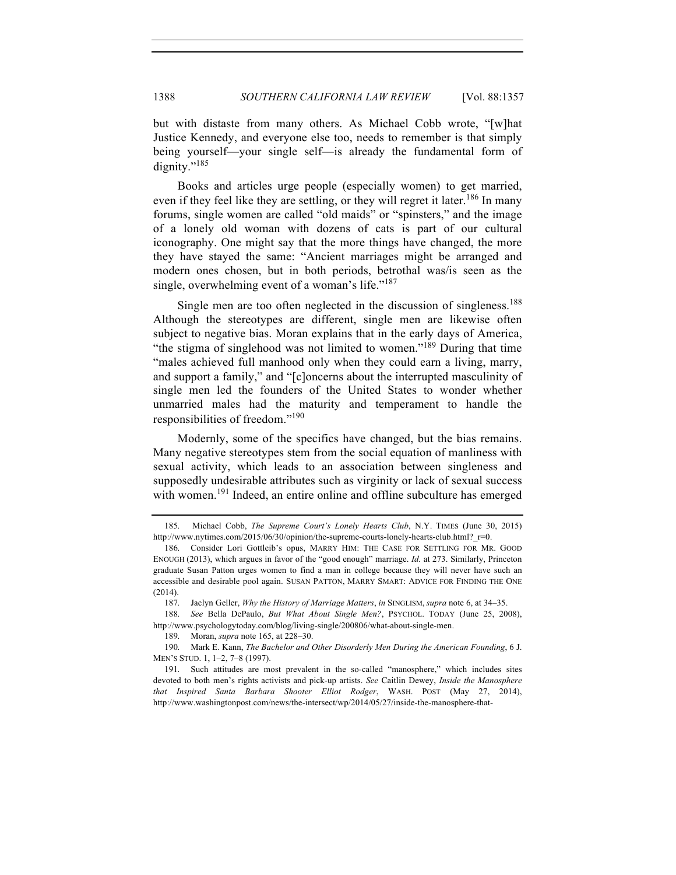but with distaste from many others. As Michael Cobb wrote, "[w]hat Justice Kennedy, and everyone else too, needs to remember is that simply being yourself—your single self—is already the fundamental form of dignity."<sup>185</sup>

Books and articles urge people (especially women) to get married, even if they feel like they are settling, or they will regret it later.<sup>186</sup> In many forums, single women are called "old maids" or "spinsters," and the image of a lonely old woman with dozens of cats is part of our cultural iconography. One might say that the more things have changed, the more they have stayed the same: "Ancient marriages might be arranged and modern ones chosen, but in both periods, betrothal was/is seen as the single, overwhelming event of a woman's life."<sup>187</sup>

Single men are too often neglected in the discussion of singleness.<sup>188</sup> Although the stereotypes are different, single men are likewise often subject to negative bias. Moran explains that in the early days of America, "the stigma of singlehood was not limited to women."<sup>189</sup> During that time "males achieved full manhood only when they could earn a living, marry, and support a family," and "[c]oncerns about the interrupted masculinity of single men led the founders of the United States to wonder whether unmarried males had the maturity and temperament to handle the responsibilities of freedom."<sup>190</sup>

Modernly, some of the specifics have changed, but the bias remains. Many negative stereotypes stem from the social equation of manliness with sexual activity, which leads to an association between singleness and supposedly undesirable attributes such as virginity or lack of sexual success with women.<sup>191</sup> Indeed, an entire online and offline subculture has emerged

 <sup>185.</sup> Michael Cobb, *The Supreme Court's Lonely Hearts Club*, N.Y. TIMES (June 30, 2015) http://www.nytimes.com/2015/06/30/opinion/the-supreme-courts-lonely-hearts-club.html?  $r=0$ .

<sup>186.</sup> Consider Lori Gottleib's opus, MARRY HIM: THE CASE FOR SETTLING FOR MR. GOOD ENOUGH (2013), which argues in favor of the "good enough" marriage. *Id.* at 273. Similarly, Princeton graduate Susan Patton urges women to find a man in college because they will never have such an accessible and desirable pool again. SUSAN PATTON, MARRY SMART: ADVICE FOR FINDING THE ONE (2014).

<sup>187.</sup> Jaclyn Geller, *Why the History of Marriage Matters*, *in* SINGLISM, *supra* note 6, at 34–35.

<sup>188.</sup> *See* Bella DePaulo, *But What About Single Men?*, PSYCHOL. TODAY (June 25, 2008), http://www.psychologytoday.com/blog/living-single/200806/what-about-single-men.

<sup>189.</sup> Moran, *supra* note 165, at 228–30.

<sup>190.</sup> Mark E. Kann, *The Bachelor and Other Disorderly Men During the American Founding*, 6 J. MEN'S STUD. 1, 1–2, 7–8 (1997).

<sup>191.</sup> Such attitudes are most prevalent in the so-called "manosphere," which includes sites devoted to both men's rights activists and pick-up artists. *See* Caitlin Dewey, *Inside the Manosphere that Inspired Santa Barbara Shooter Elliot Rodger*, WASH. POST (May 27, 2014), http://www.washingtonpost.com/news/the-intersect/wp/2014/05/27/inside-the-manosphere-that-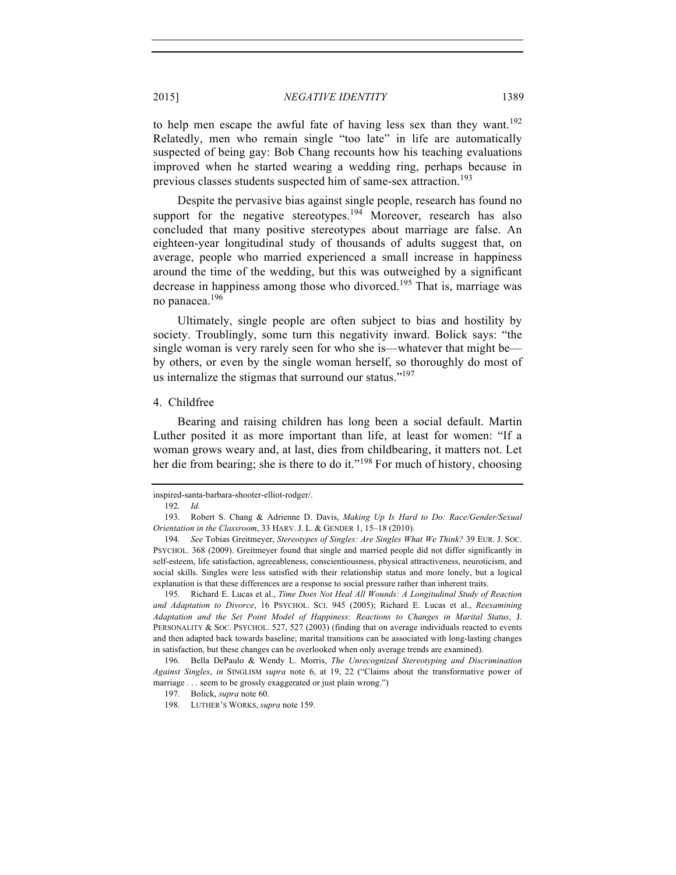to help men escape the awful fate of having less sex than they want.<sup>192</sup> Relatedly, men who remain single "too late" in life are automatically suspected of being gay: Bob Chang recounts how his teaching evaluations improved when he started wearing a wedding ring, perhaps because in previous classes students suspected him of same-sex attraction.<sup>193</sup>

Despite the pervasive bias against single people, research has found no support for the negative stereotypes.<sup>194</sup> Moreover, research has also concluded that many positive stereotypes about marriage are false. An eighteen-year longitudinal study of thousands of adults suggest that, on average, people who married experienced a small increase in happiness around the time of the wedding, but this was outweighed by a significant decrease in happiness among those who divorced.<sup>195</sup> That is, marriage was no panacea.196

Ultimately, single people are often subject to bias and hostility by society. Troublingly, some turn this negativity inward. Bolick says: "the single woman is very rarely seen for who she is—whatever that might be by others, or even by the single woman herself, so thoroughly do most of us internalize the stigmas that surround our status." $197$ 

#### 4. Childfree

Bearing and raising children has long been a social default. Martin Luther posited it as more important than life, at least for women: "If a woman grows weary and, at last, dies from childbearing, it matters not. Let her die from bearing; she is there to do it."<sup>198</sup> For much of history, choosing

195. Richard E. Lucas et al., *Time Does Not Heal All Wounds: A Longitudinal Study of Reaction and Adaptation to Divorce*, 16 PSYCHOL. SCI. 945 (2005); Richard E. Lucas et al., *Reexamining Adaptation and the Set Point Model of Happiness: Reactions to Changes in Marital Status*, J. PERSONALITY & SOC. PSYCHOL. 527, 527 (2003) (finding that on average individuals reacted to events and then adapted back towards baseline; marital transitions can be associated with long-lasting changes in satisfaction, but these changes can be overlooked when only average trends are examined).

196. Bella DePaulo & Wendy L. Morris, *The Unrecognized Stereotyping and Discrimination Against Singles*, *in* SINGLISM *supra* note 6, at 19, 22 ("Claims about the transformative power of marriage . . . seem to be grossly exaggerated or just plain wrong.")

inspired-santa-barbara-shooter-elliot-rodger/.

<sup>192.</sup> *Id.*

<sup>193.</sup> Robert S. Chang & Adrienne D. Davis, *Making Up Is Hard to Do: Race/Gender/Sexual Orientation in the Classroom*, 33 HARV. J. L. & GENDER 1, 15–18 (2010).

<sup>194.</sup> *See* Tobias Greitmeyer, *Stereotypes of Singles: Are Singles What We Think?* 39 EUR. J. SOC. PSYCHOL. 368 (2009). Greitmeyer found that single and married people did not differ significantly in self-esteem, life satisfaction, agreeableness, conscientiousness, physical attractiveness, neuroticism, and social skills. Singles were less satisfied with their relationship status and more lonely, but a logical explanation is that these differences are a response to social pressure rather than inherent traits.

<sup>197.</sup> Bolick, *supra* note 60.

<sup>198.</sup> LUTHER'S WORKS, *supra* note 159.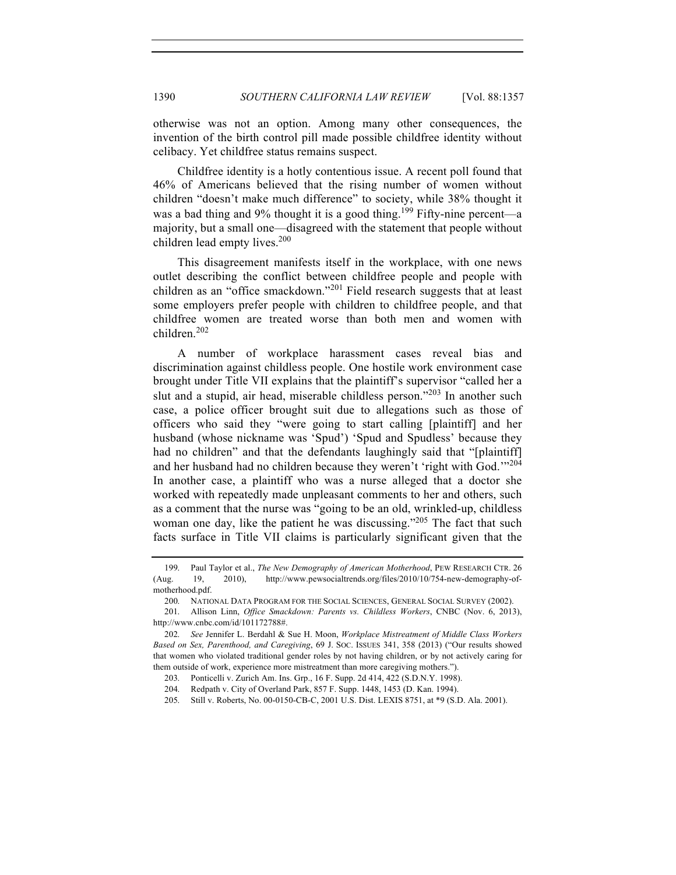otherwise was not an option. Among many other consequences, the invention of the birth control pill made possible childfree identity without celibacy. Yet childfree status remains suspect.

Childfree identity is a hotly contentious issue. A recent poll found that 46% of Americans believed that the rising number of women without children "doesn't make much difference" to society, while 38% thought it was a bad thing and 9% thought it is a good thing.<sup>199</sup> Fifty-nine percent—a majority, but a small one—disagreed with the statement that people without children lead empty lives. $200$ 

This disagreement manifests itself in the workplace, with one news outlet describing the conflict between childfree people and people with children as an "office smackdown."<sup>201</sup> Field research suggests that at least some employers prefer people with children to childfree people, and that childfree women are treated worse than both men and women with children.<sup>202</sup>

A number of workplace harassment cases reveal bias and discrimination against childless people. One hostile work environment case brought under Title VII explains that the plaintiff's supervisor "called her a slut and a stupid, air head, miserable childless person."<sup>203</sup> In another such case, a police officer brought suit due to allegations such as those of officers who said they "were going to start calling [plaintiff] and her husband (whose nickname was 'Spud') 'Spud and Spudless' because they had no children" and that the defendants laughingly said that "[plaintiff] and her husband had no children because they weren't 'right with God.'"<sup>204</sup> In another case, a plaintiff who was a nurse alleged that a doctor she worked with repeatedly made unpleasant comments to her and others, such as a comment that the nurse was "going to be an old, wrinkled-up, childless woman one day, like the patient he was discussing."<sup>205</sup> The fact that such facts surface in Title VII claims is particularly significant given that the

<sup>199.</sup> Paul Taylor et al., *The New Demography of American Motherhood*, PEW RESEARCH CTR. 26 (Aug. 19, 2010), http://www.pewsocialtrends.org/files/2010/10/754-new-demography-ofmotherhood.pdf.

<sup>200.</sup> NATIONAL DATA PROGRAM FOR THE SOCIAL SCIENCES, GENERAL SOCIAL SURVEY (2002).

<sup>201.</sup> Allison Linn, *Office Smackdown: Parents vs. Childless Workers*, CNBC (Nov. 6, 2013), http://www.cnbc.com/id/101172788#.

<sup>202.</sup> *See* Jennifer L. Berdahl & Sue H. Moon, *Workplace Mistreatment of Middle Class Workers Based on Sex, Parenthood, and Caregiving*, 69 J. SOC. ISSUES 341, 358 (2013) ("Our results showed that women who violated traditional gender roles by not having children, or by not actively caring for them outside of work, experience more mistreatment than more caregiving mothers.").

<sup>203.</sup> Ponticelli v. Zurich Am. Ins. Grp., 16 F. Supp. 2d 414, 422 (S.D.N.Y. 1998).

<sup>204.</sup> Redpath v. City of Overland Park, 857 F. Supp. 1448, 1453 (D. Kan. 1994).

<sup>205.</sup> Still v. Roberts, No. 00-0150-CB-C, 2001 U.S. Dist. LEXIS 8751, at \*9 (S.D. Ala. 2001).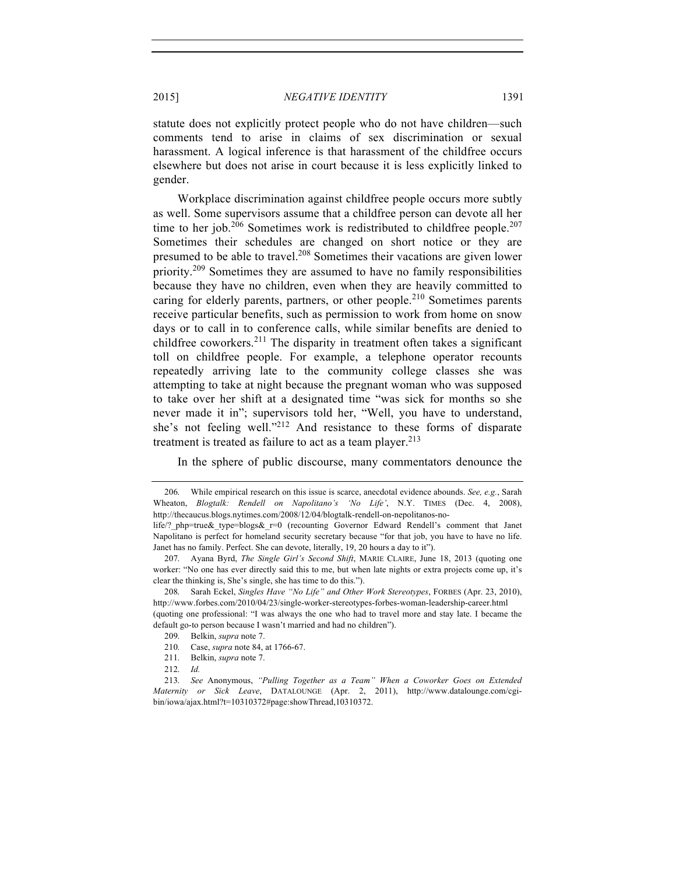statute does not explicitly protect people who do not have children—such comments tend to arise in claims of sex discrimination or sexual harassment. A logical inference is that harassment of the childfree occurs elsewhere but does not arise in court because it is less explicitly linked to gender.

Workplace discrimination against childfree people occurs more subtly as well. Some supervisors assume that a childfree person can devote all her time to her job.<sup>206</sup> Sometimes work is redistributed to childfree people.<sup>207</sup> Sometimes their schedules are changed on short notice or they are presumed to be able to travel.<sup>208</sup> Sometimes their vacations are given lower priority.<sup>209</sup> Sometimes they are assumed to have no family responsibilities because they have no children, even when they are heavily committed to caring for elderly parents, partners, or other people.<sup>210</sup> Sometimes parents receive particular benefits, such as permission to work from home on snow days or to call in to conference calls, while similar benefits are denied to childfree coworkers.<sup>211</sup> The disparity in treatment often takes a significant toll on childfree people. For example, a telephone operator recounts repeatedly arriving late to the community college classes she was attempting to take at night because the pregnant woman who was supposed to take over her shift at a designated time "was sick for months so she never made it in"; supervisors told her, "Well, you have to understand, she's not feeling well."<sup>212</sup> And resistance to these forms of disparate treatment is treated as failure to act as a team player.<sup>213</sup>

In the sphere of public discourse, many commentators denounce the

212. *Id.*

<sup>206.</sup> While empirical research on this issue is scarce, anecdotal evidence abounds. *See, e.g.*, Sarah Wheaton, *Blogtalk: Rendell on Napolitano's 'No Life'*, N.Y. TIMES (Dec. 4, 2008), http://thecaucus.blogs.nytimes.com/2008/12/04/blogtalk-rendell-on-nepolitanos-no-

life/? php=true& type=blogs& r=0 (recounting Governor Edward Rendell's comment that Janet Napolitano is perfect for homeland security secretary because "for that job, you have to have no life. Janet has no family. Perfect. She can devote, literally, 19, 20 hours a day to it").

<sup>207.</sup> Ayana Byrd, *The Single Girl's Second Shift*, MARIE CLAIRE, June 18, 2013 (quoting one worker: "No one has ever directly said this to me, but when late nights or extra projects come up, it's clear the thinking is, She's single, she has time to do this.").

<sup>208.</sup> Sarah Eckel, *Singles Have "No Life" and Other Work Stereotypes*, FORBES (Apr. 23, 2010), http://www.forbes.com/2010/04/23/single-worker-stereotypes-forbes-woman-leadership-career.html (quoting one professional: "I was always the one who had to travel more and stay late. I became the default go-to person because I wasn't married and had no children").

<sup>209.</sup> Belkin, *supra* note 7.

<sup>210.</sup> Case, *supra* note 84, at 1766-67.

<sup>211.</sup> Belkin, *supra* note 7.

<sup>213.</sup> *See* Anonymous, *"Pulling Together as a Team" When a Coworker Goes on Extended Maternity or Sick Leave*, DATALOUNGE (Apr. 2, 2011), http://www.datalounge.com/cgibin/iowa/ajax.html?t=10310372#page:showThread,10310372.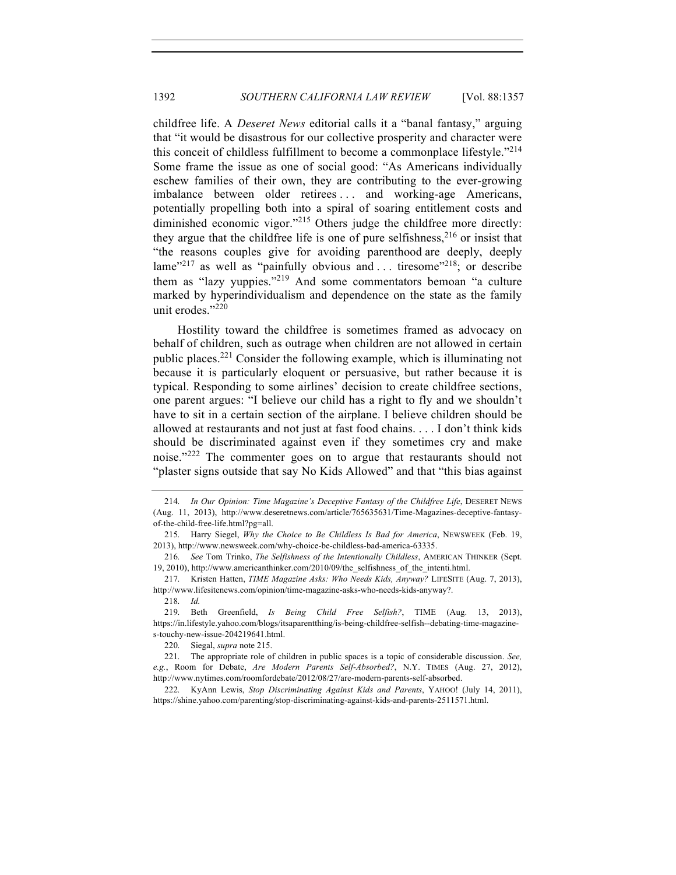childfree life. A *Deseret News* editorial calls it a "banal fantasy," arguing that "it would be disastrous for our collective prosperity and character were this conceit of childless fulfillment to become a commonplace lifestyle."<sup>214</sup> Some frame the issue as one of social good: "As Americans individually eschew families of their own, they are contributing to the ever-growing imbalance between older retirees . . . and working-age Americans, potentially propelling both into a spiral of soaring entitlement costs and diminished economic vigor."<sup>215</sup> Others judge the childfree more directly: they argue that the childfree life is one of pure selfishness,  $216$  or insist that "the reasons couples give for avoiding parenthood are deeply, deeply lame<sup>"217</sup> as well as "painfully obvious and ... tiresome"<sup>218</sup>; or describe them as "lazy vuppies."<sup>219</sup> And some commentators bemoan "a culture" marked by hyperindividualism and dependence on the state as the family unit erodes."<sup>220</sup>

Hostility toward the childfree is sometimes framed as advocacy on behalf of children, such as outrage when children are not allowed in certain public places.<sup>221</sup> Consider the following example, which is illuminating not because it is particularly eloquent or persuasive, but rather because it is typical. Responding to some airlines' decision to create childfree sections, one parent argues: "I believe our child has a right to fly and we shouldn't have to sit in a certain section of the airplane. I believe children should be allowed at restaurants and not just at fast food chains. . . . I don't think kids should be discriminated against even if they sometimes cry and make noise."<sup>222</sup> The commenter goes on to argue that restaurants should not "plaster signs outside that say No Kids Allowed" and that "this bias against

220. Siegal, *supra* note 215.

222. KyAnn Lewis, *Stop Discriminating Against Kids and Parents*, YAHOO! (July 14, 2011), https://shine.yahoo.com/parenting/stop-discriminating-against-kids-and-parents-2511571.html.

<sup>214.</sup> *In Our Opinion: Time Magazine's Deceptive Fantasy of the Childfree Life*, DESERET NEWS (Aug. 11, 2013), http://www.deseretnews.com/article/765635631/Time-Magazines-deceptive-fantasyof-the-child-free-life.html?pg=all.

<sup>215.</sup> Harry Siegel, *Why the Choice to Be Childless Is Bad for America*, NEWSWEEK (Feb. 19, 2013), http://www.newsweek.com/why-choice-be-childless-bad-america-63335.

<sup>216.</sup> *See* Tom Trinko, *The Selfishness of the Intentionally Childless*, AMERICAN THINKER (Sept. 19, 2010), http://www.americanthinker.com/2010/09/the\_selfishness\_of\_the\_intenti.html.

<sup>217.</sup> Kristen Hatten, *TIME Magazine Asks: Who Needs Kids, Anyway?* LIFESITE (Aug. 7, 2013), http://www.lifesitenews.com/opinion/time-magazine-asks-who-needs-kids-anyway?.

<sup>218.</sup> *Id.*

<sup>219.</sup> Beth Greenfield, *Is Being Child Free Selfish?*, TIME (Aug. 13, 2013), https://in.lifestyle.yahoo.com/blogs/itsaparentthing/is-being-childfree-selfish--debating-time-magazines-touchy-new-issue-204219641.html.

<sup>221.</sup> The appropriate role of children in public spaces is a topic of considerable discussion. *See, e.g.*, Room for Debate, *Are Modern Parents Self-Absorbed?*, N.Y. TIMES (Aug. 27, 2012), http://www.nytimes.com/roomfordebate/2012/08/27/are-modern-parents-self-absorbed.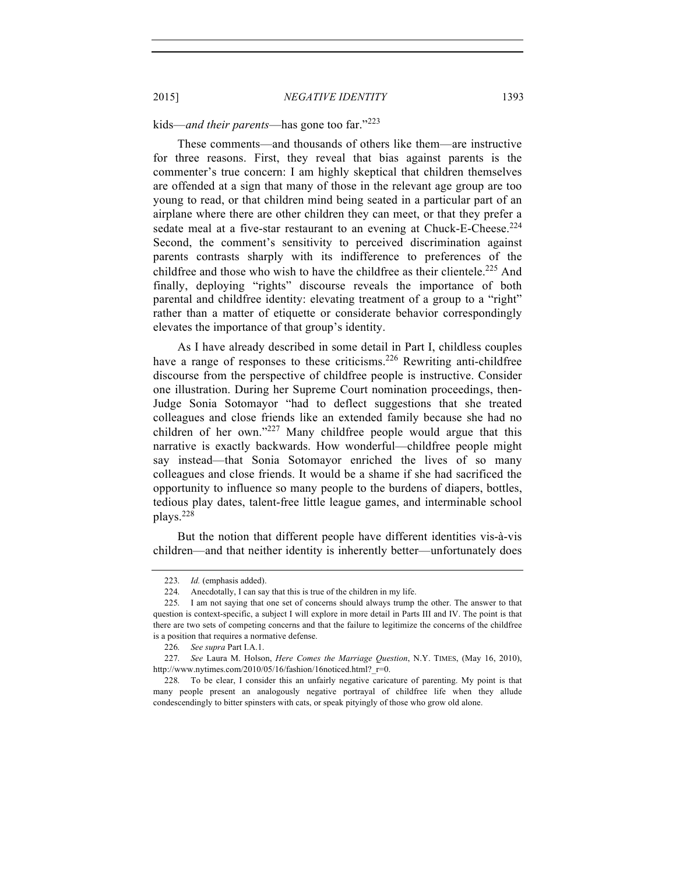# kids—*and their parents*—has gone too far."<sup>223</sup>

These comments—and thousands of others like them—are instructive for three reasons. First, they reveal that bias against parents is the commenter's true concern: I am highly skeptical that children themselves are offended at a sign that many of those in the relevant age group are too young to read, or that children mind being seated in a particular part of an airplane where there are other children they can meet, or that they prefer a sedate meal at a five-star restaurant to an evening at Chuck-E-Cheese.<sup>224</sup> Second, the comment's sensitivity to perceived discrimination against parents contrasts sharply with its indifference to preferences of the childfree and those who wish to have the childfree as their clientele.<sup>225</sup> And finally, deploying "rights" discourse reveals the importance of both parental and childfree identity: elevating treatment of a group to a "right" rather than a matter of etiquette or considerate behavior correspondingly elevates the importance of that group's identity.

As I have already described in some detail in Part I, childless couples have a range of responses to these criticisms.<sup>226</sup> Rewriting anti-childfree discourse from the perspective of childfree people is instructive. Consider one illustration. During her Supreme Court nomination proceedings, then-Judge Sonia Sotomayor "had to deflect suggestions that she treated colleagues and close friends like an extended family because she had no children of her own." $227$  Many childfree people would argue that this narrative is exactly backwards. How wonderful—childfree people might say instead—that Sonia Sotomayor enriched the lives of so many colleagues and close friends. It would be a shame if she had sacrificed the opportunity to influence so many people to the burdens of diapers, bottles, tedious play dates, talent-free little league games, and interminable school plays.228

But the notion that different people have different identities vis-à-vis children—and that neither identity is inherently better—unfortunately does

<sup>223.</sup> *Id.* (emphasis added).

<sup>224.</sup> Anecdotally, I can say that this is true of the children in my life.

<sup>225.</sup> I am not saying that one set of concerns should always trump the other. The answer to that question is context-specific, a subject I will explore in more detail in Parts III and IV. The point is that there are two sets of competing concerns and that the failure to legitimize the concerns of the childfree is a position that requires a normative defense.

<sup>226.</sup> *See supra* Part I.A.1.

<sup>227.</sup> *See* Laura M. Holson, *Here Comes the Marriage Question*, N.Y. TIMES, (May 16, 2010), http://www.nytimes.com/2010/05/16/fashion/16noticed.html? r=0.

<sup>228.</sup> To be clear, I consider this an unfairly negative caricature of parenting. My point is that many people present an analogously negative portrayal of childfree life when they allude condescendingly to bitter spinsters with cats, or speak pityingly of those who grow old alone.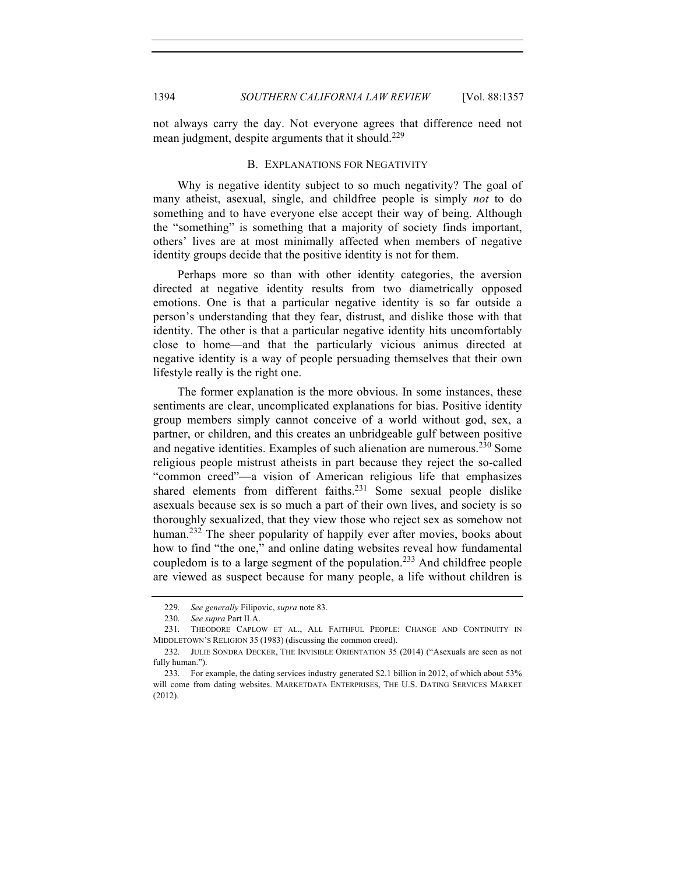not always carry the day. Not everyone agrees that difference need not mean judgment, despite arguments that it should.<sup>229</sup>

# B. EXPLANATIONS FOR NEGATIVITY

Why is negative identity subject to so much negativity? The goal of many atheist, asexual, single, and childfree people is simply *not* to do something and to have everyone else accept their way of being. Although the "something" is something that a majority of society finds important, others' lives are at most minimally affected when members of negative identity groups decide that the positive identity is not for them.

Perhaps more so than with other identity categories, the aversion directed at negative identity results from two diametrically opposed emotions. One is that a particular negative identity is so far outside a person's understanding that they fear, distrust, and dislike those with that identity. The other is that a particular negative identity hits uncomfortably close to home—and that the particularly vicious animus directed at negative identity is a way of people persuading themselves that their own lifestyle really is the right one.

The former explanation is the more obvious. In some instances, these sentiments are clear, uncomplicated explanations for bias. Positive identity group members simply cannot conceive of a world without god, sex, a partner, or children, and this creates an unbridgeable gulf between positive and negative identities. Examples of such alienation are numerous.<sup>230</sup> Some religious people mistrust atheists in part because they reject the so-called "common creed"—a vision of American religious life that emphasizes shared elements from different faiths. $231$  Some sexual people dislike asexuals because sex is so much a part of their own lives, and society is so thoroughly sexualized, that they view those who reject sex as somehow not human.<sup>232</sup> The sheer popularity of happily ever after movies, books about how to find "the one," and online dating websites reveal how fundamental coupledom is to a large segment of the population.<sup>233</sup> And childfree people are viewed as suspect because for many people, a life without children is

<sup>229.</sup> *See generally* Filipovic, *supra* note 83.

<sup>230.</sup> *See supra* Part II.A.

<sup>231.</sup> THEODORE CAPLOW ET AL., ALL FAITHFUL PEOPLE: CHANGE AND CONTINUITY IN MIDDLETOWN'S RELIGION 35 (1983) (discussing the common creed).

<sup>232.</sup> JULIE SONDRA DECKER, THE INVISIBLE ORIENTATION 35 (2014) ("Asexuals are seen as not fully human.").

<sup>233.</sup> For example, the dating services industry generated \$2.1 billion in 2012, of which about 53% will come from dating websites. MARKETDATA ENTERPRISES, THE U.S. DATING SERVICES MARKET (2012).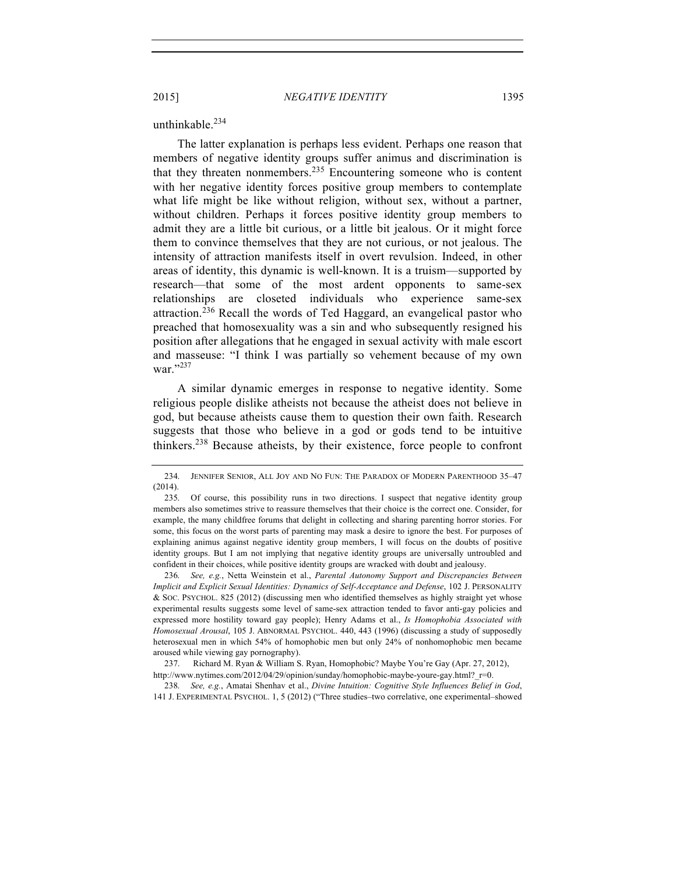#### unthinkable. $234$

The latter explanation is perhaps less evident. Perhaps one reason that members of negative identity groups suffer animus and discrimination is that they threaten nonmembers.<sup>235</sup> Encountering someone who is content with her negative identity forces positive group members to contemplate what life might be like without religion, without sex, without a partner, without children. Perhaps it forces positive identity group members to admit they are a little bit curious, or a little bit jealous. Or it might force them to convince themselves that they are not curious, or not jealous. The intensity of attraction manifests itself in overt revulsion. Indeed, in other areas of identity, this dynamic is well-known. It is a truism—supported by research—that some of the most ardent opponents to same-sex relationships are closeted individuals who experience same-sex attraction.<sup>236</sup> Recall the words of Ted Haggard, an evangelical pastor who preached that homosexuality was a sin and who subsequently resigned his position after allegations that he engaged in sexual activity with male escort and masseuse: "I think I was partially so vehement because of my own war $"$ <sup>237</sup>

A similar dynamic emerges in response to negative identity. Some religious people dislike atheists not because the atheist does not believe in god, but because atheists cause them to question their own faith. Research suggests that those who believe in a god or gods tend to be intuitive thinkers.<sup>238</sup> Because atheists, by their existence, force people to confront

<sup>234.</sup> JENNIFER SENIOR, ALL JOY AND NO FUN: THE PARADOX OF MODERN PARENTHOOD 35–47 (2014).

<sup>235.</sup> Of course, this possibility runs in two directions. I suspect that negative identity group members also sometimes strive to reassure themselves that their choice is the correct one. Consider, for example, the many childfree forums that delight in collecting and sharing parenting horror stories. For some, this focus on the worst parts of parenting may mask a desire to ignore the best. For purposes of explaining animus against negative identity group members, I will focus on the doubts of positive identity groups. But I am not implying that negative identity groups are universally untroubled and confident in their choices, while positive identity groups are wracked with doubt and jealousy.

<sup>236.</sup> *See, e.g.*, Netta Weinstein et al., *Parental Autonomy Support and Discrepancies Between Implicit and Explicit Sexual Identities: Dynamics of Self-Acceptance and Defense*, 102 J. PERSONALITY & SOC. PSYCHOL. 825 (2012) (discussing men who identified themselves as highly straight yet whose experimental results suggests some level of same-sex attraction tended to favor anti-gay policies and expressed more hostility toward gay people); Henry Adams et al., *Is Homophobia Associated with Homosexual Arousal*, 105 J. ABNORMAL PSYCHOL. 440, 443 (1996) (discussing a study of supposedly heterosexual men in which 54% of homophobic men but only 24% of nonhomophobic men became aroused while viewing gay pornography).

 <sup>237.</sup> Richard M. Ryan & William S. Ryan, Homophobic? Maybe You're Gay (Apr. 27, 2012), http://www.nytimes.com/2012/04/29/opinion/sunday/homophobic-maybe-youre-gay.html?\_r=0.

<sup>238.</sup> *See, e.g.*, Amatai Shenhav et al., *Divine Intuition: Cognitive Style Influences Belief in God*, 141 J. EXPERIMENTAL PSYCHOL. 1, 5 (2012) ("Three studies–two correlative, one experimental–showed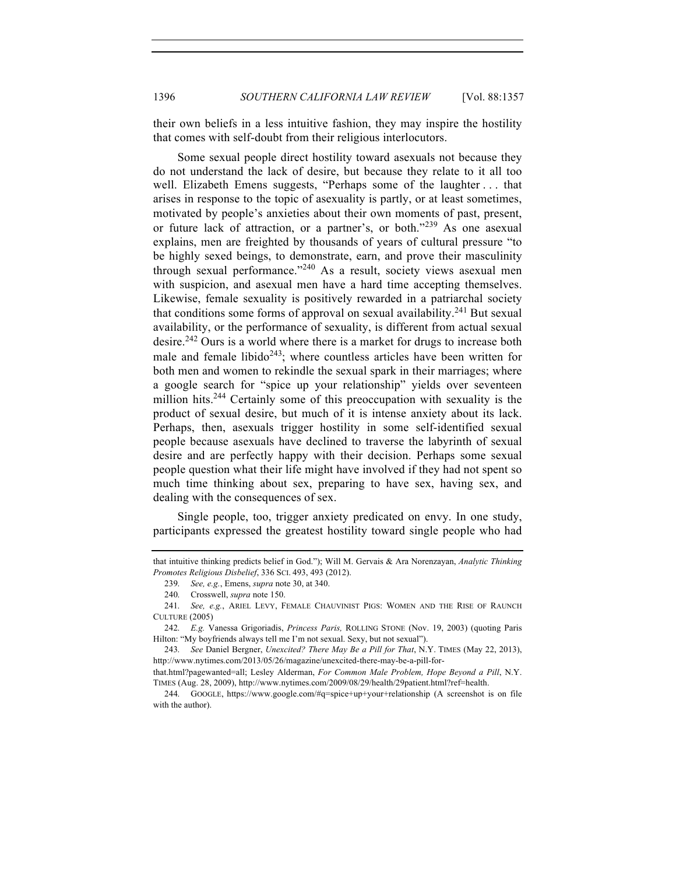their own beliefs in a less intuitive fashion, they may inspire the hostility that comes with self-doubt from their religious interlocutors.

Some sexual people direct hostility toward asexuals not because they do not understand the lack of desire, but because they relate to it all too well. Elizabeth Emens suggests, "Perhaps some of the laughter . . . that arises in response to the topic of asexuality is partly, or at least sometimes, motivated by people's anxieties about their own moments of past, present, or future lack of attraction, or a partner's, or both."<sup>239</sup> As one asexual explains, men are freighted by thousands of years of cultural pressure "to be highly sexed beings, to demonstrate, earn, and prove their masculinity through sexual performance."<sup>240</sup> As a result, society views asexual men with suspicion, and asexual men have a hard time accepting themselves. Likewise, female sexuality is positively rewarded in a patriarchal society that conditions some forms of approval on sexual availability.<sup>241</sup> But sexual availability, or the performance of sexuality, is different from actual sexual desire.<sup>242</sup> Ours is a world where there is a market for drugs to increase both male and female libido<sup>243</sup>; where countless articles have been written for both men and women to rekindle the sexual spark in their marriages; where a google search for "spice up your relationship" yields over seventeen million hits.<sup>244</sup> Certainly some of this preoccupation with sexuality is the product of sexual desire, but much of it is intense anxiety about its lack. Perhaps, then, asexuals trigger hostility in some self-identified sexual people because asexuals have declined to traverse the labyrinth of sexual desire and are perfectly happy with their decision. Perhaps some sexual people question what their life might have involved if they had not spent so much time thinking about sex, preparing to have sex, having sex, and dealing with the consequences of sex.

Single people, too, trigger anxiety predicated on envy. In one study, participants expressed the greatest hostility toward single people who had

that intuitive thinking predicts belief in God."); Will M. Gervais & Ara Norenzayan, *Analytic Thinking Promotes Religious Disbelief*, 336 SCI. 493, 493 (2012).

<sup>239.</sup> *See, e.g.*, Emens, *supra* note 30, at 340.

<sup>240.</sup> Crosswell, *supra* note 150.

<sup>241.</sup> *See, e.g.*, ARIEL LEVY, FEMALE CHAUVINIST PIGS: WOMEN AND THE RISE OF RAUNCH CULTURE (2005)

<sup>242.</sup> *E.g.* Vanessa Grigoriadis, *Princess Paris,* ROLLING STONE (Nov. 19, 2003) (quoting Paris Hilton: "My boyfriends always tell me I'm not sexual. Sexy, but not sexual").

<sup>243.</sup> *See* Daniel Bergner, *Unexcited? There May Be a Pill for That*, N.Y. TIMES (May 22, 2013), http://www.nytimes.com/2013/05/26/magazine/unexcited-there-may-be-a-pill-for-

that.html?pagewanted=all; Lesley Alderman, *For Common Male Problem, Hope Beyond a Pill*, N.Y. TIMES (Aug. 28, 2009), http://www.nytimes.com/2009/08/29/health/29patient.html?ref=health.

<sup>244.</sup> GOOGLE, https://www.google.com/#q=spice+up+your+relationship (A screenshot is on file with the author).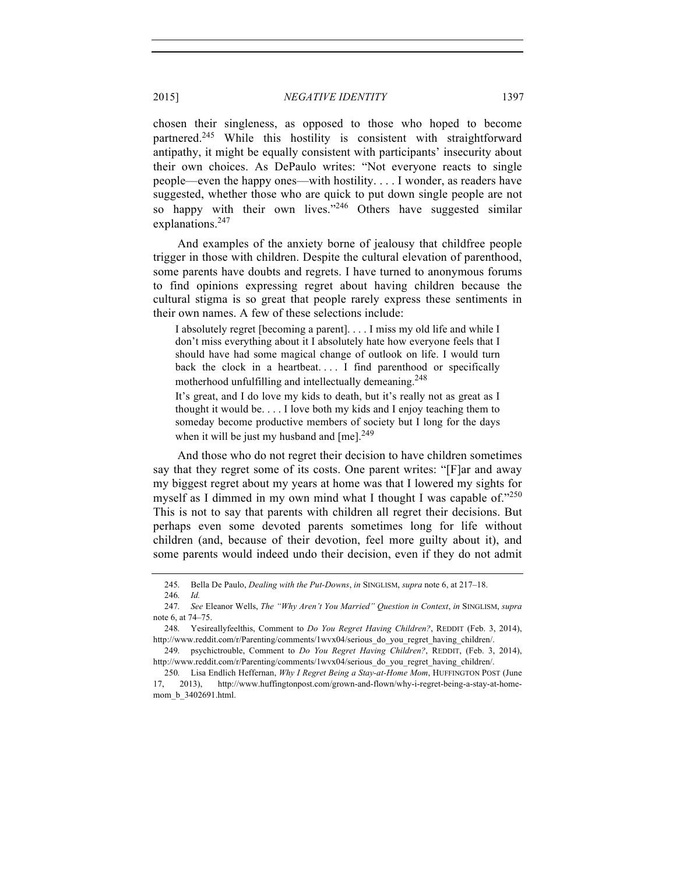chosen their singleness, as opposed to those who hoped to become partnered.<sup>245</sup> While this hostility is consistent with straightforward antipathy, it might be equally consistent with participants' insecurity about their own choices. As DePaulo writes: "Not everyone reacts to single people—even the happy ones—with hostility. . . . I wonder, as readers have suggested, whether those who are quick to put down single people are not so happy with their own lives."<sup>246</sup> Others have suggested similar explanations.<sup>247</sup>

And examples of the anxiety borne of jealousy that childfree people trigger in those with children. Despite the cultural elevation of parenthood, some parents have doubts and regrets. I have turned to anonymous forums to find opinions expressing regret about having children because the cultural stigma is so great that people rarely express these sentiments in their own names. A few of these selections include:

I absolutely regret [becoming a parent]. . . . I miss my old life and while I don't miss everything about it I absolutely hate how everyone feels that I should have had some magical change of outlook on life. I would turn back the clock in a heartbeat.... I find parenthood or specifically motherhood unfulfilling and intellectually demeaning.<sup>248</sup>

It's great, and I do love my kids to death, but it's really not as great as I thought it would be. . . . I love both my kids and I enjoy teaching them to someday become productive members of society but I long for the days when it will be just my husband and  $[me]$ <sup>249</sup>

And those who do not regret their decision to have children sometimes say that they regret some of its costs. One parent writes: "[F]ar and away my biggest regret about my years at home was that I lowered my sights for myself as I dimmed in my own mind what I thought I was capable of. $1250$ This is not to say that parents with children all regret their decisions. But perhaps even some devoted parents sometimes long for life without children (and, because of their devotion, feel more guilty about it), and some parents would indeed undo their decision, even if they do not admit

<sup>245.</sup> Bella De Paulo, *Dealing with the Put-Downs*, *in* SINGLISM, *supra* note 6, at 217–18.

<sup>246.</sup> *Id.*

<sup>247.</sup> *See* Eleanor Wells, *The "Why Aren't You Married" Question in Context*, *in* SINGLISM, *supra* note 6, at 74–75.

<sup>248.</sup> Yesireallyfeelthis, Comment to *Do You Regret Having Children?*, REDDIT (Feb. 3, 2014), http://www.reddit.com/r/Parenting/comments/1wvx04/serious\_do\_you\_regret\_having\_children/.

<sup>249.</sup> psychictrouble, Comment to *Do You Regret Having Children?*, REDDIT, (Feb. 3, 2014), http://www.reddit.com/r/Parenting/comments/1wvx04/serious\_do\_you\_regret\_having\_children/.

<sup>250.</sup> Lisa Endlich Heffernan, *Why I Regret Being a Stay-at-Home Mom*, HUFFINGTON POST (June 17, 2013), http://www.huffingtonpost.com/grown-and-flown/why-i-regret-being-a-stay-at-homemom\_b\_3402691.html.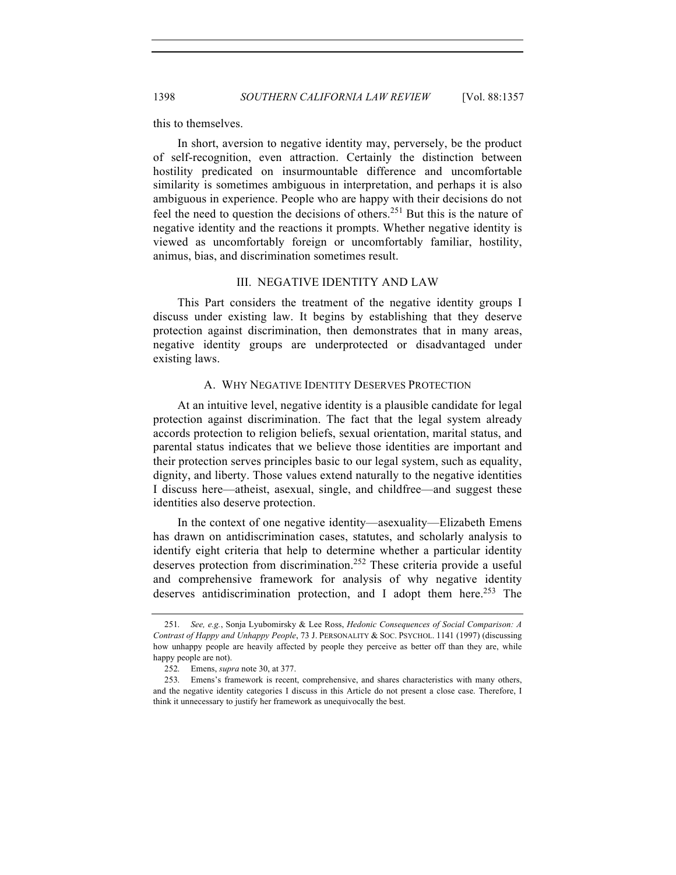this to themselves.

In short, aversion to negative identity may, perversely, be the product of self-recognition, even attraction. Certainly the distinction between hostility predicated on insurmountable difference and uncomfortable similarity is sometimes ambiguous in interpretation, and perhaps it is also ambiguous in experience. People who are happy with their decisions do not feel the need to question the decisions of others.<sup>251</sup> But this is the nature of negative identity and the reactions it prompts. Whether negative identity is viewed as uncomfortably foreign or uncomfortably familiar, hostility, animus, bias, and discrimination sometimes result.

#### III. NEGATIVE IDENTITY AND LAW

This Part considers the treatment of the negative identity groups I discuss under existing law. It begins by establishing that they deserve protection against discrimination, then demonstrates that in many areas, negative identity groups are underprotected or disadvantaged under existing laws.

#### A. WHY NEGATIVE IDENTITY DESERVES PROTECTION

At an intuitive level, negative identity is a plausible candidate for legal protection against discrimination. The fact that the legal system already accords protection to religion beliefs, sexual orientation, marital status, and parental status indicates that we believe those identities are important and their protection serves principles basic to our legal system, such as equality, dignity, and liberty. Those values extend naturally to the negative identities I discuss here—atheist, asexual, single, and childfree—and suggest these identities also deserve protection.

In the context of one negative identity—asexuality—Elizabeth Emens has drawn on antidiscrimination cases, statutes, and scholarly analysis to identify eight criteria that help to determine whether a particular identity deserves protection from discrimination.<sup>252</sup> These criteria provide a useful and comprehensive framework for analysis of why negative identity deserves antidiscrimination protection, and I adopt them here.<sup>253</sup> The

<sup>251.</sup> *See, e.g.*, Sonja Lyubomirsky & Lee Ross, *Hedonic Consequences of Social Comparison: A Contrast of Happy and Unhappy People*, 73 J. PERSONALITY & SOC. PSYCHOL. 1141 (1997) (discussing how unhappy people are heavily affected by people they perceive as better off than they are, while happy people are not).

<sup>252.</sup> Emens, *supra* note 30, at 377.

<sup>253.</sup> Emens's framework is recent, comprehensive, and shares characteristics with many others, and the negative identity categories I discuss in this Article do not present a close case. Therefore, I think it unnecessary to justify her framework as unequivocally the best.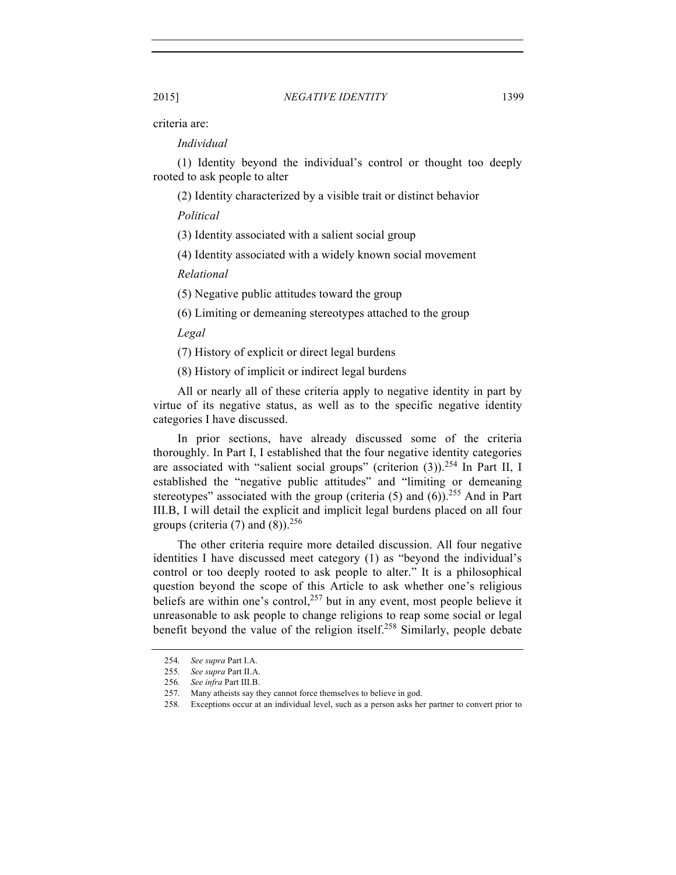criteria are:

*Individual*

(1) Identity beyond the individual's control or thought too deeply rooted to ask people to alter

(2) Identity characterized by a visible trait or distinct behavior

*Political*

(3) Identity associated with a salient social group

(4) Identity associated with a widely known social movement

*Relational*

(5) Negative public attitudes toward the group

(6) Limiting or demeaning stereotypes attached to the group

*Legal*

(7) History of explicit or direct legal burdens

(8) History of implicit or indirect legal burdens

All or nearly all of these criteria apply to negative identity in part by virtue of its negative status, as well as to the specific negative identity categories I have discussed.

In prior sections, have already discussed some of the criteria thoroughly. In Part I, I established that the four negative identity categories are associated with "salient social groups" (criterion  $(3)$ ).<sup>254</sup> In Part II, I established the "negative public attitudes" and "limiting or demeaning stereotypes" associated with the group (criteria  $(5)$  and  $(6)$ ).<sup>255</sup> And in Part III.B, I will detail the explicit and implicit legal burdens placed on all four groups (criteria  $(7)$  and  $(8)$ ).<sup>256</sup>

The other criteria require more detailed discussion. All four negative identities I have discussed meet category (1) as "beyond the individual's control or too deeply rooted to ask people to alter." It is a philosophical question beyond the scope of this Article to ask whether one's religious beliefs are within one's control,  $257$  but in any event, most people believe it unreasonable to ask people to change religions to reap some social or legal benefit beyond the value of the religion itself.<sup>258</sup> Similarly, people debate

<sup>254.</sup> *See supra* Part I.A.

<sup>255.</sup> *See supra* Part II.A.

<sup>256</sup>*. See infra* Part III.B.

<sup>257.</sup> Many atheists say they cannot force themselves to believe in god.

<sup>258.</sup> Exceptions occur at an individual level, such as a person asks her partner to convert prior to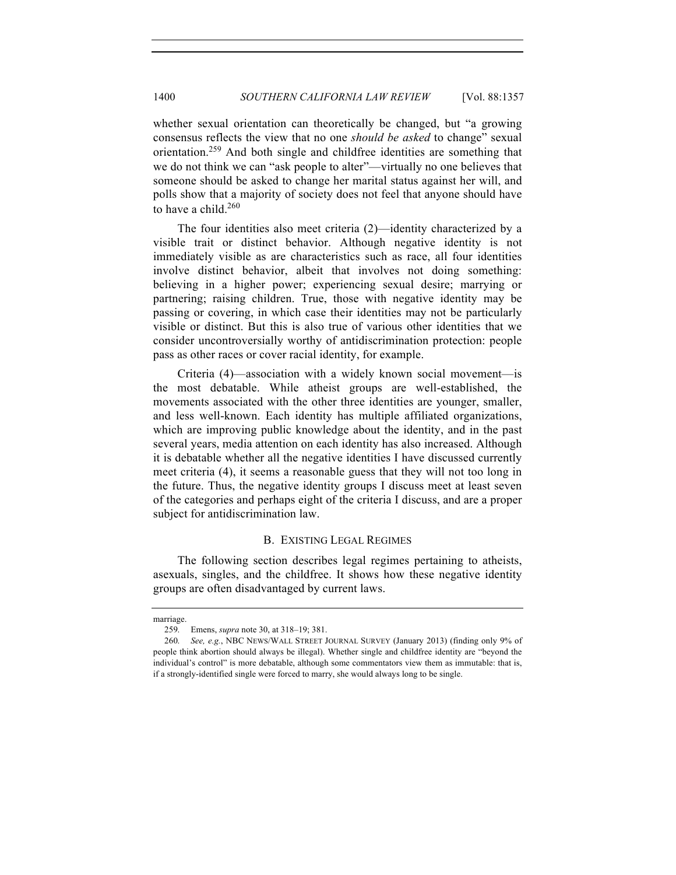whether sexual orientation can theoretically be changed, but "a growing consensus reflects the view that no one *should be asked* to change" sexual orientation.<sup>259</sup> And both single and childfree identities are something that we do not think we can "ask people to alter"—virtually no one believes that someone should be asked to change her marital status against her will, and polls show that a majority of society does not feel that anyone should have to have a child. $260$ 

The four identities also meet criteria (2)—identity characterized by a visible trait or distinct behavior. Although negative identity is not immediately visible as are characteristics such as race, all four identities involve distinct behavior, albeit that involves not doing something: believing in a higher power; experiencing sexual desire; marrying or partnering; raising children. True, those with negative identity may be passing or covering, in which case their identities may not be particularly visible or distinct. But this is also true of various other identities that we consider uncontroversially worthy of antidiscrimination protection: people pass as other races or cover racial identity, for example.

Criteria (4)—association with a widely known social movement—is the most debatable. While atheist groups are well-established, the movements associated with the other three identities are younger, smaller, and less well-known. Each identity has multiple affiliated organizations, which are improving public knowledge about the identity, and in the past several years, media attention on each identity has also increased. Although it is debatable whether all the negative identities I have discussed currently meet criteria (4), it seems a reasonable guess that they will not too long in the future. Thus, the negative identity groups I discuss meet at least seven of the categories and perhaps eight of the criteria I discuss, and are a proper subject for antidiscrimination law.

### B. EXISTING LEGAL REGIMES

The following section describes legal regimes pertaining to atheists, asexuals, singles, and the childfree. It shows how these negative identity groups are often disadvantaged by current laws.

marriage.

<sup>259.</sup> Emens, *supra* note 30, at 318–19; 381.

<sup>260.</sup> *See, e.g.*, NBC NEWS/WALL STREET JOURNAL SURVEY (January 2013) (finding only 9% of people think abortion should always be illegal). Whether single and childfree identity are "beyond the individual's control" is more debatable, although some commentators view them as immutable: that is, if a strongly-identified single were forced to marry, she would always long to be single.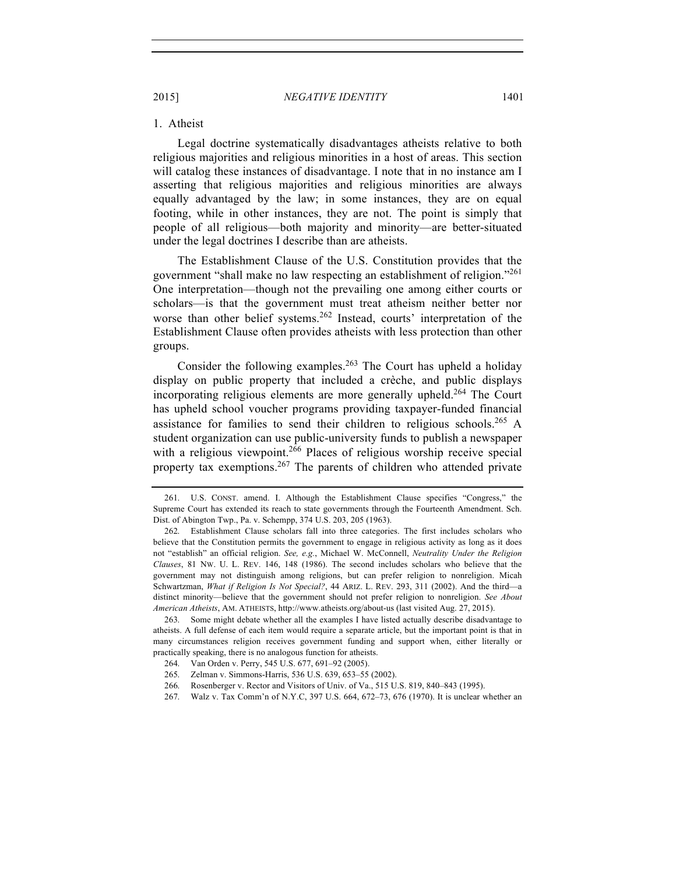# 1. Atheist

Legal doctrine systematically disadvantages atheists relative to both religious majorities and religious minorities in a host of areas. This section will catalog these instances of disadvantage. I note that in no instance am I asserting that religious majorities and religious minorities are always equally advantaged by the law; in some instances, they are on equal footing, while in other instances, they are not. The point is simply that people of all religious—both majority and minority—are better-situated under the legal doctrines I describe than are atheists.

The Establishment Clause of the U.S. Constitution provides that the government "shall make no law respecting an establishment of religion."<sup>261</sup> One interpretation—though not the prevailing one among either courts or scholars—is that the government must treat atheism neither better nor worse than other belief systems.<sup>262</sup> Instead, courts' interpretation of the Establishment Clause often provides atheists with less protection than other groups.

Consider the following examples.<sup>263</sup> The Court has upheld a holiday display on public property that included a crèche, and public displays incorporating religious elements are more generally upheld.<sup>264</sup> The Court has upheld school voucher programs providing taxpayer-funded financial assistance for families to send their children to religious schools.<sup>265</sup> A student organization can use public-university funds to publish a newspaper with a religious viewpoint.<sup>266</sup> Places of religious worship receive special property tax exemptions.<sup>267</sup> The parents of children who attended private

<sup>261.</sup> U.S. CONST. amend. I. Although the Establishment Clause specifies "Congress," the Supreme Court has extended its reach to state governments through the Fourteenth Amendment. Sch. Dist. of Abington Twp., Pa. v. Schempp, 374 U.S. 203, 205 (1963).

<sup>262.</sup> Establishment Clause scholars fall into three categories. The first includes scholars who believe that the Constitution permits the government to engage in religious activity as long as it does not "establish" an official religion. *See, e.g.*, Michael W. McConnell, *Neutrality Under the Religion Clauses*, 81 NW. U. L. REV. 146, 148 (1986). The second includes scholars who believe that the government may not distinguish among religions, but can prefer religion to nonreligion. Micah Schwartzman, *What if Religion Is Not Special?*, 44 ARIZ. L. REV. 293, 311 (2002). And the third—a distinct minority—believe that the government should not prefer religion to nonreligion. *See About American Atheists*, AM. ATHEISTS, http://www.atheists.org/about-us (last visited Aug. 27, 2015).

<sup>263.</sup> Some might debate whether all the examples I have listed actually describe disadvantage to atheists. A full defense of each item would require a separate article, but the important point is that in many circumstances religion receives government funding and support when, either literally or practically speaking, there is no analogous function for atheists.

 <sup>264.</sup> Van Orden v. Perry, 545 U.S. 677, 691–92 (2005).

265. Zelman v. Simmons-Harris, 536 U.S. 639, 653–55 (2002).

<sup>266.</sup> Rosenberger v. Rector and Visitors of Univ. of Va., 515 U.S. 819, 840–843 (1995).

<sup>267.</sup> Walz v. Tax Comm'n of N.Y.C, 397 U.S. 664, 672–73, 676 (1970). It is unclear whether an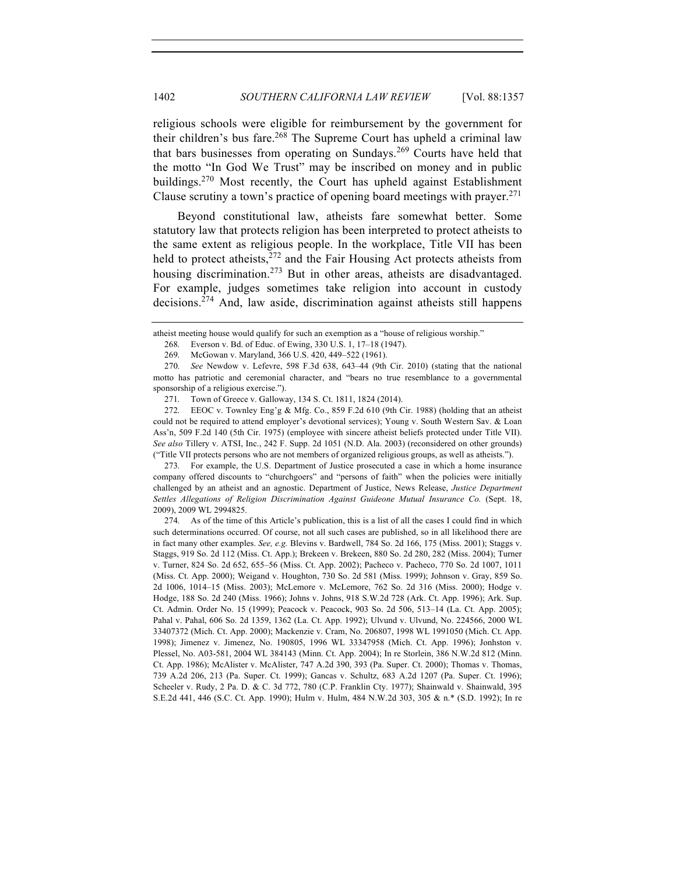## 1402 *SOUTHERN CALIFORNIA LAW REVIEW* [Vol. 88:1357

religious schools were eligible for reimbursement by the government for their children's bus fare.<sup>268</sup> The Supreme Court has upheld a criminal law that bars businesses from operating on Sundays.<sup>269</sup> Courts have held that the motto "In God We Trust" may be inscribed on money and in public buildings.<sup>270</sup> Most recently, the Court has upheld against Establishment Clause scrutiny a town's practice of opening board meetings with prayer.<sup>271</sup>

Beyond constitutional law, atheists fare somewhat better. Some statutory law that protects religion has been interpreted to protect atheists to the same extent as religious people. In the workplace, Title VII has been held to protect atheists, $272$  and the Fair Housing Act protects atheists from housing discrimination.<sup>273</sup> But in other areas, atheists are disadvantaged. For example, judges sometimes take religion into account in custody decisions.<sup>274</sup> And, law aside, discrimination against atheists still happens

271. Town of Greece v. Galloway, 134 S. Ct. 1811, 1824 (2014).

272. EEOC v. Townley Eng'g & Mfg. Co., 859 F.2d 610 (9th Cir. 1988) (holding that an atheist could not be required to attend employer's devotional services); Young v. South Western Sav. & Loan Ass'n, 509 F.2d 140 (5th Cir. 1975) (employee with sincere atheist beliefs protected under Title VII). *See also* Tillery v. ATSI, Inc., 242 F. Supp. 2d 1051 (N.D. Ala. 2003) (reconsidered on other grounds) ("Title VII protects persons who are not members of organized religious groups, as well as atheists.").

273. For example, the U.S. Department of Justice prosecuted a case in which a home insurance company offered discounts to "churchgoers" and "persons of faith" when the policies were initially challenged by an atheist and an agnostic. Department of Justice, News Release, *Justice Department Settles Allegations of Religion Discrimination Against Guideone Mutual Insurance Co.* (Sept. 18, 2009), 2009 WL 2994825.

274. As of the time of this Article's publication, this is a list of all the cases I could find in which such determinations occurred. Of course, not all such cases are published, so in all likelihood there are in fact many other examples. *See, e.g.* Blevins v. Bardwell, 784 So. 2d 166, 175 (Miss. 2001); Staggs v. Staggs, 919 So. 2d 112 (Miss. Ct. App.); Brekeen v. Brekeen, 880 So. 2d 280, 282 (Miss. 2004); Turner v. Turner, 824 So. 2d 652, 655–56 (Miss. Ct. App. 2002); Pacheco v. Pacheco, 770 So. 2d 1007, 1011 (Miss. Ct. App. 2000); Weigand v. Houghton, 730 So. 2d 581 (Miss. 1999); Johnson v. Gray, 859 So. 2d 1006, 1014–15 (Miss. 2003); McLemore v. McLemore, 762 So. 2d 316 (Miss. 2000); Hodge v. Hodge, 188 So. 2d 240 (Miss. 1966); Johns v. Johns, 918 S.W.2d 728 (Ark. Ct. App. 1996); Ark. Sup. Ct. Admin. Order No. 15 (1999); Peacock v. Peacock, 903 So. 2d 506, 513–14 (La. Ct. App. 2005); Pahal v. Pahal, 606 So. 2d 1359, 1362 (La. Ct. App. 1992); Ulvund v. Ulvund, No. 224566, 2000 WL 33407372 (Mich. Ct. App. 2000); Mackenzie v. Cram, No. 206807, 1998 WL 1991050 (Mich. Ct. App. 1998); Jimenez v. Jimenez, No. 190805, 1996 WL 33347958 (Mich. Ct. App. 1996); Jonhston v. Plessel, No. A03-581, 2004 WL 384143 (Minn. Ct. App. 2004); In re Storlein, 386 N.W.2d 812 (Minn. Ct. App. 1986); McAlister v. McAlister, 747 A.2d 390, 393 (Pa. Super. Ct. 2000); Thomas v. Thomas, 739 A.2d 206, 213 (Pa. Super. Ct. 1999); Gancas v. Schultz, 683 A.2d 1207 (Pa. Super. Ct. 1996); Scheeler v. Rudy, 2 Pa. D. & C. 3d 772, 780 (C.P. Franklin Cty. 1977); Shainwald v. Shainwald, 395 S.E.2d 441, 446 (S.C. Ct. App. 1990); Hulm v. Hulm, 484 N.W.2d 303, 305 & n.\* (S.D. 1992); In re

atheist meeting house would qualify for such an exemption as a "house of religious worship."

 <sup>268.</sup> Everson v. Bd. of Educ. of Ewing, 330 U.S. 1, 17–18 (1947).

<sup>269.</sup> McGowan v. Maryland, 366 U.S. 420, 449–522 (1961).

<sup>270.</sup> *See* Newdow v. Lefevre, 598 F.3d 638, 643–44 (9th Cir. 2010) (stating that the national motto has patriotic and ceremonial character, and "bears no true resemblance to a governmental sponsorship of a religious exercise.").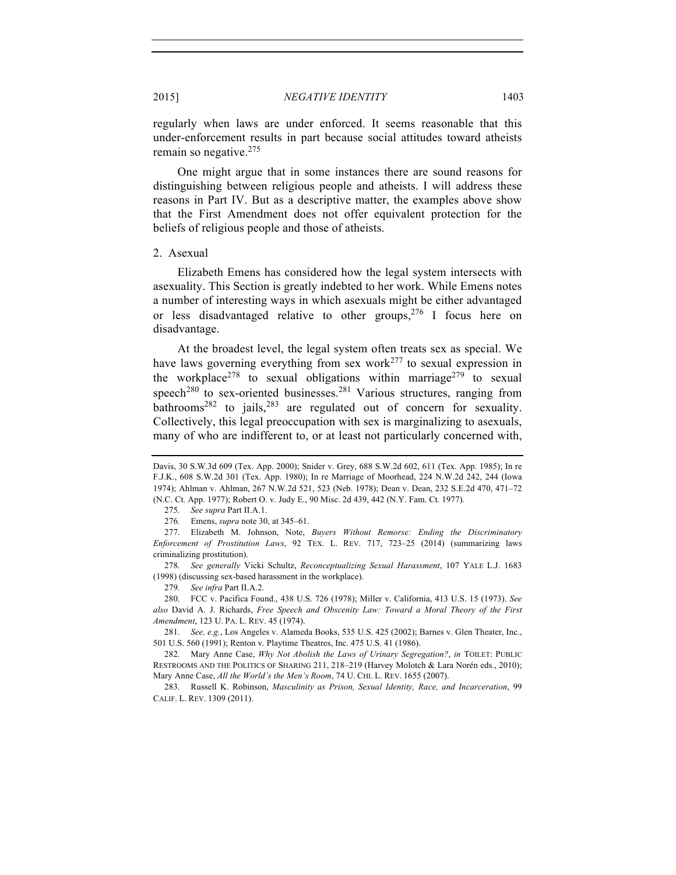regularly when laws are under enforced. It seems reasonable that this under-enforcement results in part because social attitudes toward atheists remain so negative.<sup>275</sup>

One might argue that in some instances there are sound reasons for distinguishing between religious people and atheists. I will address these reasons in Part IV. But as a descriptive matter, the examples above show that the First Amendment does not offer equivalent protection for the beliefs of religious people and those of atheists.

#### 2. Asexual

Elizabeth Emens has considered how the legal system intersects with asexuality. This Section is greatly indebted to her work. While Emens notes a number of interesting ways in which asexuals might be either advantaged or less disadvantaged relative to other groups,  $276$  I focus here on disadvantage.

At the broadest level, the legal system often treats sex as special. We have laws governing everything from sex work<sup>277</sup> to sexual expression in the workplace<sup>278</sup> to sexual obligations within marriage<sup>279</sup> to sexual speech<sup>280</sup> to sex-oriented businesses.<sup>281</sup> Various structures, ranging from bathrooms<sup>282</sup> to jails,<sup>283</sup> are regulated out of concern for sexuality. Collectively, this legal preoccupation with sex is marginalizing to asexuals, many of who are indifferent to, or at least not particularly concerned with,

277. Elizabeth M. Johnson, Note, *Buyers Without Remorse: Ending the Discriminatory Enforcement of Prostitution Laws*, 92 TEX. L. REV. 717, 723–25 (2014) (summarizing laws criminalizing prostitution).

278. *See generally* Vicki Schultz, *Reconceptualizing Sexual Harassment*, 107 YALE L.J. 1683 (1998) (discussing sex-based harassment in the workplace).

279. *See infra* Part II.A.2.

280. FCC v. Pacifica Found., 438 U.S. 726 (1978); Miller v. California, 413 U.S. 15 (1973). *See also* David A. J. Richards, *Free Speech and Obscenity Law: Toward a Moral Theory of the First Amendment*, 123 U. PA. L. REV. 45 (1974).

281. *See, e.g.*, Los Angeles v. Alameda Books, 535 U.S. 425 (2002); Barnes v. Glen Theater, Inc., 501 U.S. 560 (1991); Renton v. Playtime Theatres, Inc. 475 U.S. 41 (1986).

283. Russell K. Robinson, *Masculinity as Prison, Sexual Identity, Race, and Incarceration*, 99 CALIF. L. REV. 1309 (2011).

Davis, 30 S.W.3d 609 (Tex. App. 2000); Snider v. Grey, 688 S.W.2d 602, 611 (Tex. App. 1985); In re F.J.K., 608 S.W.2d 301 (Tex. App. 1980); In re Marriage of Moorhead, 224 N.W.2d 242, 244 (Iowa 1974); Ahlman v. Ahlman, 267 N.W.2d 521, 523 (Neb. 1978); Dean v. Dean, 232 S.E.2d 470, 471–72 (N.C. Ct. App. 1977); Robert O. v. Judy E., 90 Misc. 2d 439, 442 (N.Y. Fam. Ct. 1977).

<sup>275.</sup> *See supra* Part II.A.1.

<sup>276.</sup> Emens, *supra* note 30, at 345–61.

<sup>282.</sup> Mary Anne Case, *Why Not Abolish the Laws of Urinary Segregation?*, *in* TOILET: PUBLIC RESTROOMS AND THE POLITICS OF SHARING 211, 218–219 (Harvey Molotch & Lara Norén eds., 2010); Mary Anne Case, *All the World's the Men's Room*, 74 U. CHI. L. REV. 1655 (2007).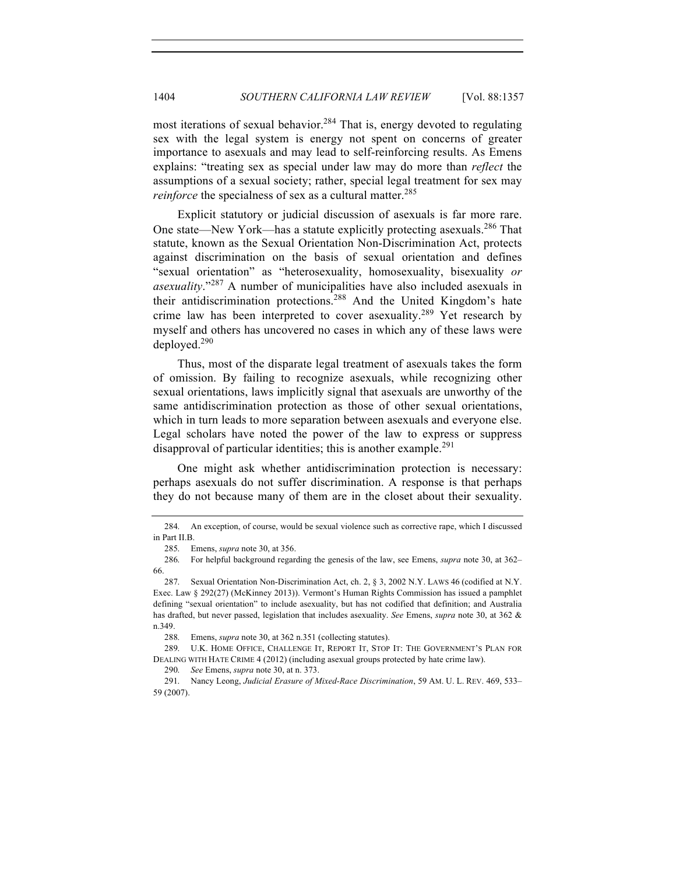most iterations of sexual behavior.<sup>284</sup> That is, energy devoted to regulating sex with the legal system is energy not spent on concerns of greater importance to asexuals and may lead to self-reinforcing results. As Emens explains: "treating sex as special under law may do more than *reflect* the assumptions of a sexual society; rather, special legal treatment for sex may *reinforce* the specialness of sex as a cultural matter.<sup>285</sup>

Explicit statutory or judicial discussion of asexuals is far more rare. One state—New York—has a statute explicitly protecting asexuals.<sup>286</sup> That statute, known as the Sexual Orientation Non-Discrimination Act, protects against discrimination on the basis of sexual orientation and defines "sexual orientation" as "heterosexuality, homosexuality, bisexuality *or asexuality*."<sup>287</sup> A number of municipalities have also included asexuals in their antidiscrimination protections.288 And the United Kingdom's hate crime law has been interpreted to cover asexuality.<sup>289</sup> Yet research by myself and others has uncovered no cases in which any of these laws were deployed.290

Thus, most of the disparate legal treatment of asexuals takes the form of omission. By failing to recognize asexuals, while recognizing other sexual orientations, laws implicitly signal that asexuals are unworthy of the same antidiscrimination protection as those of other sexual orientations, which in turn leads to more separation between asexuals and everyone else. Legal scholars have noted the power of the law to express or suppress disapproval of particular identities; this is another example.<sup>291</sup>

One might ask whether antidiscrimination protection is necessary: perhaps asexuals do not suffer discrimination. A response is that perhaps they do not because many of them are in the closet about their sexuality.

<sup>284.</sup> An exception, of course, would be sexual violence such as corrective rape, which I discussed in Part II.B.

<sup>285.</sup> Emens, *supra* note 30, at 356.

<sup>286.</sup> For helpful background regarding the genesis of the law, see Emens, *supra* note 30, at 362– 66.

<sup>287.</sup> Sexual Orientation Non-Discrimination Act, ch. 2, § 3, 2002 N.Y. LAWS 46 (codified at N.Y. Exec. Law § 292(27) (McKinney 2013)). Vermont's Human Rights Commission has issued a pamphlet defining "sexual orientation" to include asexuality, but has not codified that definition; and Australia has drafted, but never passed, legislation that includes asexuality. *See* Emens, *supra* note 30, at 362 & n.349.

<sup>288.</sup> Emens, *supra* note 30, at 362 n.351 (collecting statutes).

<sup>289.</sup> U.K. HOME OFFICE, CHALLENGE IT, REPORT IT, STOP IT: THE GOVERNMENT'S PLAN FOR DEALING WITH HATE CRIME 4 (2012) (including asexual groups protected by hate crime law).

<sup>290.</sup> *See* Emens, *supra* note 30, at n. 373.

<sup>291.</sup> Nancy Leong, *Judicial Erasure of Mixed-Race Discrimination*, 59 AM. U. L. REV. 469, 533– 59 (2007).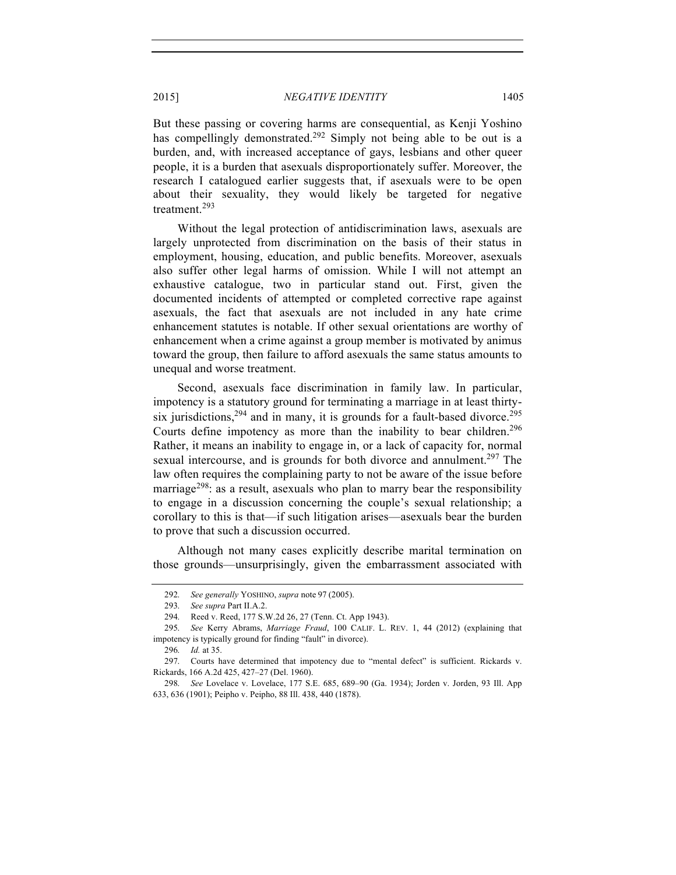But these passing or covering harms are consequential, as Kenji Yoshino has compellingly demonstrated.<sup>292</sup> Simply not being able to be out is a burden, and, with increased acceptance of gays, lesbians and other queer people, it is a burden that asexuals disproportionately suffer. Moreover, the research I catalogued earlier suggests that, if asexuals were to be open about their sexuality, they would likely be targeted for negative treatment.<sup>293</sup>

Without the legal protection of antidiscrimination laws, asexuals are largely unprotected from discrimination on the basis of their status in employment, housing, education, and public benefits. Moreover, asexuals also suffer other legal harms of omission. While I will not attempt an exhaustive catalogue, two in particular stand out. First, given the documented incidents of attempted or completed corrective rape against asexuals, the fact that asexuals are not included in any hate crime enhancement statutes is notable. If other sexual orientations are worthy of enhancement when a crime against a group member is motivated by animus toward the group, then failure to afford asexuals the same status amounts to unequal and worse treatment.

Second, asexuals face discrimination in family law. In particular, impotency is a statutory ground for terminating a marriage in at least thirtysix jurisdictions,  $294$  and in many, it is grounds for a fault-based divorce.  $295$ Courts define impotency as more than the inability to bear children.<sup>296</sup> Rather, it means an inability to engage in, or a lack of capacity for, normal sexual intercourse, and is grounds for both divorce and annulment.<sup>297</sup> The law often requires the complaining party to not be aware of the issue before marriage<sup>298</sup>: as a result, as exuals who plan to marry bear the responsibility to engage in a discussion concerning the couple's sexual relationship; a corollary to this is that—if such litigation arises—asexuals bear the burden to prove that such a discussion occurred.

Although not many cases explicitly describe marital termination on those grounds—unsurprisingly, given the embarrassment associated with

<sup>292.</sup> *See generally* YOSHINO, *supra* note 97 (2005).

<sup>293.</sup> *See supra* Part II.A.2.

<sup>294.</sup> Reed v. Reed, 177 S.W.2d 26, 27 (Tenn. Ct. App 1943).

<sup>295.</sup> *See* Kerry Abrams, *Marriage Fraud*, 100 CALIF. L. REV. 1, 44 (2012) (explaining that impotency is typically ground for finding "fault" in divorce).

<sup>296.</sup> *Id.* at 35.

<sup>297.</sup> Courts have determined that impotency due to "mental defect" is sufficient. Rickards v. Rickards, 166 A.2d 425, 427–27 (Del. 1960).

<sup>298.</sup> *See* Lovelace v. Lovelace, 177 S.E. 685, 689–90 (Ga. 1934); Jorden v. Jorden, 93 Ill. App 633, 636 (1901); Peipho v. Peipho, 88 Ill. 438, 440 (1878).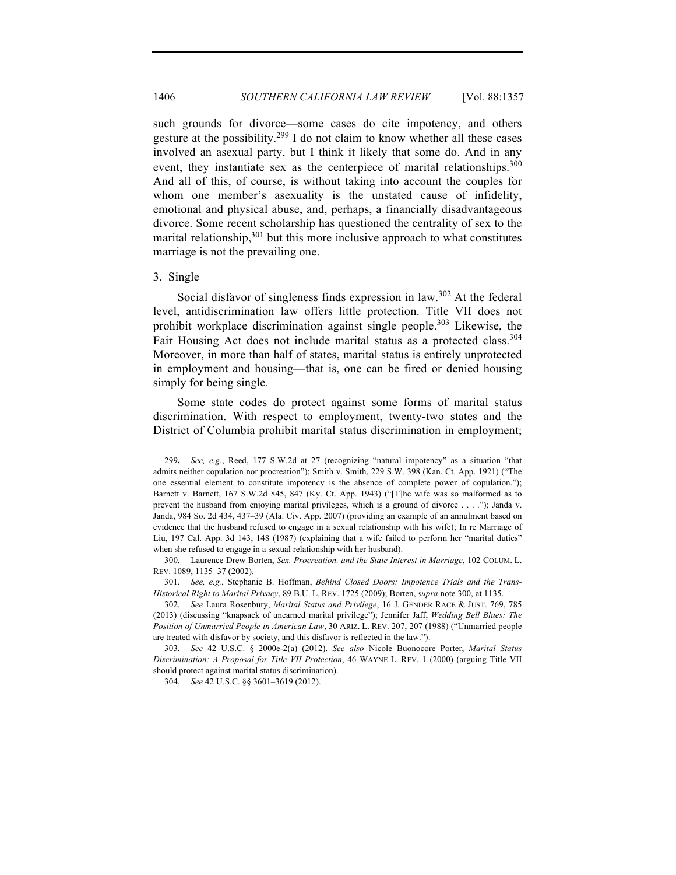such grounds for divorce—some cases do cite impotency, and others gesture at the possibility.<sup>299</sup> I do not claim to know whether all these cases involved an asexual party, but I think it likely that some do. And in any event, they instantiate sex as the centerpiece of marital relationships.<sup>300</sup> And all of this, of course, is without taking into account the couples for whom one member's asexuality is the unstated cause of infidelity, emotional and physical abuse, and, perhaps, a financially disadvantageous divorce. Some recent scholarship has questioned the centrality of sex to the marital relationship,  $301$  but this more inclusive approach to what constitutes marriage is not the prevailing one.

#### 3. Single

Social disfavor of singleness finds expression in law.<sup>302</sup> At the federal level, antidiscrimination law offers little protection. Title VII does not prohibit workplace discrimination against single people.<sup>303</sup> Likewise, the Fair Housing Act does not include marital status as a protected class.<sup>304</sup> Moreover, in more than half of states, marital status is entirely unprotected in employment and housing—that is, one can be fired or denied housing simply for being single.

Some state codes do protect against some forms of marital status discrimination. With respect to employment, twenty-two states and the District of Columbia prohibit marital status discrimination in employment;

301. *See, e.g.*, Stephanie B. Hoffman, *Behind Closed Doors: Impotence Trials and the Trans-Historical Right to Marital Privacy*, 89 B.U. L. REV. 1725 (2009); Borten, *supra* note 300, at 1135.

302. *See* Laura Rosenbury, *Marital Status and Privilege*, 16 J. GENDER RACE & JUST. 769, 785 (2013) (discussing "knapsack of unearned marital privilege"); Jennifer Jaff, *Wedding Bell Blues: The Position of Unmarried People in American Law*, 30 ARIZ. L. REV. 207, 207 (1988) ("Unmarried people are treated with disfavor by society, and this disfavor is reflected in the law.").

303. *See* 42 U.S.C. § 2000e-2(a) (2012). *See also* Nicole Buonocore Porter, *Marital Status Discrimination: A Proposal for Title VII Protection*, 46 WAYNE L. REV. 1 (2000) (arguing Title VII should protect against marital status discrimination).

304. *See* 42 U.S.C. §§ 3601–3619 (2012).

<sup>299</sup>**.** *See, e.g.*, Reed, 177 S.W.2d at 27 (recognizing "natural impotency" as a situation "that admits neither copulation nor procreation"); Smith v. Smith, 229 S.W. 398 (Kan. Ct. App. 1921) ("The one essential element to constitute impotency is the absence of complete power of copulation."); Barnett v. Barnett, 167 S.W.2d 845, 847 (Ky. Ct. App. 1943) ("[T]he wife was so malformed as to prevent the husband from enjoying marital privileges, which is a ground of divorce . . . ."); Janda v. Janda, 984 So. 2d 434, 437–39 (Ala. Civ. App. 2007) (providing an example of an annulment based on evidence that the husband refused to engage in a sexual relationship with his wife); In re Marriage of Liu, 197 Cal. App. 3d 143, 148 (1987) (explaining that a wife failed to perform her "marital duties" when she refused to engage in a sexual relationship with her husband).

<sup>300.</sup> Laurence Drew Borten, *Sex, Procreation, and the State Interest in Marriage*, 102 COLUM. L. REV. 1089, 1135–37 (2002).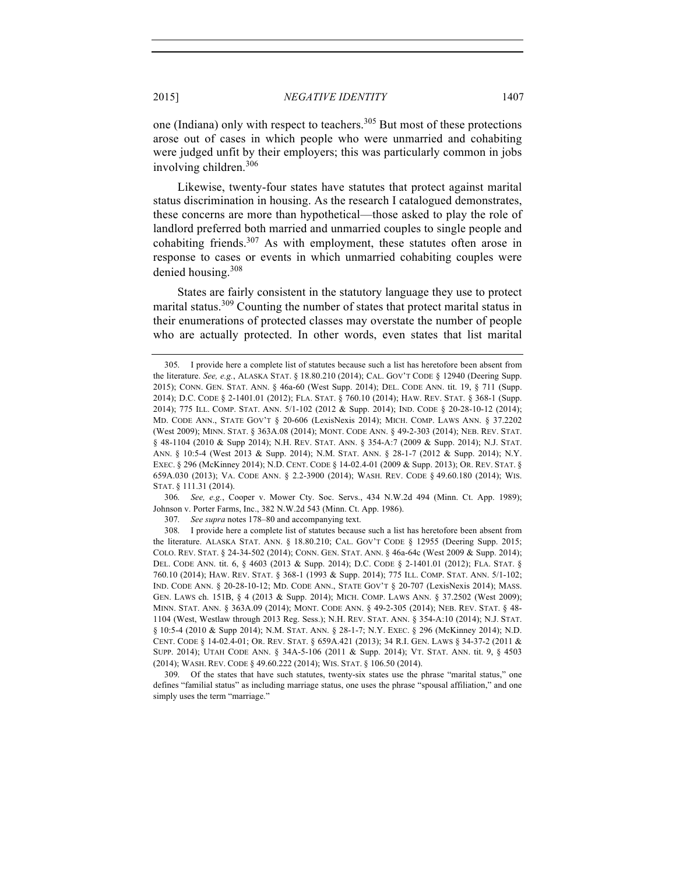one (Indiana) only with respect to teachers.<sup>305</sup> But most of these protections arose out of cases in which people who were unmarried and cohabiting were judged unfit by their employers; this was particularly common in jobs involving children.<sup>306</sup>

Likewise, twenty-four states have statutes that protect against marital status discrimination in housing. As the research I catalogued demonstrates, these concerns are more than hypothetical—those asked to play the role of landlord preferred both married and unmarried couples to single people and cohabiting friends. $307$  As with employment, these statutes often arose in response to cases or events in which unmarried cohabiting couples were denied housing.308

States are fairly consistent in the statutory language they use to protect marital status.<sup>309</sup> Counting the number of states that protect marital status in their enumerations of protected classes may overstate the number of people who are actually protected. In other words, even states that list marital

306. *See, e.g.*, Cooper v. Mower Cty. Soc. Servs., 434 N.W.2d 494 (Minn. Ct. App. 1989); Johnson v. Porter Farms, Inc., 382 N.W.2d 543 (Minn. Ct. App. 1986).

307. *See supra* notes 178–80 and accompanying text.

308. I provide here a complete list of statutes because such a list has heretofore been absent from the literature. ALASKA STAT. ANN. § 18.80.210; CAL. GOV'T CODE § 12955 (Deering Supp. 2015; COLO. REV. STAT. § 24-34-502 (2014); CONN. GEN. STAT. ANN. § 46a-64c (West 2009 & Supp. 2014); DEL. CODE ANN. tit. 6, § 4603 (2013 & Supp. 2014); D.C. CODE § 2-1401.01 (2012); FLA. STAT. § 760.10 (2014); HAW. REV. STAT. § 368-1 (1993 & Supp. 2014); 775 ILL. COMP. STAT. ANN. 5/1-102; IND. CODE ANN. § 20-28-10-12; MD. CODE ANN., STATE GOV'T § 20-707 (LexisNexis 2014); MASS. GEN. LAWS ch. 151B, § 4 (2013 & Supp. 2014); MICH. COMP. LAWS ANN. § 37.2502 (West 2009); MINN. STAT. ANN. § 363A.09 (2014); MONT. CODE ANN. § 49-2-305 (2014); NEB. REV. STAT. § 48- 1104 (West, Westlaw through 2013 Reg. Sess.); N.H. REV. STAT. ANN. § 354-A:10 (2014); N.J. STAT. § 10:5-4 (2010 & Supp 2014); N.M. STAT. ANN. § 28-1-7; N.Y. EXEC. § 296 (McKinney 2014); N.D. CENT. CODE § 14-02.4-01; OR. REV. STAT. § 659A.421 (2013); 34 R.I. GEN. LAWS § 34-37-2 (2011 & SUPP. 2014); UTAH CODE ANN. § 34A-5-106 (2011 & Supp. 2014); VT. STAT. ANN. tit. 9, § 4503 (2014); WASH. REV. CODE § 49.60.222 (2014); WIS. STAT. § 106.50 (2014).

309. Of the states that have such statutes, twenty-six states use the phrase "marital status," one defines "familial status" as including marriage status, one uses the phrase "spousal affiliation," and one simply uses the term "marriage."

<sup>305.</sup> I provide here a complete list of statutes because such a list has heretofore been absent from the literature. *See, e.g.*, ALASKA STAT. § 18.80.210 (2014); CAL. GOV'T CODE § 12940 (Deering Supp. 2015); CONN. GEN. STAT. ANN. § 46a-60 (West Supp. 2014); DEL. CODE ANN. tit. 19, § 711 (Supp. 2014); D.C. CODE § 2-1401.01 (2012); FLA. STAT. § 760.10 (2014); HAW. REV. STAT. § 368-1 (Supp. 2014); 775 ILL. COMP. STAT. ANN. 5/1-102 (2012 & Supp. 2014); IND. CODE § 20-28-10-12 (2014); MD. CODE ANN., STATE GOV'T § 20-606 (LexisNexis 2014); MICH. COMP. LAWS ANN. § 37.2202 (West 2009); MINN. STAT. § 363A.08 (2014); MONT. CODE ANN. § 49-2-303 (2014); NEB. REV. STAT. § 48-1104 (2010 & Supp 2014); N.H. REV. STAT. ANN. § 354-A:7 (2009 & Supp. 2014); N.J. STAT. ANN. § 10:5-4 (West 2013 & Supp. 2014); N.M. STAT. ANN. § 28-1-7 (2012 & Supp. 2014); N.Y. EXEC. § 296 (McKinney 2014); N.D. CENT. CODE § 14-02.4-01 (2009 & Supp. 2013); OR. REV. STAT. § 659A.030 (2013); VA. CODE ANN. § 2.2-3900 (2014); WASH. REV. CODE § 49.60.180 (2014); WIS. STAT. § 111.31 (2014).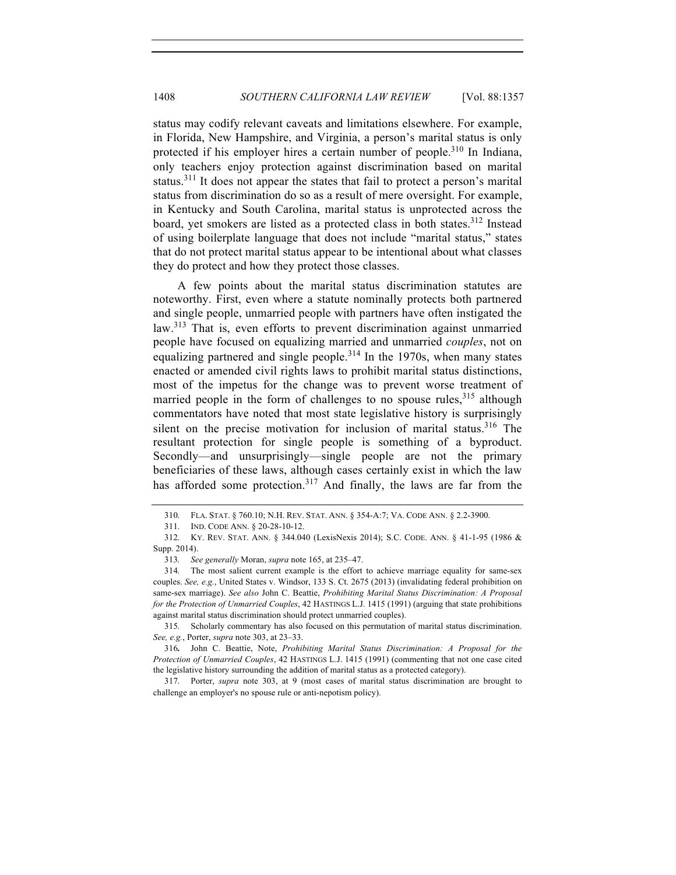status may codify relevant caveats and limitations elsewhere. For example, in Florida, New Hampshire, and Virginia, a person's marital status is only protected if his employer hires a certain number of people.<sup>310</sup> In Indiana, only teachers enjoy protection against discrimination based on marital status.<sup>311</sup> It does not appear the states that fail to protect a person's marital status from discrimination do so as a result of mere oversight. For example, in Kentucky and South Carolina, marital status is unprotected across the board, yet smokers are listed as a protected class in both states.<sup>312</sup> Instead of using boilerplate language that does not include "marital status," states that do not protect marital status appear to be intentional about what classes they do protect and how they protect those classes.

A few points about the marital status discrimination statutes are noteworthy. First, even where a statute nominally protects both partnered and single people, unmarried people with partners have often instigated the law.<sup>313</sup> That is, even efforts to prevent discrimination against unmarried people have focused on equalizing married and unmarried *couples*, not on equalizing partnered and single people.<sup>314</sup> In the 1970s, when many states enacted or amended civil rights laws to prohibit marital status distinctions, most of the impetus for the change was to prevent worse treatment of married people in the form of challenges to no spouse rules,  $315$  although commentators have noted that most state legislative history is surprisingly silent on the precise motivation for inclusion of marital status.<sup>316</sup> The resultant protection for single people is something of a byproduct. Secondly—and unsurprisingly—single people are not the primary beneficiaries of these laws, although cases certainly exist in which the law has afforded some protection.<sup>317</sup> And finally, the laws are far from the

<sup>310.</sup> FLA. STAT. § 760.10; N.H. REV. STAT. ANN. § 354-A:7; VA. CODE ANN. § 2.2-3900.

<sup>311.</sup> IND. CODE ANN. § 20-28-10-12.

<sup>312.</sup> KY. REV. STAT. ANN. § 344.040 (LexisNexis 2014); S.C. CODE. ANN. § 41-1-95 (1986 & Supp. 2014).

<sup>313.</sup> *See generally* Moran, *supra* note 165, at 235–47.

<sup>314.</sup> The most salient current example is the effort to achieve marriage equality for same-sex couples. *See, e.g.*, United States v. Windsor, 133 S. Ct. 2675 (2013) (invalidating federal prohibition on same-sex marriage). *See also* John C. Beattie, *Prohibiting Marital Status Discrimination: A Proposal for the Protection of Unmarried Couples*, 42 HASTINGS L.J. 1415 (1991) (arguing that state prohibitions against marital status discrimination should protect unmarried couples).

<sup>315.</sup> Scholarly commentary has also focused on this permutation of marital status discrimination. *See, e.g.*, Porter, *supra* note 303, at 23–33.

<sup>316</sup>**.** John C. Beattie, Note, *Prohibiting Marital Status Discrimination: A Proposal for the Protection of Unmarried Couples*, 42 HASTINGS L.J. 1415 (1991) (commenting that not one case cited the legislative history surrounding the addition of marital status as a protected category).

<sup>317.</sup> Porter, *supra* note 303, at 9 (most cases of marital status discrimination are brought to challenge an employer's no spouse rule or anti-nepotism policy).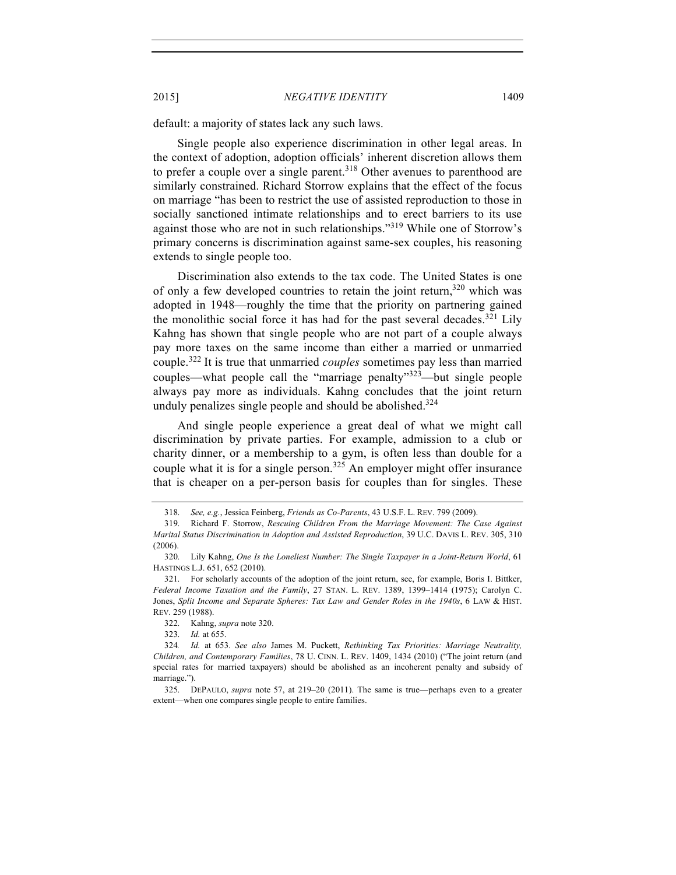default: a majority of states lack any such laws.

Single people also experience discrimination in other legal areas. In the context of adoption, adoption officials' inherent discretion allows them to prefer a couple over a single parent.<sup>318</sup> Other avenues to parenthood are similarly constrained. Richard Storrow explains that the effect of the focus on marriage "has been to restrict the use of assisted reproduction to those in socially sanctioned intimate relationships and to erect barriers to its use against those who are not in such relationships."<sup>319</sup> While one of Storrow's primary concerns is discrimination against same-sex couples, his reasoning extends to single people too.

Discrimination also extends to the tax code. The United States is one of only a few developed countries to retain the joint return, $320$  which was adopted in 1948—roughly the time that the priority on partnering gained the monolithic social force it has had for the past several decades.<sup>321</sup> Lily Kahng has shown that single people who are not part of a couple always pay more taxes on the same income than either a married or unmarried couple.<sup>322</sup> It is true that unmarried *couples* sometimes pay less than married couples—what people call the "marriage penalty"<sup>323</sup>—but single people always pay more as individuals. Kahng concludes that the joint return unduly penalizes single people and should be abolished.<sup>324</sup>

And single people experience a great deal of what we might call discrimination by private parties. For example, admission to a club or charity dinner, or a membership to a gym, is often less than double for a couple what it is for a single person.<sup>325</sup> An employer might offer insurance that is cheaper on a per-person basis for couples than for singles. These

323. *Id.* at 655.

<sup>318.</sup> *See, e.g.*, Jessica Feinberg, *Friends as Co-Parents*, 43 U.S.F. L. REV. 799 (2009).

<sup>319.</sup> Richard F. Storrow, *Rescuing Children From the Marriage Movement: The Case Against Marital Status Discrimination in Adoption and Assisted Reproduction*, 39 U.C. DAVIS L. REV. 305, 310 (2006).

<sup>320.</sup> Lily Kahng, *One Is the Loneliest Number: The Single Taxpayer in a Joint-Return World*, 61 HASTINGS L.J. 651, 652 (2010).

<sup>321.</sup> For scholarly accounts of the adoption of the joint return, see, for example, Boris I. Bittker, *Federal Income Taxation and the Family*, 27 STAN. L. REV. 1389, 1399–1414 (1975); Carolyn C. Jones, *Split Income and Separate Spheres: Tax Law and Gender Roles in the 1940s*, 6 LAW & HIST. REV. 259 (1988).

<sup>322.</sup> Kahng, *supra* note 320.

<sup>324</sup>*. Id.* at 653. *See also* James M. Puckett, *Rethinking Tax Priorities: Marriage Neutrality, Children, and Contemporary Families*, 78 U. CINN. L. REV. 1409, 1434 (2010) ("The joint return (and special rates for married taxpayers) should be abolished as an incoherent penalty and subsidy of marriage.").

<sup>325.</sup> DEPAULO, *supra* note 57, at 219–20 (2011). The same is true—perhaps even to a greater extent—when one compares single people to entire families.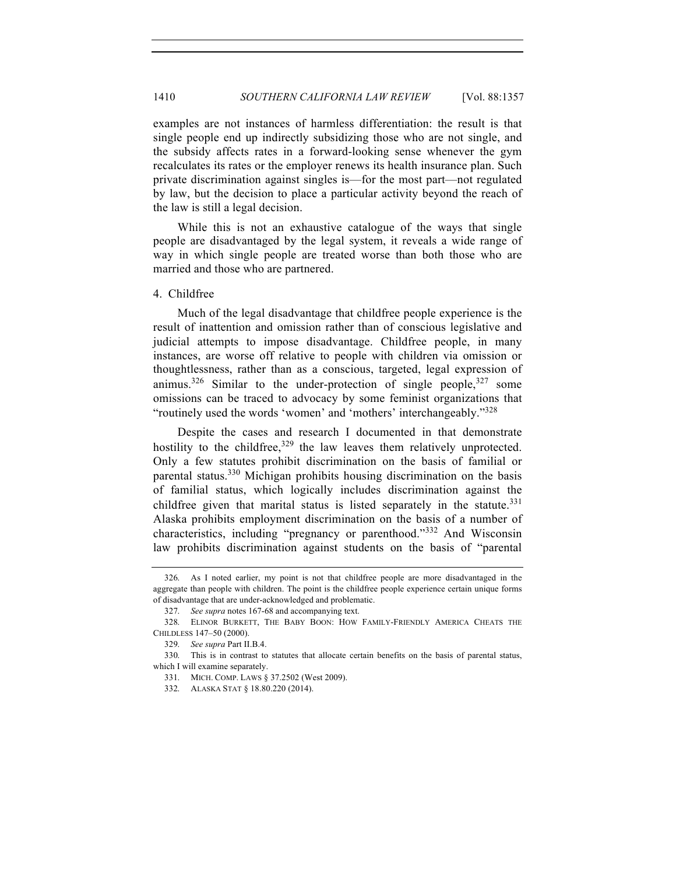examples are not instances of harmless differentiation: the result is that single people end up indirectly subsidizing those who are not single, and the subsidy affects rates in a forward-looking sense whenever the gym recalculates its rates or the employer renews its health insurance plan. Such private discrimination against singles is—for the most part—not regulated by law, but the decision to place a particular activity beyond the reach of the law is still a legal decision.

While this is not an exhaustive catalogue of the ways that single people are disadvantaged by the legal system, it reveals a wide range of way in which single people are treated worse than both those who are married and those who are partnered.

#### 4. Childfree

Much of the legal disadvantage that childfree people experience is the result of inattention and omission rather than of conscious legislative and judicial attempts to impose disadvantage. Childfree people, in many instances, are worse off relative to people with children via omission or thoughtlessness, rather than as a conscious, targeted, legal expression of animus.<sup>326</sup> Similar to the under-protection of single people,  $327$  some omissions can be traced to advocacy by some feminist organizations that "routinely used the words 'women' and 'mothers' interchangeably."328

Despite the cases and research I documented in that demonstrate hostility to the childfree,  $329$  the law leaves them relatively unprotected. Only a few statutes prohibit discrimination on the basis of familial or parental status.<sup>330</sup> Michigan prohibits housing discrimination on the basis of familial status, which logically includes discrimination against the childfree given that marital status is listed separately in the statute. $331$ Alaska prohibits employment discrimination on the basis of a number of characteristics, including "pregnancy or parenthood."<sup>332</sup> And Wisconsin law prohibits discrimination against students on the basis of "parental

<sup>326.</sup> As I noted earlier, my point is not that childfree people are more disadvantaged in the aggregate than people with children. The point is the childfree people experience certain unique forms of disadvantage that are under-acknowledged and problematic.

<sup>327.</sup> *See supra* notes 167-68 and accompanying text.

<sup>328.</sup> ELINOR BURKETT, THE BABY BOON: HOW FAMILY-FRIENDLY AMERICA CHEATS THE CHILDLESS 147–50 (2000).

<sup>329.</sup> *See supra* Part II.B.4.

<sup>330.</sup> This is in contrast to statutes that allocate certain benefits on the basis of parental status, which I will examine separately.

<sup>331.</sup> MICH. COMP. LAWS § 37.2502 (West 2009).

<sup>332.</sup> ALASKA STAT § 18.80.220 (2014).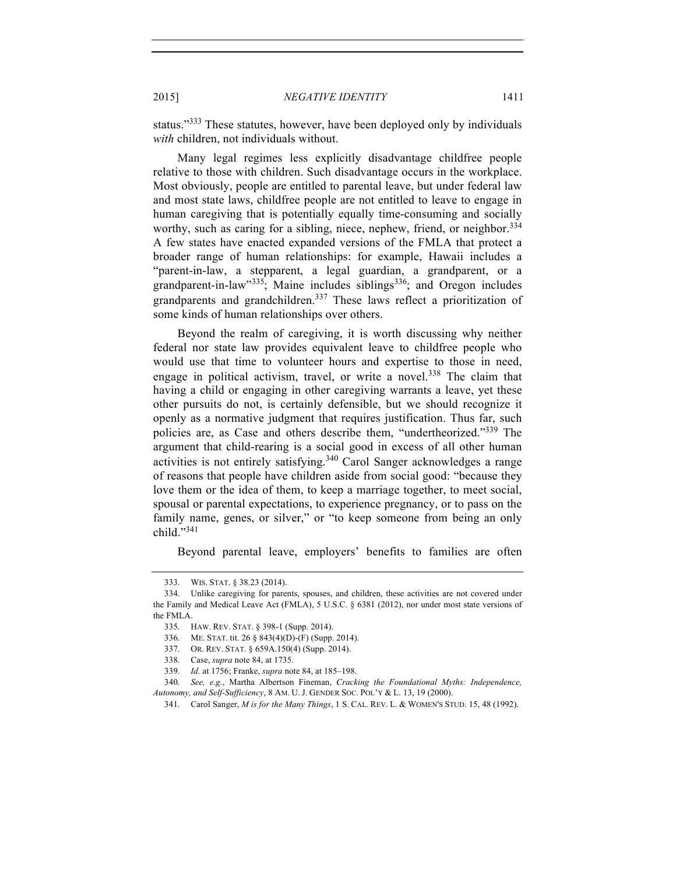status."<sup>333</sup> These statutes, however, have been deployed only by individuals *with* children, not individuals without.

Many legal regimes less explicitly disadvantage childfree people relative to those with children. Such disadvantage occurs in the workplace. Most obviously, people are entitled to parental leave, but under federal law and most state laws, childfree people are not entitled to leave to engage in human caregiving that is potentially equally time-consuming and socially worthy, such as caring for a sibling, niece, nephew, friend, or neighbor.<sup>334</sup> A few states have enacted expanded versions of the FMLA that protect a broader range of human relationships: for example, Hawaii includes a "parent-in-law, a stepparent, a legal guardian, a grandparent, or a grandparent-in-law"<sup>335</sup>; Maine includes siblings<sup>336</sup>; and Oregon includes grandparents and grandchildren.<sup>337</sup> These laws reflect a prioritization of some kinds of human relationships over others.

Beyond the realm of caregiving, it is worth discussing why neither federal nor state law provides equivalent leave to childfree people who would use that time to volunteer hours and expertise to those in need, engage in political activism, travel, or write a novel.<sup>338</sup> The claim that having a child or engaging in other caregiving warrants a leave, yet these other pursuits do not, is certainly defensible, but we should recognize it openly as a normative judgment that requires justification. Thus far, such policies are, as Case and others describe them, "undertheorized."339 The argument that child-rearing is a social good in excess of all other human activities is not entirely satisfying.<sup>340</sup> Carol Sanger acknowledges a range of reasons that people have children aside from social good: "because they love them or the idea of them, to keep a marriage together, to meet social, spousal or parental expectations, to experience pregnancy, or to pass on the family name, genes, or silver," or "to keep someone from being an only child."341

Beyond parental leave, employers' benefits to families are often

<sup>333.</sup> WIS. STAT. § 38.23 (2014).

<sup>334.</sup> Unlike caregiving for parents, spouses, and children, these activities are not covered under the Family and Medical Leave Act (FMLA), 5 U.S.C. § 6381 (2012), nor under most state versions of the FMLA.

<sup>335.</sup> HAW. REV. STAT. § 398-1 (Supp. 2014).

<sup>336.</sup> ME. STAT. tit. 26 § 843(4)(D)-(F) (Supp. 2014).

<sup>337.</sup> OR. REV. STAT. § 659A.150(4) (Supp. 2014).

<sup>338.</sup> Case, *supra* note 84, at 1735.

<sup>339.</sup> *Id.* at 1756; Franke, *supra* note 84, at 185–198.

<sup>340.</sup> *See, e.g.*, Martha Albertson Fineman, *Cracking the Foundational Myths: Independence, Autonomy, and Self-Sufficiency*, 8 AM. U. J. GENDER SOC. POL'Y & L. 13, 19 (2000).

<sup>341.</sup> Carol Sanger, *M is for the Many Things*, 1 S. CAL. REV. L. & WOMEN'S STUD. 15, 48 (1992).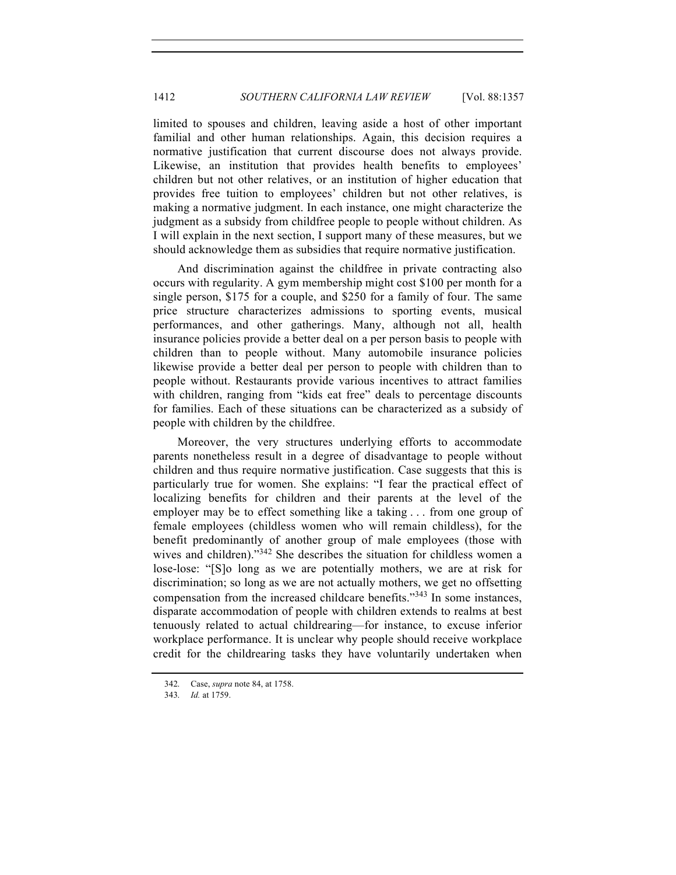limited to spouses and children, leaving aside a host of other important familial and other human relationships. Again, this decision requires a normative justification that current discourse does not always provide. Likewise, an institution that provides health benefits to employees' children but not other relatives, or an institution of higher education that provides free tuition to employees' children but not other relatives, is making a normative judgment. In each instance, one might characterize the judgment as a subsidy from childfree people to people without children. As I will explain in the next section, I support many of these measures, but we should acknowledge them as subsidies that require normative justification.

And discrimination against the childfree in private contracting also occurs with regularity. A gym membership might cost \$100 per month for a single person, \$175 for a couple, and \$250 for a family of four. The same price structure characterizes admissions to sporting events, musical performances, and other gatherings. Many, although not all, health insurance policies provide a better deal on a per person basis to people with children than to people without. Many automobile insurance policies likewise provide a better deal per person to people with children than to people without. Restaurants provide various incentives to attract families with children, ranging from "kids eat free" deals to percentage discounts for families. Each of these situations can be characterized as a subsidy of people with children by the childfree.

Moreover, the very structures underlying efforts to accommodate parents nonetheless result in a degree of disadvantage to people without children and thus require normative justification. Case suggests that this is particularly true for women. She explains: "I fear the practical effect of localizing benefits for children and their parents at the level of the employer may be to effect something like a taking . . . from one group of female employees (childless women who will remain childless), for the benefit predominantly of another group of male employees (those with wives and children).<sup>342</sup> She describes the situation for childless women a lose-lose: "[S]o long as we are potentially mothers, we are at risk for discrimination; so long as we are not actually mothers, we get no offsetting compensation from the increased childcare benefits."343 In some instances, disparate accommodation of people with children extends to realms at best tenuously related to actual childrearing—for instance, to excuse inferior workplace performance. It is unclear why people should receive workplace credit for the childrearing tasks they have voluntarily undertaken when

<sup>342.</sup> Case, *supra* note 84, at 1758.

<sup>343.</sup> *Id.* at 1759.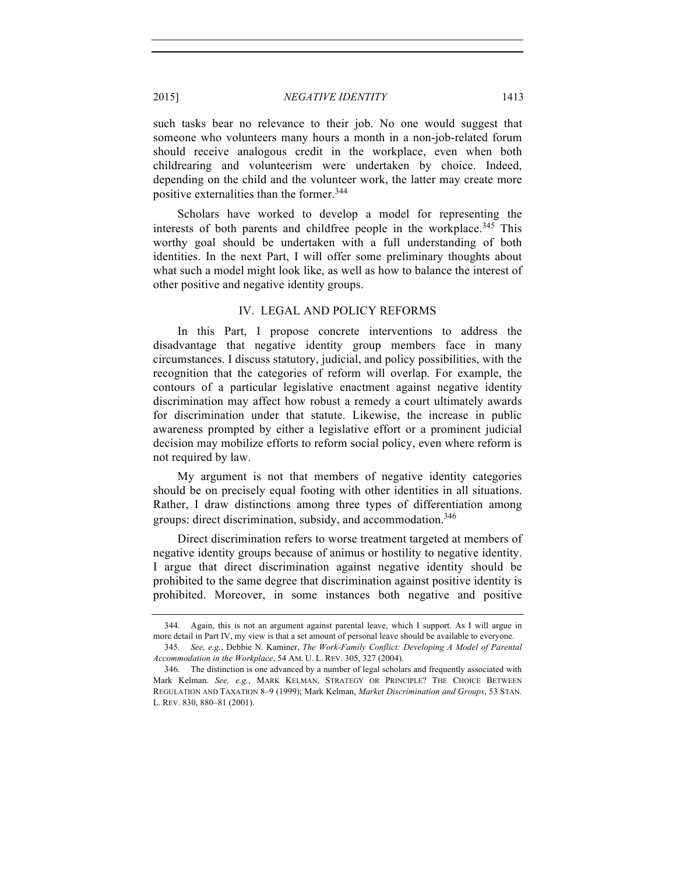such tasks bear no relevance to their job. No one would suggest that someone who volunteers many hours a month in a non-job-related forum should receive analogous credit in the workplace, even when both childrearing and volunteerism were undertaken by choice. Indeed, depending on the child and the volunteer work, the latter may create more positive externalities than the former.<sup>344</sup>

Scholars have worked to develop a model for representing the interests of both parents and childfree people in the workplace.<sup>345</sup> This worthy goal should be undertaken with a full understanding of both identities. In the next Part, I will offer some preliminary thoughts about what such a model might look like, as well as how to balance the interest of other positive and negative identity groups.

# IV. LEGAL AND POLICY REFORMS

In this Part, I propose concrete interventions to address the disadvantage that negative identity group members face in many circumstances. I discuss statutory, judicial, and policy possibilities, with the recognition that the categories of reform will overlap. For example, the contours of a particular legislative enactment against negative identity discrimination may affect how robust a remedy a court ultimately awards for discrimination under that statute. Likewise, the increase in public awareness prompted by either a legislative effort or a prominent judicial decision may mobilize efforts to reform social policy, even where reform is not required by law.

My argument is not that members of negative identity categories should be on precisely equal footing with other identities in all situations. Rather, I draw distinctions among three types of differentiation among groups: direct discrimination, subsidy, and accommodation.<sup>346</sup>

Direct discrimination refers to worse treatment targeted at members of negative identity groups because of animus or hostility to negative identity. I argue that direct discrimination against negative identity should be prohibited to the same degree that discrimination against positive identity is prohibited. Moreover, in some instances both negative and positive

<sup>344.</sup> Again, this is not an argument against parental leave, which I support. As I will argue in more detail in Part IV, my view is that a set amount of personal leave should be available to everyone.

<sup>345.</sup> *See, e.g.*, Debbie N. Kaminer, *The Work-Family Conflict: Developing A Model of Parental Accommodation in the Workplace*, 54 AM. U. L. REV. 305, 327 (2004).

<sup>346.</sup> The distinction is one advanced by a number of legal scholars and frequently associated with Mark Kelman. *See, e.g.*, MARK KELMAN, STRATEGY OR PRINCIPLE? THE CHOICE BETWEEN REGULATION AND TAXATION 8–9 (1999); Mark Kelman, *Market Discrimination and Groups*, 53 STAN. L. REV. 830, 880–81 (2001).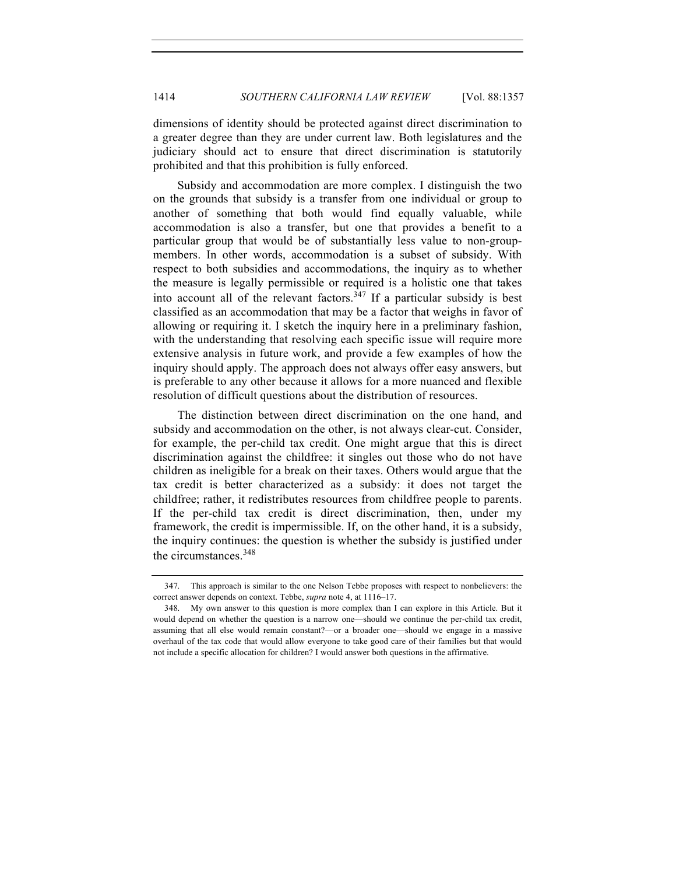dimensions of identity should be protected against direct discrimination to a greater degree than they are under current law. Both legislatures and the judiciary should act to ensure that direct discrimination is statutorily prohibited and that this prohibition is fully enforced.

Subsidy and accommodation are more complex. I distinguish the two on the grounds that subsidy is a transfer from one individual or group to another of something that both would find equally valuable, while accommodation is also a transfer, but one that provides a benefit to a particular group that would be of substantially less value to non-groupmembers. In other words, accommodation is a subset of subsidy. With respect to both subsidies and accommodations, the inquiry as to whether the measure is legally permissible or required is a holistic one that takes into account all of the relevant factors.<sup>347</sup> If a particular subsidy is best classified as an accommodation that may be a factor that weighs in favor of allowing or requiring it. I sketch the inquiry here in a preliminary fashion, with the understanding that resolving each specific issue will require more extensive analysis in future work, and provide a few examples of how the inquiry should apply. The approach does not always offer easy answers, but is preferable to any other because it allows for a more nuanced and flexible resolution of difficult questions about the distribution of resources.

The distinction between direct discrimination on the one hand, and subsidy and accommodation on the other, is not always clear-cut. Consider, for example, the per-child tax credit. One might argue that this is direct discrimination against the childfree: it singles out those who do not have children as ineligible for a break on their taxes. Others would argue that the tax credit is better characterized as a subsidy: it does not target the childfree; rather, it redistributes resources from childfree people to parents. If the per-child tax credit is direct discrimination, then, under my framework, the credit is impermissible. If, on the other hand, it is a subsidy, the inquiry continues: the question is whether the subsidy is justified under the circumstances.<sup>348</sup>

<sup>347.</sup> This approach is similar to the one Nelson Tebbe proposes with respect to nonbelievers: the correct answer depends on context. Tebbe, *supra* note 4, at 1116–17.

<sup>348.</sup> My own answer to this question is more complex than I can explore in this Article. But it would depend on whether the question is a narrow one—should we continue the per-child tax credit, assuming that all else would remain constant?—or a broader one—should we engage in a massive overhaul of the tax code that would allow everyone to take good care of their families but that would not include a specific allocation for children? I would answer both questions in the affirmative.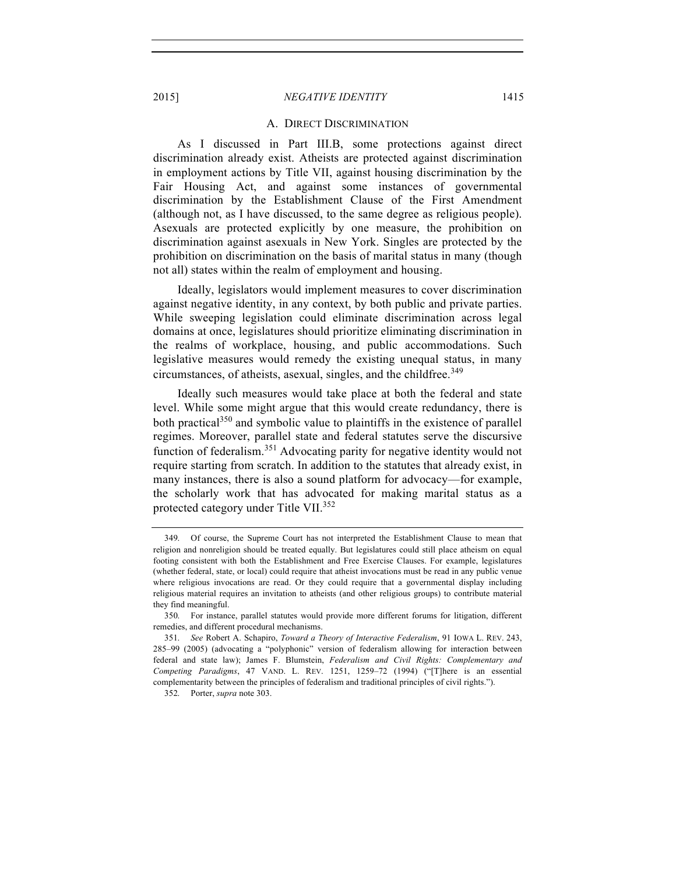#### A. DIRECT DISCRIMINATION

As I discussed in Part III.B, some protections against direct discrimination already exist. Atheists are protected against discrimination in employment actions by Title VII, against housing discrimination by the Fair Housing Act, and against some instances of governmental discrimination by the Establishment Clause of the First Amendment (although not, as I have discussed, to the same degree as religious people). Asexuals are protected explicitly by one measure, the prohibition on discrimination against asexuals in New York. Singles are protected by the prohibition on discrimination on the basis of marital status in many (though not all) states within the realm of employment and housing.

Ideally, legislators would implement measures to cover discrimination against negative identity, in any context, by both public and private parties. While sweeping legislation could eliminate discrimination across legal domains at once, legislatures should prioritize eliminating discrimination in the realms of workplace, housing, and public accommodations. Such legislative measures would remedy the existing unequal status, in many circumstances, of atheists, asexual, singles, and the childfree.<sup>349</sup>

Ideally such measures would take place at both the federal and state level. While some might argue that this would create redundancy, there is both practical<sup>350</sup> and symbolic value to plaintiffs in the existence of parallel regimes. Moreover, parallel state and federal statutes serve the discursive function of federalism.<sup>351</sup> Advocating parity for negative identity would not require starting from scratch. In addition to the statutes that already exist, in many instances, there is also a sound platform for advocacy—for example, the scholarly work that has advocated for making marital status as a protected category under Title VII.<sup>352</sup>

<sup>349.</sup> Of course, the Supreme Court has not interpreted the Establishment Clause to mean that religion and nonreligion should be treated equally. But legislatures could still place atheism on equal footing consistent with both the Establishment and Free Exercise Clauses. For example, legislatures (whether federal, state, or local) could require that atheist invocations must be read in any public venue where religious invocations are read. Or they could require that a governmental display including religious material requires an invitation to atheists (and other religious groups) to contribute material they find meaningful.

<sup>350.</sup> For instance, parallel statutes would provide more different forums for litigation, different remedies, and different procedural mechanisms.

<sup>351.</sup> *See* Robert A. Schapiro, *Toward a Theory of Interactive Federalism*, 91 IOWA L. REV. 243, 285–99 (2005) (advocating a "polyphonic" version of federalism allowing for interaction between federal and state law); James F. Blumstein, *Federalism and Civil Rights: Complementary and Competing Paradigms*, 47 VAND. L. REV. 1251, 1259–72 (1994) ("[T]here is an essential complementarity between the principles of federalism and traditional principles of civil rights.").

<sup>352.</sup> Porter, *supra* note 303.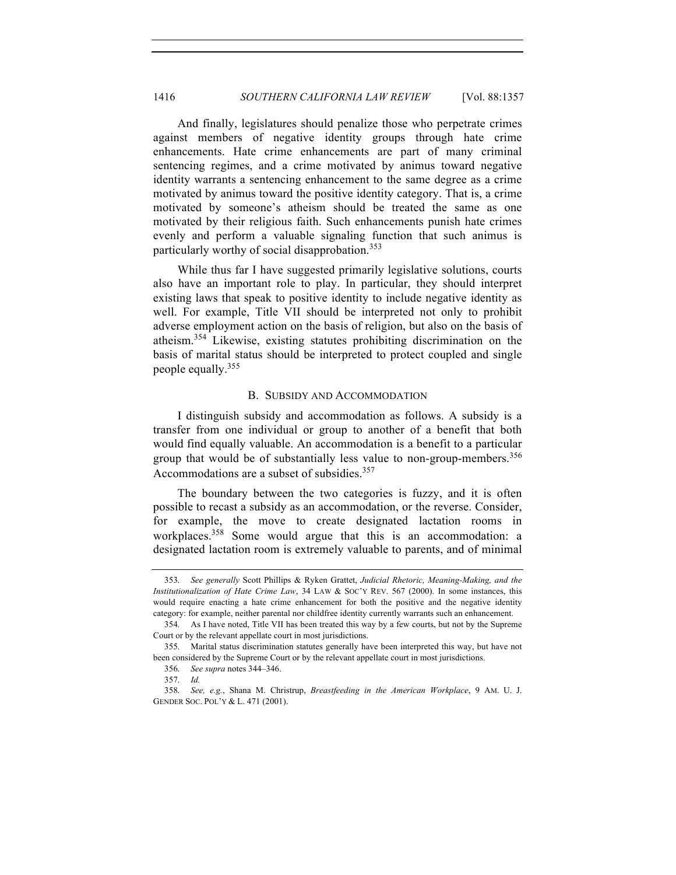And finally, legislatures should penalize those who perpetrate crimes against members of negative identity groups through hate crime enhancements. Hate crime enhancements are part of many criminal sentencing regimes, and a crime motivated by animus toward negative identity warrants a sentencing enhancement to the same degree as a crime motivated by animus toward the positive identity category. That is, a crime motivated by someone's atheism should be treated the same as one motivated by their religious faith. Such enhancements punish hate crimes evenly and perform a valuable signaling function that such animus is particularly worthy of social disapprobation.<sup>353</sup>

While thus far I have suggested primarily legislative solutions, courts also have an important role to play. In particular, they should interpret existing laws that speak to positive identity to include negative identity as well. For example, Title VII should be interpreted not only to prohibit adverse employment action on the basis of religion, but also on the basis of atheism.<sup>354</sup> Likewise, existing statutes prohibiting discrimination on the basis of marital status should be interpreted to protect coupled and single people equally.<sup>355</sup>

# B. SUBSIDY AND ACCOMMODATION

I distinguish subsidy and accommodation as follows. A subsidy is a transfer from one individual or group to another of a benefit that both would find equally valuable. An accommodation is a benefit to a particular group that would be of substantially less value to non-group-members.<sup>356</sup> Accommodations are a subset of subsidies.<sup>357</sup>

The boundary between the two categories is fuzzy, and it is often possible to recast a subsidy as an accommodation, or the reverse. Consider, for example, the move to create designated lactation rooms in workplaces.<sup>358</sup> Some would argue that this is an accommodation: a designated lactation room is extremely valuable to parents, and of minimal

<sup>353.</sup> *See generally* Scott Phillips & Ryken Grattet, *Judicial Rhetoric, Meaning-Making, and the Institutionalization of Hate Crime Law*, 34 LAW & SOC'Y REV. 567 (2000). In some instances, this would require enacting a hate crime enhancement for both the positive and the negative identity category: for example, neither parental nor childfree identity currently warrants such an enhancement.

<sup>354.</sup> As I have noted, Title VII has been treated this way by a few courts, but not by the Supreme Court or by the relevant appellate court in most jurisdictions.

<sup>355.</sup> Marital status discrimination statutes generally have been interpreted this way, but have not been considered by the Supreme Court or by the relevant appellate court in most jurisdictions.

<sup>356.</sup> *See supra* notes 344–346.

<sup>357.</sup> *Id.*

<sup>358.</sup> *See, e.g.*, Shana M. Christrup, *Breastfeeding in the American Workplace*, 9 AM. U. J. GENDER SOC. POL'Y & L. 471 (2001).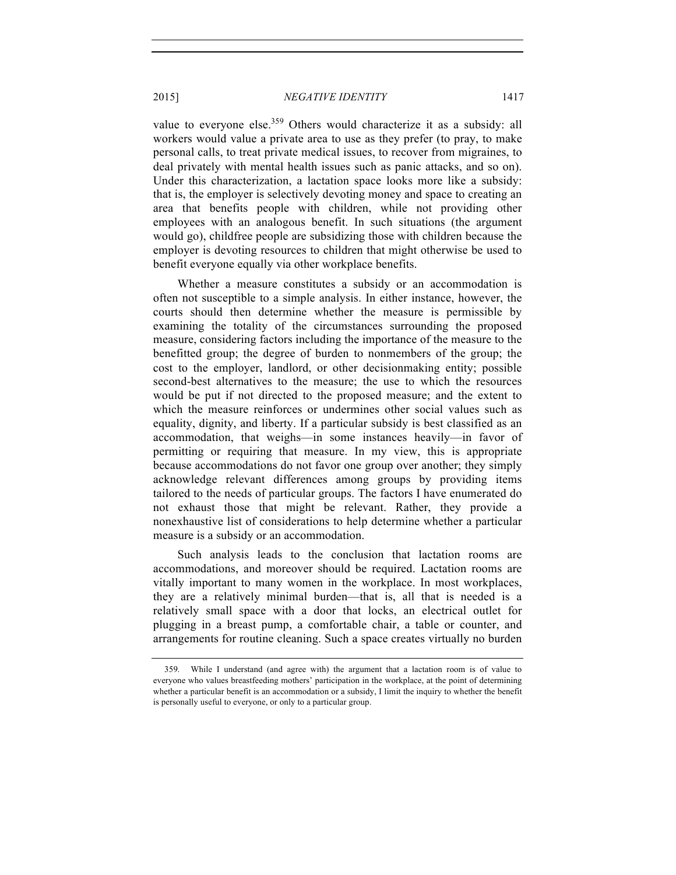value to everyone else.<sup>359</sup> Others would characterize it as a subsidy: all workers would value a private area to use as they prefer (to pray, to make personal calls, to treat private medical issues, to recover from migraines, to deal privately with mental health issues such as panic attacks, and so on). Under this characterization, a lactation space looks more like a subsidy: that is, the employer is selectively devoting money and space to creating an area that benefits people with children, while not providing other employees with an analogous benefit. In such situations (the argument would go), childfree people are subsidizing those with children because the employer is devoting resources to children that might otherwise be used to benefit everyone equally via other workplace benefits.

Whether a measure constitutes a subsidy or an accommodation is often not susceptible to a simple analysis. In either instance, however, the courts should then determine whether the measure is permissible by examining the totality of the circumstances surrounding the proposed measure, considering factors including the importance of the measure to the benefitted group; the degree of burden to nonmembers of the group; the cost to the employer, landlord, or other decisionmaking entity; possible second-best alternatives to the measure; the use to which the resources would be put if not directed to the proposed measure; and the extent to which the measure reinforces or undermines other social values such as equality, dignity, and liberty. If a particular subsidy is best classified as an accommodation, that weighs—in some instances heavily—in favor of permitting or requiring that measure. In my view, this is appropriate because accommodations do not favor one group over another; they simply acknowledge relevant differences among groups by providing items tailored to the needs of particular groups. The factors I have enumerated do not exhaust those that might be relevant. Rather, they provide a nonexhaustive list of considerations to help determine whether a particular measure is a subsidy or an accommodation.

Such analysis leads to the conclusion that lactation rooms are accommodations, and moreover should be required. Lactation rooms are vitally important to many women in the workplace. In most workplaces, they are a relatively minimal burden—that is, all that is needed is a relatively small space with a door that locks, an electrical outlet for plugging in a breast pump, a comfortable chair, a table or counter, and arrangements for routine cleaning. Such a space creates virtually no burden

<sup>359.</sup> While I understand (and agree with) the argument that a lactation room is of value to everyone who values breastfeeding mothers' participation in the workplace, at the point of determining whether a particular benefit is an accommodation or a subsidy, I limit the inquiry to whether the benefit is personally useful to everyone, or only to a particular group.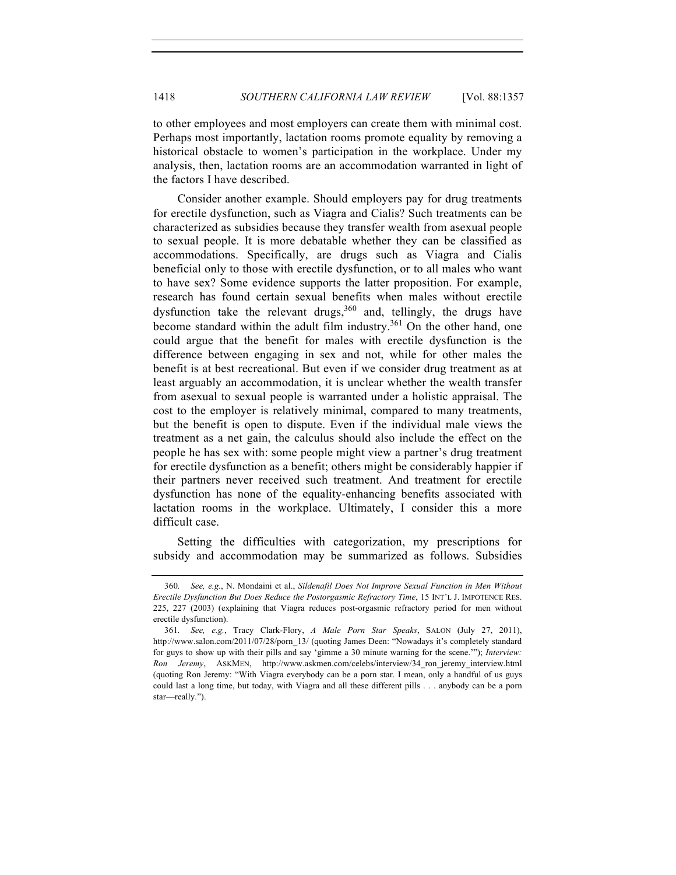to other employees and most employers can create them with minimal cost. Perhaps most importantly, lactation rooms promote equality by removing a historical obstacle to women's participation in the workplace. Under my analysis, then, lactation rooms are an accommodation warranted in light of the factors I have described.

Consider another example. Should employers pay for drug treatments for erectile dysfunction, such as Viagra and Cialis? Such treatments can be characterized as subsidies because they transfer wealth from asexual people to sexual people. It is more debatable whether they can be classified as accommodations. Specifically, are drugs such as Viagra and Cialis beneficial only to those with erectile dysfunction, or to all males who want to have sex? Some evidence supports the latter proposition. For example, research has found certain sexual benefits when males without erectile dysfunction take the relevant drugs,  $360$  and, tellingly, the drugs have become standard within the adult film industry.<sup>361</sup> On the other hand, one could argue that the benefit for males with erectile dysfunction is the difference between engaging in sex and not, while for other males the benefit is at best recreational. But even if we consider drug treatment as at least arguably an accommodation, it is unclear whether the wealth transfer from asexual to sexual people is warranted under a holistic appraisal. The cost to the employer is relatively minimal, compared to many treatments, but the benefit is open to dispute. Even if the individual male views the treatment as a net gain, the calculus should also include the effect on the people he has sex with: some people might view a partner's drug treatment for erectile dysfunction as a benefit; others might be considerably happier if their partners never received such treatment. And treatment for erectile dysfunction has none of the equality-enhancing benefits associated with lactation rooms in the workplace. Ultimately, I consider this a more difficult case.

Setting the difficulties with categorization, my prescriptions for subsidy and accommodation may be summarized as follows. Subsidies

<sup>360.</sup> *See, e.g.*, N. Mondaini et al., *Sildenafil Does Not Improve Sexual Function in Men Without Erectile Dysfunction But Does Reduce the Postorgasmic Refractory Time*, 15 INT'L J. IMPOTENCE RES. 225, 227 (2003) (explaining that Viagra reduces post-orgasmic refractory period for men without erectile dysfunction).

<sup>361.</sup> *See, e.g.*, Tracy Clark-Flory, *A Male Porn Star Speaks*, SALON (July 27, 2011), http://www.salon.com/2011/07/28/porn\_13/ (quoting James Deen: "Nowadays it's completely standard for guys to show up with their pills and say 'gimme a 30 minute warning for the scene.'"); *Interview: Ron Jeremy*, ASKMEN, http://www.askmen.com/celebs/interview/34\_ron\_jeremy\_interview.html (quoting Ron Jeremy: "With Viagra everybody can be a porn star. I mean, only a handful of us guys could last a long time, but today, with Viagra and all these different pills . . . anybody can be a porn star—really.").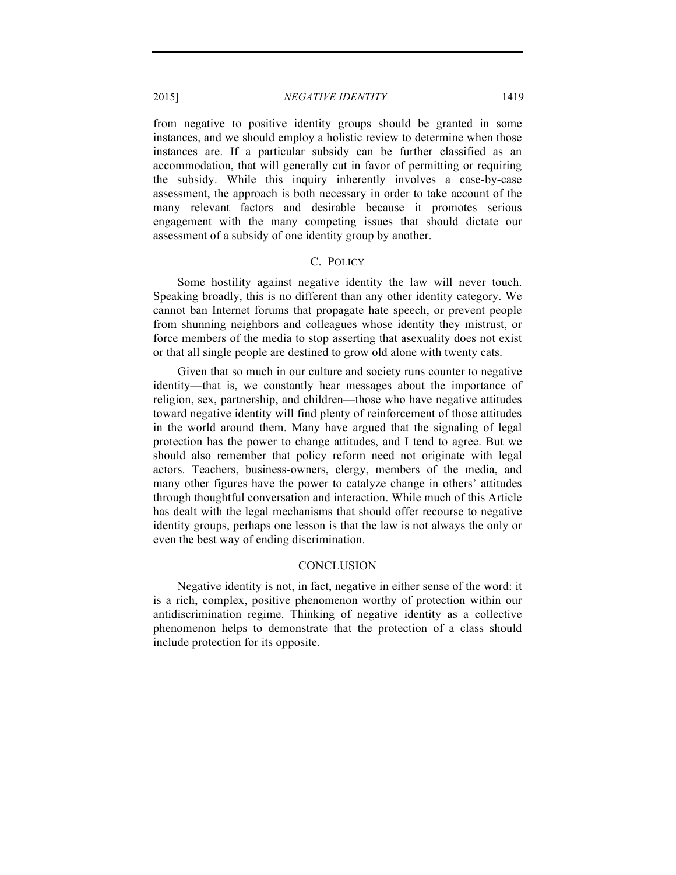from negative to positive identity groups should be granted in some instances, and we should employ a holistic review to determine when those instances are. If a particular subsidy can be further classified as an accommodation, that will generally cut in favor of permitting or requiring the subsidy. While this inquiry inherently involves a case-by-case assessment, the approach is both necessary in order to take account of the many relevant factors and desirable because it promotes serious engagement with the many competing issues that should dictate our assessment of a subsidy of one identity group by another.

# C. POLICY

Some hostility against negative identity the law will never touch. Speaking broadly, this is no different than any other identity category. We cannot ban Internet forums that propagate hate speech, or prevent people from shunning neighbors and colleagues whose identity they mistrust, or force members of the media to stop asserting that asexuality does not exist or that all single people are destined to grow old alone with twenty cats.

Given that so much in our culture and society runs counter to negative identity—that is, we constantly hear messages about the importance of religion, sex, partnership, and children—those who have negative attitudes toward negative identity will find plenty of reinforcement of those attitudes in the world around them. Many have argued that the signaling of legal protection has the power to change attitudes, and I tend to agree. But we should also remember that policy reform need not originate with legal actors. Teachers, business-owners, clergy, members of the media, and many other figures have the power to catalyze change in others' attitudes through thoughtful conversation and interaction. While much of this Article has dealt with the legal mechanisms that should offer recourse to negative identity groups, perhaps one lesson is that the law is not always the only or even the best way of ending discrimination.

#### **CONCLUSION**

Negative identity is not, in fact, negative in either sense of the word: it is a rich, complex, positive phenomenon worthy of protection within our antidiscrimination regime. Thinking of negative identity as a collective phenomenon helps to demonstrate that the protection of a class should include protection for its opposite.